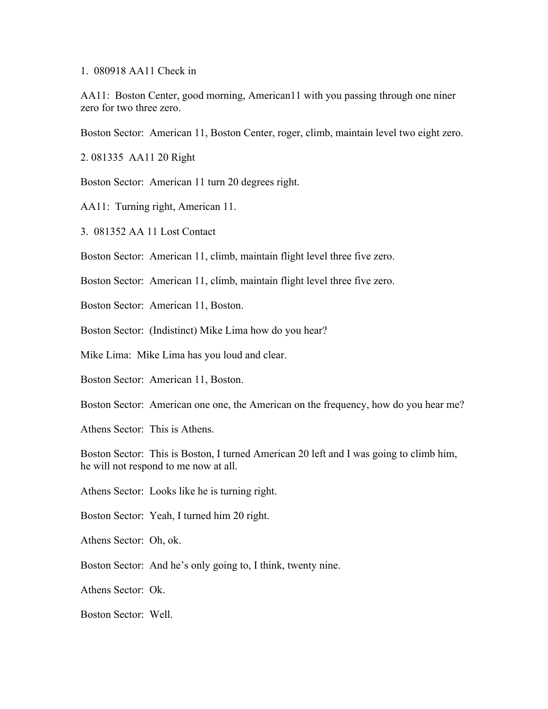1. 080918 AA11 Check in

AA11: Boston Center, good morning, American11 with you passing through one niner zero for two three zero.

Boston Sector: American 11, Boston Center, roger, climb, maintain level two eight zero.

2. 081335 AA11 20 Right

Boston Sector: American 11 turn 20 degrees right.

AA11: Turning right, American 11.

3. 081352 AA 11 Lost Contact

Boston Sector: American 11, climb, maintain flight level three five zero.

Boston Sector: American 11, climb, maintain flight level three five zero.

Boston Sector: American 11, Boston.

Boston Sector: (Indistinct) Mike Lima how do you hear?

Mike Lima: Mike Lima has you loud and clear.

Boston Sector: American 11, Boston.

Boston Sector: American one one, the American on the frequency, how do you hear me?

Athens Sector: This is Athens.

Boston Sector: This is Boston, I turned American 20 left and I was going to climb him, he will not respond to me now at all.

Athens Sector: Looks like he is turning right.

Boston Sector: Yeah, I turned him 20 right.

Athens Sector: Oh, ok.

Boston Sector: And he's only going to, I think, twenty nine.

Athens Sector: Ok.

Boston Sector: Well.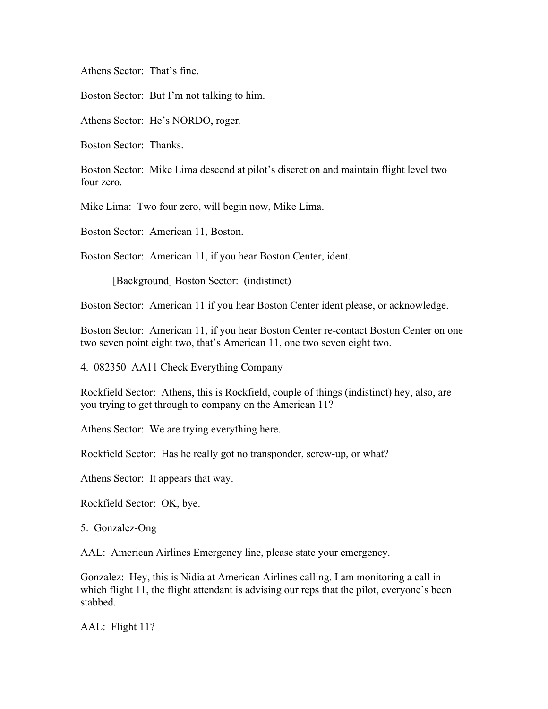Athens Sector: That's fine.

Boston Sector: But I'm not talking to him.

Athens Sector: He's NORDO, roger.

Boston Sector: Thanks.

Boston Sector: Mike Lima descend at pilot's discretion and maintain flight level two four zero.

Mike Lima: Two four zero, will begin now, Mike Lima.

Boston Sector: American 11, Boston.

Boston Sector: American 11, if you hear Boston Center, ident.

[Background] Boston Sector: (indistinct)

Boston Sector: American 11 if you hear Boston Center ident please, or acknowledge.

Boston Sector: American 11, if you hear Boston Center re-contact Boston Center on one two seven point eight two, that's American 11, one two seven eight two.

4. 082350 AA11 Check Everything Company

Rockfield Sector: Athens, this is Rockfield, couple of things (indistinct) hey, also, are you trying to get through to company on the American 11?

Athens Sector: We are trying everything here.

Rockfield Sector: Has he really got no transponder, screw-up, or what?

Athens Sector: It appears that way.

Rockfield Sector: OK, bye.

5. Gonzalez-Ong

AAL: American Airlines Emergency line, please state your emergency.

Gonzalez: Hey, this is Nidia at American Airlines calling. I am monitoring a call in which flight 11, the flight attendant is advising our reps that the pilot, everyone's been stabbed.

AAL: Flight 11?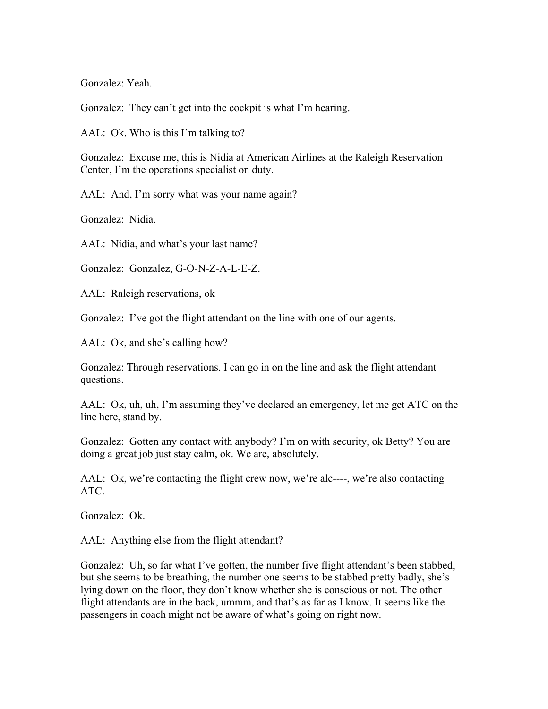Gonzalez: Yeah.

Gonzalez: They can't get into the cockpit is what I'm hearing.

AAL: Ok. Who is this I'm talking to?

Gonzalez: Excuse me, this is Nidia at American Airlines at the Raleigh Reservation Center, I'm the operations specialist on duty.

AAL: And, I'm sorry what was your name again?

Gonzalez: Nidia.

AAL: Nidia, and what's your last name?

Gonzalez: Gonzalez, G-O-N-Z-A-L-E-Z.

AAL: Raleigh reservations, ok

Gonzalez: I've got the flight attendant on the line with one of our agents.

AAL: Ok, and she's calling how?

Gonzalez: Through reservations. I can go in on the line and ask the flight attendant questions.

AAL: Ok, uh, uh, I'm assuming they've declared an emergency, let me get ATC on the line here, stand by.

Gonzalez: Gotten any contact with anybody? I'm on with security, ok Betty? You are doing a great job just stay calm, ok. We are, absolutely.

AAL: Ok, we're contacting the flight crew now, we're alc----, we're also contacting ATC.

Gonzalez: Ok.

AAL: Anything else from the flight attendant?

Gonzalez: Uh, so far what I've gotten, the number five flight attendant's been stabbed, but she seems to be breathing, the number one seems to be stabbed pretty badly, she's lying down on the floor, they don't know whether she is conscious or not. The other flight attendants are in the back, ummm, and that's as far as I know. It seems like the passengers in coach might not be aware of what's going on right now.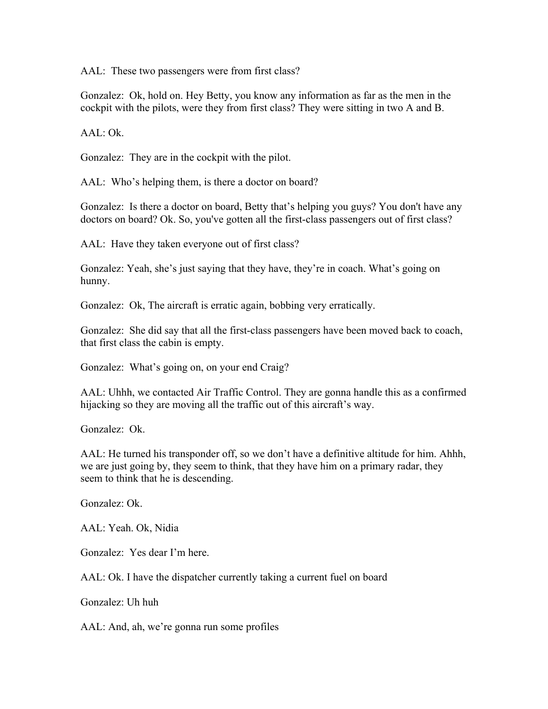AAL: These two passengers were from first class?

Gonzalez: Ok, hold on. Hey Betty, you know any information as far as the men in the cockpit with the pilots, were they from first class? They were sitting in two A and B.

 $A A L: Ok$ 

Gonzalez: They are in the cockpit with the pilot.

AAL: Who's helping them, is there a doctor on board?

Gonzalez: Is there a doctor on board, Betty that's helping you guys? You don't have any doctors on board? Ok. So, you've gotten all the first-class passengers out of first class?

AAL: Have they taken everyone out of first class?

Gonzalez: Yeah, she's just saying that they have, they're in coach. What's going on hunny.

Gonzalez: Ok, The aircraft is erratic again, bobbing very erratically.

Gonzalez: She did say that all the first-class passengers have been moved back to coach, that first class the cabin is empty.

Gonzalez: What's going on, on your end Craig?

AAL: Uhhh, we contacted Air Traffic Control. They are gonna handle this as a confirmed hijacking so they are moving all the traffic out of this aircraft's way.

Gonzalez: Ok.

AAL: He turned his transponder off, so we don't have a definitive altitude for him. Ahhh, we are just going by, they seem to think, that they have him on a primary radar, they seem to think that he is descending.

Gonzalez: Ok.

AAL: Yeah. Ok, Nidia

Gonzalez: Yes dear I'm here.

AAL: Ok. I have the dispatcher currently taking a current fuel on board

Gonzalez: Uh huh

AAL: And, ah, we're gonna run some profiles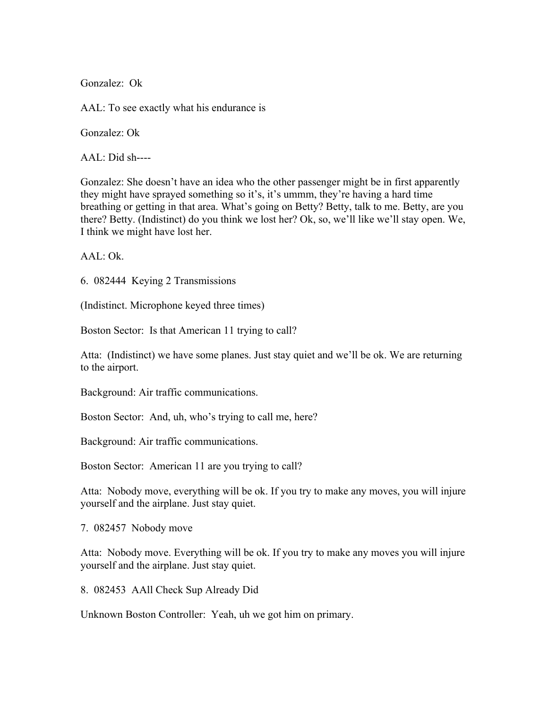Gonzalez: Ok

AAL: To see exactly what his endurance is

Gonzalez: Ok

AAL: Did sh----

Gonzalez: She doesn't have an idea who the other passenger might be in first apparently they might have sprayed something so it's, it's ummm, they're having a hard time breathing or getting in that area. What's going on Betty? Betty, talk to me. Betty, are you there? Betty. (Indistinct) do you think we lost her? Ok, so, we'll like we'll stay open. We, I think we might have lost her.

AAL: Ok.

6. 082444 Keying 2 Transmissions

(Indistinct. Microphone keyed three times)

Boston Sector: Is that American 11 trying to call?

Atta: (Indistinct) we have some planes. Just stay quiet and we'll be ok. We are returning to the airport.

Background: Air traffic communications.

Boston Sector: And, uh, who's trying to call me, here?

Background: Air traffic communications.

Boston Sector: American 11 are you trying to call?

Atta: Nobody move, everything will be ok. If you try to make any moves, you will injure yourself and the airplane. Just stay quiet.

7. 082457 Nobody move

Atta: Nobody move. Everything will be ok. If you try to make any moves you will injure yourself and the airplane. Just stay quiet.

8. 082453 AAll Check Sup Already Did

Unknown Boston Controller: Yeah, uh we got him on primary.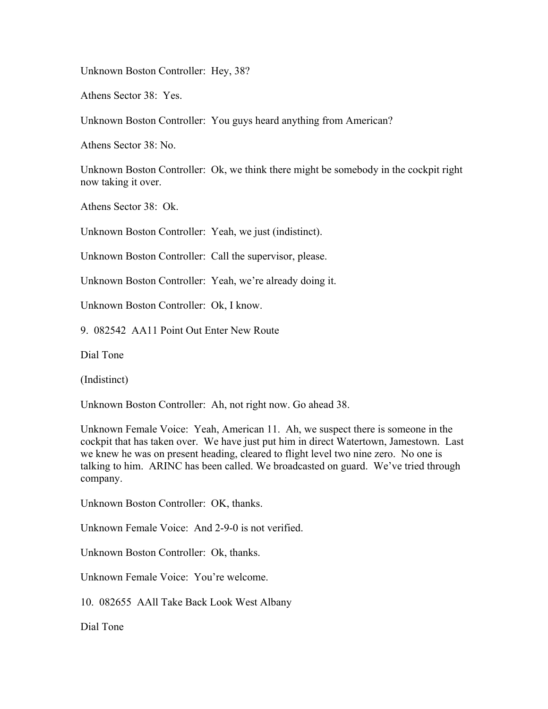Unknown Boston Controller: Hey, 38?

Athens Sector 38: Yes.

Unknown Boston Controller: You guys heard anything from American?

Athens Sector 38: No.

Unknown Boston Controller: Ok, we think there might be somebody in the cockpit right now taking it over.

Athens Sector 38: Ok.

Unknown Boston Controller: Yeah, we just (indistinct).

Unknown Boston Controller: Call the supervisor, please.

Unknown Boston Controller: Yeah, we're already doing it.

Unknown Boston Controller: Ok, I know.

9. 082542 AA11 Point Out Enter New Route

Dial Tone

(Indistinct)

Unknown Boston Controller: Ah, not right now. Go ahead 38.

Unknown Female Voice: Yeah, American 11. Ah, we suspect there is someone in the cockpit that has taken over. We have just put him in direct Watertown, Jamestown. Last we knew he was on present heading, cleared to flight level two nine zero. No one is talking to him. ARINC has been called. We broadcasted on guard. We've tried through company.

Unknown Boston Controller: OK, thanks.

Unknown Female Voice: And 2-9-0 is not verified.

Unknown Boston Controller: Ok, thanks.

Unknown Female Voice: You're welcome.

10. 082655 AAll Take Back Look West Albany

Dial Tone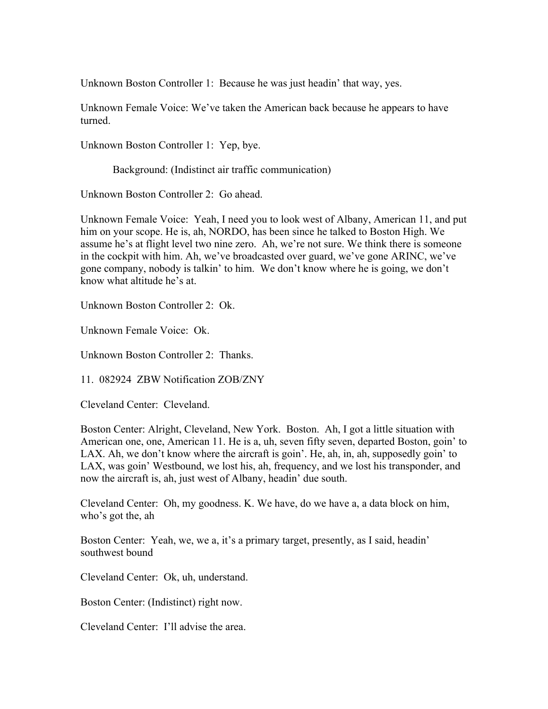Unknown Boston Controller 1: Because he was just headin' that way, yes.

Unknown Female Voice: We've taken the American back because he appears to have turned.

Unknown Boston Controller 1: Yep, bye.

Background: (Indistinct air traffic communication)

Unknown Boston Controller 2: Go ahead.

Unknown Female Voice: Yeah, I need you to look west of Albany, American 11, and put him on your scope. He is, ah, NORDO, has been since he talked to Boston High. We assume he's at flight level two nine zero. Ah, we're not sure. We think there is someone in the cockpit with him. Ah, we've broadcasted over guard, we've gone ARINC, we've gone company, nobody is talkin' to him. We don't know where he is going, we don't know what altitude he's at.

Unknown Boston Controller 2: Ok.

Unknown Female Voice: Ok.

Unknown Boston Controller 2: Thanks.

11. 082924 ZBW Notification ZOB/ZNY

Cleveland Center: Cleveland.

Boston Center: Alright, Cleveland, New York. Boston. Ah, I got a little situation with American one, one, American 11. He is a, uh, seven fifty seven, departed Boston, goin' to LAX. Ah, we don't know where the aircraft is goin'. He, ah, in, ah, supposedly goin' to LAX, was goin' Westbound, we lost his, ah, frequency, and we lost his transponder, and now the aircraft is, ah, just west of Albany, headin' due south.

Cleveland Center: Oh, my goodness. K. We have, do we have a, a data block on him, who's got the, ah

Boston Center: Yeah, we, we a, it's a primary target, presently, as I said, headin' southwest bound

Cleveland Center: Ok, uh, understand.

Boston Center: (Indistinct) right now.

Cleveland Center: I'll advise the area.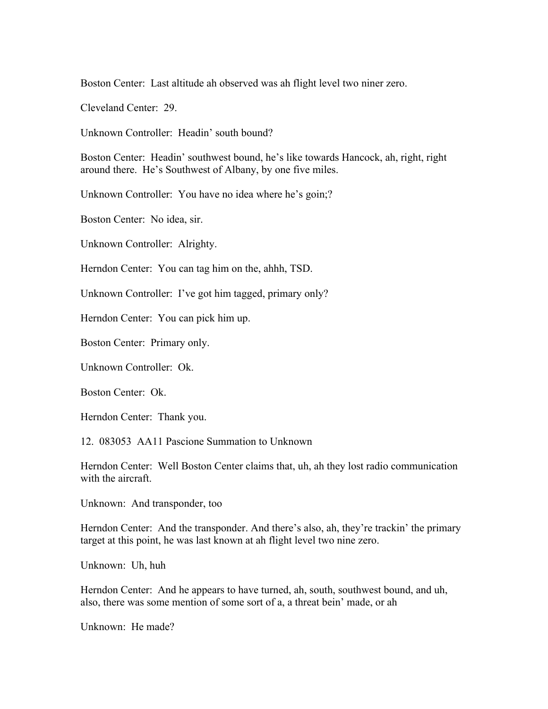Boston Center: Last altitude ah observed was ah flight level two niner zero.

Cleveland Center: 29.

Unknown Controller: Headin' south bound?

Boston Center: Headin' southwest bound, he's like towards Hancock, ah, right, right around there. He's Southwest of Albany, by one five miles.

Unknown Controller: You have no idea where he's goin;?

Boston Center: No idea, sir.

Unknown Controller: Alrighty.

Herndon Center: You can tag him on the, ahhh, TSD.

Unknown Controller: I've got him tagged, primary only?

Herndon Center: You can pick him up.

Boston Center: Primary only.

Unknown Controller: Ok.

Boston Center: Ok.

Herndon Center: Thank you.

12. 083053 AA11 Pascione Summation to Unknown

Herndon Center: Well Boston Center claims that, uh, ah they lost radio communication with the aircraft.

Unknown: And transponder, too

Herndon Center: And the transponder. And there's also, ah, they're trackin' the primary target at this point, he was last known at ah flight level two nine zero.

Unknown: Uh, huh

Herndon Center: And he appears to have turned, ah, south, southwest bound, and uh, also, there was some mention of some sort of a, a threat bein' made, or ah

Unknown: He made?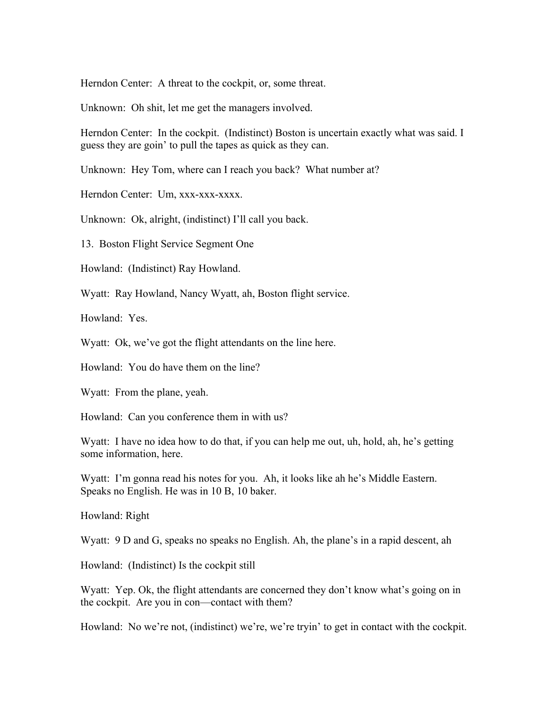Herndon Center: A threat to the cockpit, or, some threat.

Unknown: Oh shit, let me get the managers involved.

Herndon Center: In the cockpit. (Indistinct) Boston is uncertain exactly what was said. I guess they are goin' to pull the tapes as quick as they can.

Unknown: Hey Tom, where can I reach you back? What number at?

Herndon Center: Um, xxx-xxx-xxxx.

Unknown: Ok, alright, (indistinct) I'll call you back.

13. Boston Flight Service Segment One

Howland: (Indistinct) Ray Howland.

Wyatt: Ray Howland, Nancy Wyatt, ah, Boston flight service.

Howland: Yes.

Wyatt: Ok, we've got the flight attendants on the line here.

Howland: You do have them on the line?

Wyatt: From the plane, yeah.

Howland: Can you conference them in with us?

Wyatt: I have no idea how to do that, if you can help me out, uh, hold, ah, he's getting some information, here.

Wyatt: I'm gonna read his notes for you. Ah, it looks like ah he's Middle Eastern. Speaks no English. He was in 10 B, 10 baker.

Howland: Right

Wyatt: 9 D and G, speaks no speaks no English. Ah, the plane's in a rapid descent, ah

Howland: (Indistinct) Is the cockpit still

Wyatt: Yep. Ok, the flight attendants are concerned they don't know what's going on in the cockpit. Are you in con—contact with them?

Howland: No we're not, (indistinct) we're, we're tryin' to get in contact with the cockpit.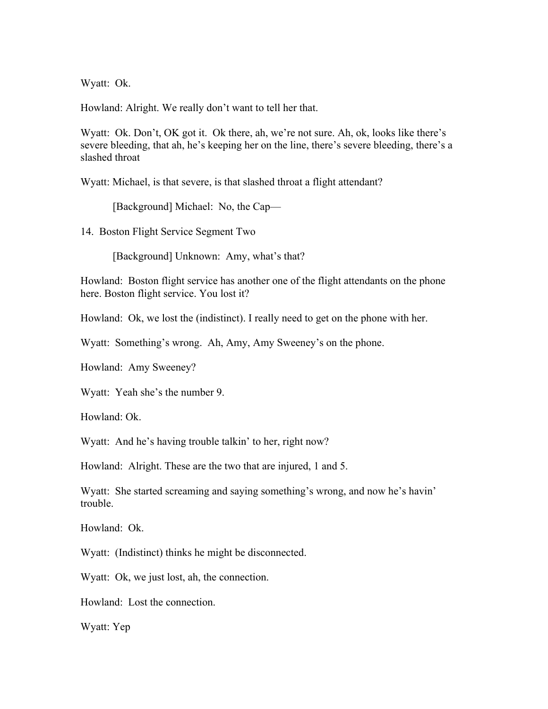Wyatt: Ok.

Howland: Alright. We really don't want to tell her that.

Wyatt: Ok. Don't, OK got it. Ok there, ah, we're not sure. Ah, ok, looks like there's severe bleeding, that ah, he's keeping her on the line, there's severe bleeding, there's a slashed throat

Wyatt: Michael, is that severe, is that slashed throat a flight attendant?

[Background] Michael: No, the Cap—

14. Boston Flight Service Segment Two

[Background] Unknown: Amy, what's that?

Howland: Boston flight service has another one of the flight attendants on the phone here. Boston flight service. You lost it?

Howland: Ok, we lost the (indistinct). I really need to get on the phone with her.

Wyatt: Something's wrong. Ah, Amy, Amy Sweeney's on the phone.

Howland: Amy Sweeney?

Wyatt: Yeah she's the number 9.

Howland: Ok.

Wyatt: And he's having trouble talkin' to her, right now?

Howland: Alright. These are the two that are injured, 1 and 5.

Wyatt: She started screaming and saying something's wrong, and now he's havin' trouble.

Howland: Ok.

Wyatt: (Indistinct) thinks he might be disconnected.

Wyatt: Ok, we just lost, ah, the connection.

Howland: Lost the connection.

Wyatt: Yep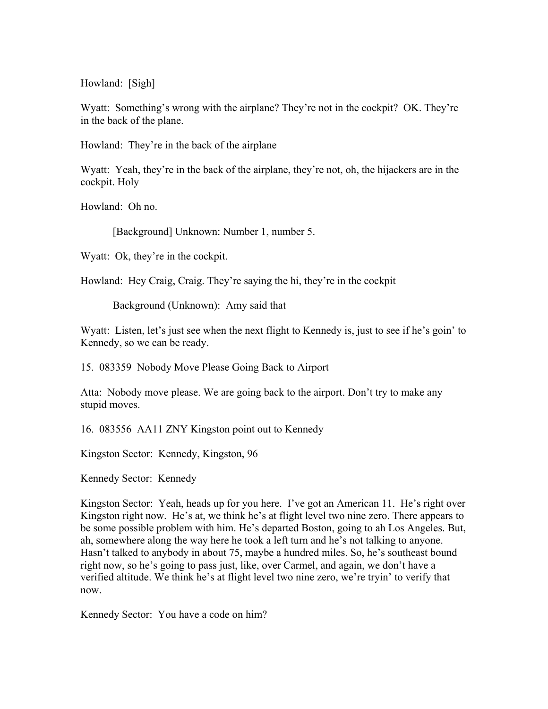Howland: [Sigh]

Wyatt: Something's wrong with the airplane? They're not in the cockpit? OK. They're in the back of the plane.

Howland: They're in the back of the airplane

Wyatt: Yeah, they're in the back of the airplane, they're not, oh, the hijackers are in the cockpit. Holy

Howland: Oh no.

[Background] Unknown: Number 1, number 5.

Wyatt: Ok, they're in the cockpit.

Howland: Hey Craig, Craig. They're saying the hi, they're in the cockpit

Background (Unknown): Amy said that

Wyatt: Listen, let's just see when the next flight to Kennedy is, just to see if he's goin' to Kennedy, so we can be ready.

15. 083359 Nobody Move Please Going Back to Airport

Atta: Nobody move please. We are going back to the airport. Don't try to make any stupid moves.

16. 083556 AA11 ZNY Kingston point out to Kennedy

Kingston Sector: Kennedy, Kingston, 96

Kennedy Sector: Kennedy

Kingston Sector: Yeah, heads up for you here. I've got an American 11. He's right over Kingston right now. He's at, we think he's at flight level two nine zero. There appears to be some possible problem with him. He's departed Boston, going to ah Los Angeles. But, ah, somewhere along the way here he took a left turn and he's not talking to anyone. Hasn't talked to anybody in about 75, maybe a hundred miles. So, he's southeast bound right now, so he's going to pass just, like, over Carmel, and again, we don't have a verified altitude. We think he's at flight level two nine zero, we're tryin' to verify that now.

Kennedy Sector: You have a code on him?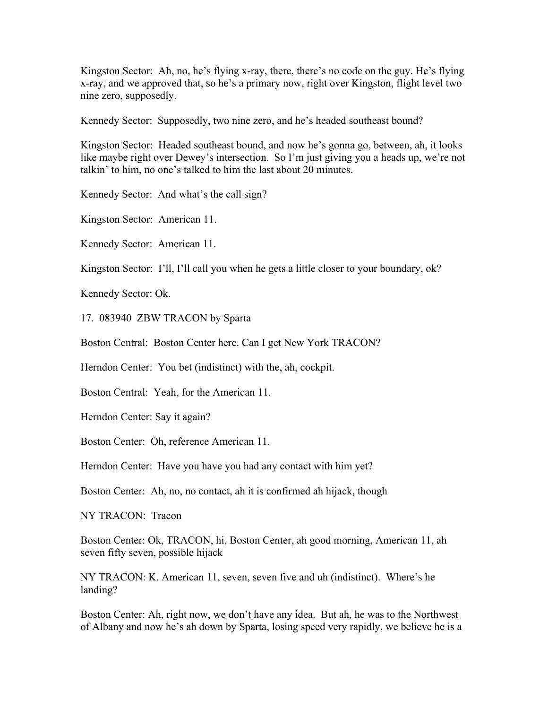Kingston Sector: Ah, no, he's flying x-ray, there, there's no code on the guy. He's flying x-ray, and we approved that, so he's a primary now, right over Kingston, flight level two nine zero, supposedly.

Kennedy Sector: Supposedly, two nine zero, and he's headed southeast bound?

Kingston Sector: Headed southeast bound, and now he's gonna go, between, ah, it looks like maybe right over Dewey's intersection. So I'm just giving you a heads up, we're not talkin' to him, no one's talked to him the last about 20 minutes.

Kennedy Sector: And what's the call sign?

Kingston Sector: American 11.

Kennedy Sector: American 11.

Kingston Sector: I'll, I'll call you when he gets a little closer to your boundary, ok?

Kennedy Sector: Ok.

17. 083940 ZBW TRACON by Sparta

Boston Central: Boston Center here. Can I get New York TRACON?

Herndon Center: You bet (indistinct) with the, ah, cockpit.

Boston Central: Yeah, for the American 11.

Herndon Center: Say it again?

Boston Center: Oh, reference American 11.

Herndon Center: Have you have you had any contact with him yet?

Boston Center: Ah, no, no contact, ah it is confirmed ah hijack, though

NY TRACON: Tracon

Boston Center: Ok, TRACON, hi, Boston Center, ah good morning, American 11, ah seven fifty seven, possible hijack

NY TRACON: K. American 11, seven, seven five and uh (indistinct). Where's he landing?

Boston Center: Ah, right now, we don't have any idea. But ah, he was to the Northwest of Albany and now he's ah down by Sparta, losing speed very rapidly, we believe he is a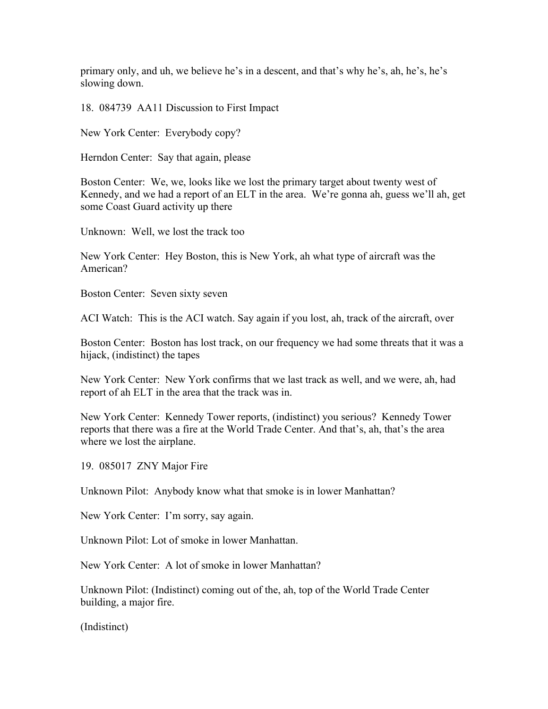primary only, and uh, we believe he's in a descent, and that's why he's, ah, he's, he's slowing down.

18. 084739 AA11 Discussion to First Impact

New York Center: Everybody copy?

Herndon Center: Say that again, please

Boston Center: We, we, looks like we lost the primary target about twenty west of Kennedy, and we had a report of an ELT in the area. We're gonna ah, guess we'll ah, get some Coast Guard activity up there

Unknown: Well, we lost the track too

New York Center: Hey Boston, this is New York, ah what type of aircraft was the American?

Boston Center: Seven sixty seven

ACI Watch: This is the ACI watch. Say again if you lost, ah, track of the aircraft, over

Boston Center: Boston has lost track, on our frequency we had some threats that it was a hijack, (indistinct) the tapes

New York Center: New York confirms that we last track as well, and we were, ah, had report of ah ELT in the area that the track was in.

New York Center: Kennedy Tower reports, (indistinct) you serious? Kennedy Tower reports that there was a fire at the World Trade Center. And that's, ah, that's the area where we lost the airplane.

19. 085017 ZNY Major Fire

Unknown Pilot: Anybody know what that smoke is in lower Manhattan?

New York Center: I'm sorry, say again.

Unknown Pilot: Lot of smoke in lower Manhattan.

New York Center: A lot of smoke in lower Manhattan?

Unknown Pilot: (Indistinct) coming out of the, ah, top of the World Trade Center building, a major fire.

(Indistinct)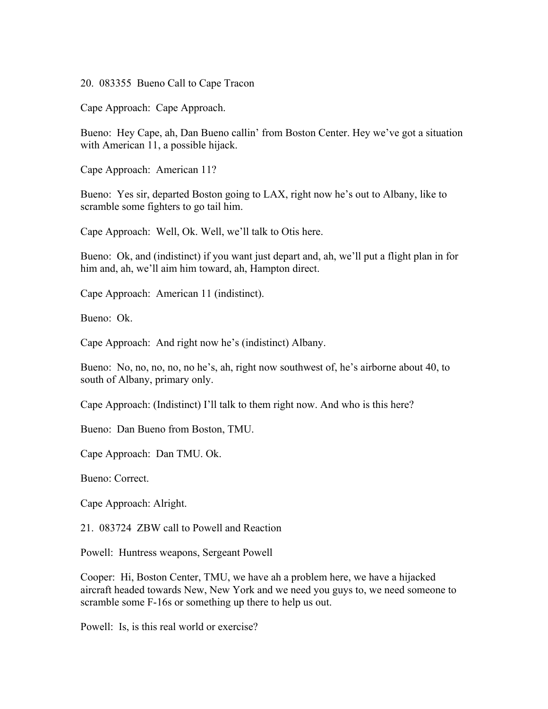20. 083355 Bueno Call to Cape Tracon

Cape Approach: Cape Approach.

Bueno: Hey Cape, ah, Dan Bueno callin' from Boston Center. Hey we've got a situation with American 11, a possible hijack.

Cape Approach: American 11?

Bueno: Yes sir, departed Boston going to LAX, right now he's out to Albany, like to scramble some fighters to go tail him.

Cape Approach: Well, Ok. Well, we'll talk to Otis here.

Bueno: Ok, and (indistinct) if you want just depart and, ah, we'll put a flight plan in for him and, ah, we'll aim him toward, ah, Hampton direct.

Cape Approach: American 11 (indistinct).

Bueno: Ok.

Cape Approach: And right now he's (indistinct) Albany.

Bueno: No, no, no, no, no he's, ah, right now southwest of, he's airborne about 40, to south of Albany, primary only.

Cape Approach: (Indistinct) I'll talk to them right now. And who is this here?

Bueno: Dan Bueno from Boston, TMU.

Cape Approach: Dan TMU. Ok.

Bueno: Correct.

Cape Approach: Alright.

21. 083724 ZBW call to Powell and Reaction

Powell: Huntress weapons, Sergeant Powell

Cooper: Hi, Boston Center, TMU, we have ah a problem here, we have a hijacked aircraft headed towards New, New York and we need you guys to, we need someone to scramble some F-16s or something up there to help us out.

Powell: Is, is this real world or exercise?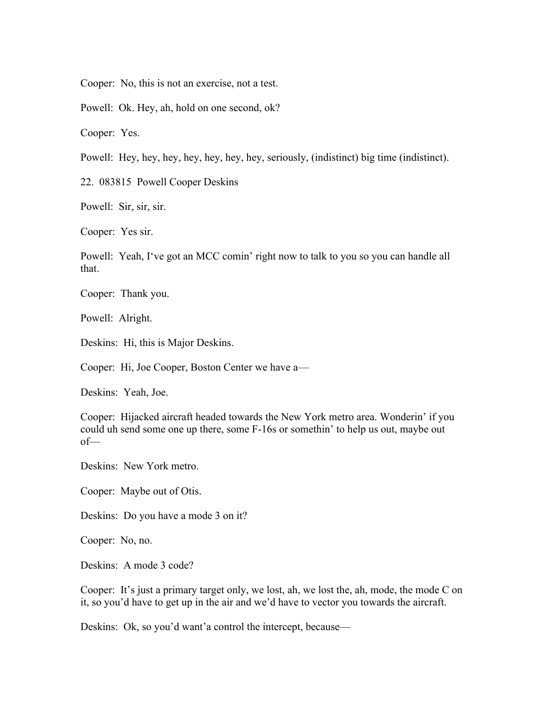Cooper: No, this is not an exercise, not a test.

Powell: Ok. Hey, ah, hold on one second, ok?

Cooper: Yes.

Powell: Hey, hey, hey, hey, hey, hey, hey, seriously, (indistinct) big time (indistinct).

22. 083815 Powell Cooper Deskins

Powell: Sir, sir, sir.

Cooper: Yes sir.

Powell: Yeah, I've got an MCC comin' right now to talk to you so you can handle all that.

Cooper: Thank you.

Powell: Alright.

Deskins: Hi, this is Major Deskins.

Cooper: Hi, Joe Cooper, Boston Center we have a—

Deskins: Yeah, Joe.

Cooper: Hijacked aircraft headed towards the New York metro area. Wonderin' if you could uh send some one up there, some F-16s or somethin' to help us out, maybe out of—

Deskins: New York metro.

Cooper: Maybe out of Otis.

Deskins: Do you have a mode 3 on it?

Cooper: No, no.

Deskins: A mode 3 code?

Cooper: It's just a primary target only, we lost, ah, we lost the, ah, mode, the mode C on it, so you'd have to get up in the air and we'd have to vector you towards the aircraft.

Deskins: Ok, so you'd want'a control the intercept, because—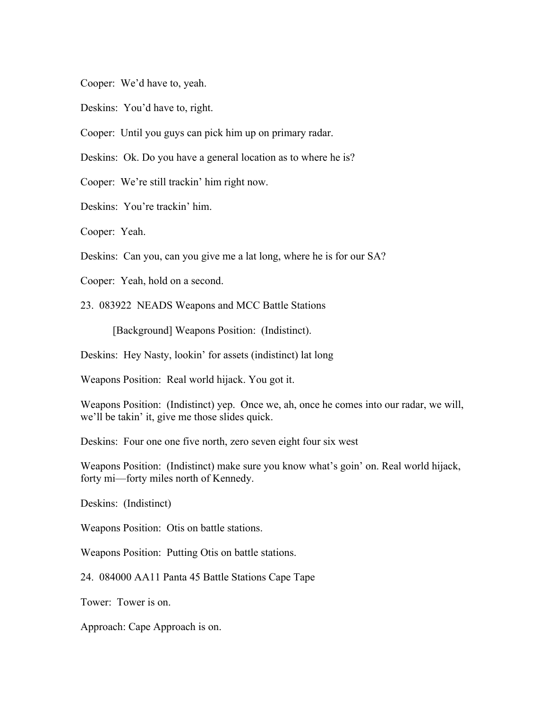Cooper: We'd have to, yeah.

Deskins: You'd have to, right.

Cooper: Until you guys can pick him up on primary radar.

Deskins: Ok. Do you have a general location as to where he is?

Cooper: We're still trackin' him right now.

Deskins: You're trackin' him.

Cooper: Yeah.

Deskins: Can you, can you give me a lat long, where he is for our SA?

Cooper: Yeah, hold on a second.

23. 083922 NEADS Weapons and MCC Battle Stations

[Background] Weapons Position: (Indistinct).

Deskins: Hey Nasty, lookin' for assets (indistinct) lat long

Weapons Position: Real world hijack. You got it.

Weapons Position: (Indistinct) yep. Once we, ah, once he comes into our radar, we will, we'll be takin' it, give me those slides quick.

Deskins: Four one one five north, zero seven eight four six west

Weapons Position: (Indistinct) make sure you know what's goin' on. Real world hijack, forty mi—forty miles north of Kennedy.

Deskins: (Indistinct)

Weapons Position: Otis on battle stations.

Weapons Position: Putting Otis on battle stations.

24. 084000 AA11 Panta 45 Battle Stations Cape Tape

Tower: Tower is on.

Approach: Cape Approach is on.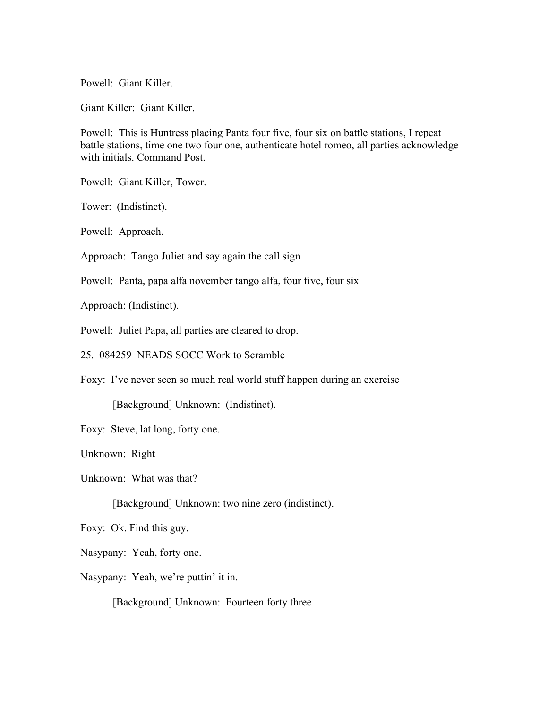Powell: Giant Killer.

Giant Killer: Giant Killer.

Powell: This is Huntress placing Panta four five, four six on battle stations, I repeat battle stations, time one two four one, authenticate hotel romeo, all parties acknowledge with initials. Command Post.

Powell: Giant Killer, Tower.

Tower: (Indistinct).

Powell: Approach.

Approach: Tango Juliet and say again the call sign

Powell: Panta, papa alfa november tango alfa, four five, four six

Approach: (Indistinct).

Powell: Juliet Papa, all parties are cleared to drop.

25. 084259 NEADS SOCC Work to Scramble

Foxy: I've never seen so much real world stuff happen during an exercise

[Background] Unknown: (Indistinct).

Foxy: Steve, lat long, forty one.

Unknown: Right

Unknown: What was that?

[Background] Unknown: two nine zero (indistinct).

Foxy: Ok. Find this guy.

Nasypany: Yeah, forty one.

Nasypany: Yeah, we're puttin' it in.

[Background] Unknown: Fourteen forty three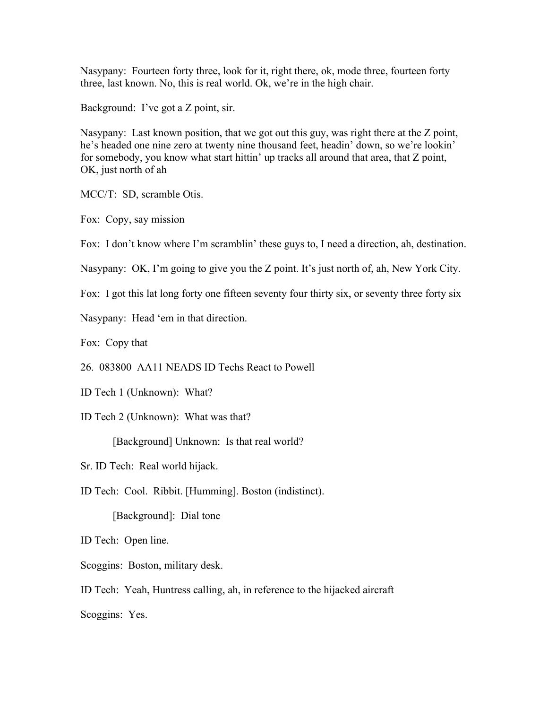Nasypany: Fourteen forty three, look for it, right there, ok, mode three, fourteen forty three, last known. No, this is real world. Ok, we're in the high chair.

Background: I've got a Z point, sir.

Nasypany: Last known position, that we got out this guy, was right there at the Z point, he's headed one nine zero at twenty nine thousand feet, headin' down, so we're lookin' for somebody, you know what start hittin' up tracks all around that area, that Z point, OK, just north of ah

MCC/T: SD, scramble Otis.

Fox: Copy, say mission

Fox: I don't know where I'm scramblin' these guys to, I need a direction, ah, destination.

Nasypany: OK, I'm going to give you the Z point. It's just north of, ah, New York City.

Fox: I got this lat long forty one fifteen seventy four thirty six, or seventy three forty six

Nasypany: Head 'em in that direction.

Fox: Copy that

26. 083800 AA11 NEADS ID Techs React to Powell

ID Tech 1 (Unknown): What?

ID Tech 2 (Unknown): What was that?

[Background] Unknown: Is that real world?

Sr. ID Tech: Real world hijack.

ID Tech: Cool. Ribbit. [Humming]. Boston (indistinct).

[Background]: Dial tone

ID Tech: Open line.

Scoggins: Boston, military desk.

ID Tech: Yeah, Huntress calling, ah, in reference to the hijacked aircraft Scoggins: Yes.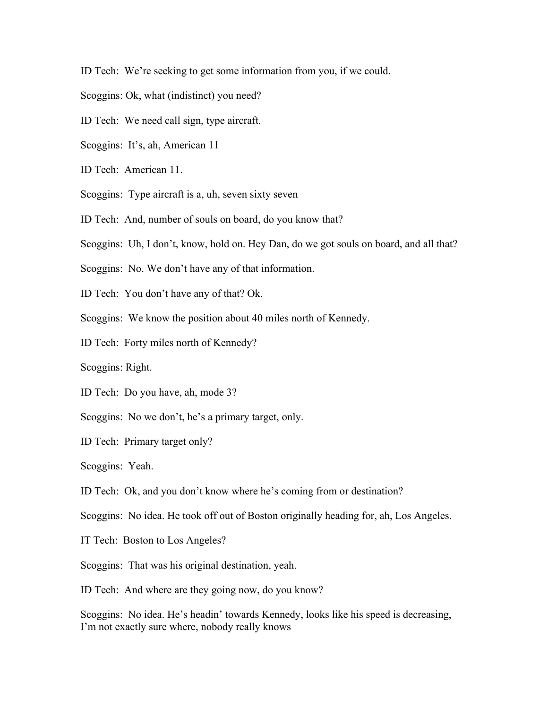ID Tech: We're seeking to get some information from you, if we could.

- Scoggins: Ok, what (indistinct) you need?
- ID Tech: We need call sign, type aircraft.
- Scoggins: It's, ah, American 11
- ID Tech: American 11.
- Scoggins: Type aircraft is a, uh, seven sixty seven
- ID Tech: And, number of souls on board, do you know that?
- Scoggins: Uh, I don't, know, hold on. Hey Dan, do we got souls on board, and all that?
- Scoggins: No. We don't have any of that information.
- ID Tech: You don't have any of that? Ok.
- Scoggins: We know the position about 40 miles north of Kennedy.
- ID Tech: Forty miles north of Kennedy?
- Scoggins: Right.
- ID Tech: Do you have, ah, mode 3?
- Scoggins: No we don't, he's a primary target, only.
- ID Tech: Primary target only?
- Scoggins: Yeah.
- ID Tech: Ok, and you don't know where he's coming from or destination?
- Scoggins: No idea. He took off out of Boston originally heading for, ah, Los Angeles.
- IT Tech: Boston to Los Angeles?
- Scoggins: That was his original destination, yeah.
- ID Tech: And where are they going now, do you know?
- Scoggins: No idea. He's headin' towards Kennedy, looks like his speed is decreasing, I'm not exactly sure where, nobody really knows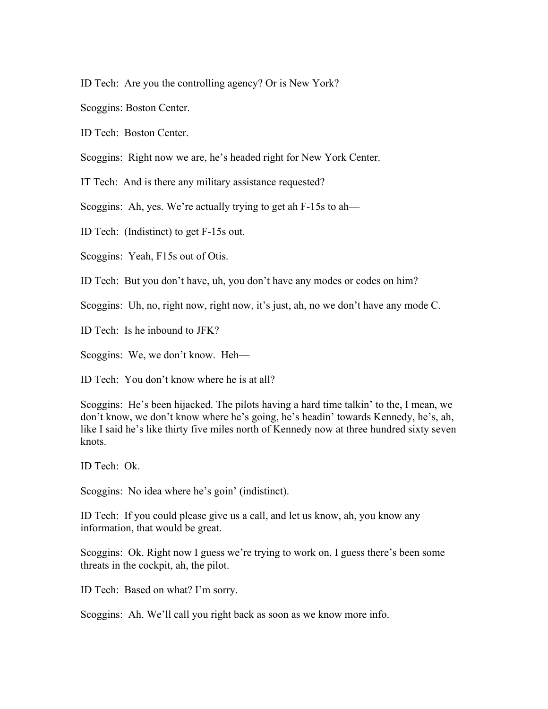ID Tech: Are you the controlling agency? Or is New York?

Scoggins: Boston Center.

ID Tech: Boston Center.

Scoggins: Right now we are, he's headed right for New York Center.

IT Tech: And is there any military assistance requested?

Scoggins: Ah, yes. We're actually trying to get ah F-15s to ah—

ID Tech: (Indistinct) to get F-15s out.

Scoggins: Yeah, F15s out of Otis.

ID Tech: But you don't have, uh, you don't have any modes or codes on him?

Scoggins: Uh, no, right now, right now, it's just, ah, no we don't have any mode C.

ID Tech: Is he inbound to JFK?

Scoggins: We, we don't know. Heh—

ID Tech: You don't know where he is at all?

Scoggins: He's been hijacked. The pilots having a hard time talkin' to the, I mean, we don't know, we don't know where he's going, he's headin' towards Kennedy, he's, ah, like I said he's like thirty five miles north of Kennedy now at three hundred sixty seven knots.

ID Tech: Ok.

Scoggins: No idea where he's goin' (indistinct).

ID Tech: If you could please give us a call, and let us know, ah, you know any information, that would be great.

Scoggins: Ok. Right now I guess we're trying to work on, I guess there's been some threats in the cockpit, ah, the pilot.

ID Tech: Based on what? I'm sorry.

Scoggins: Ah. We'll call you right back as soon as we know more info.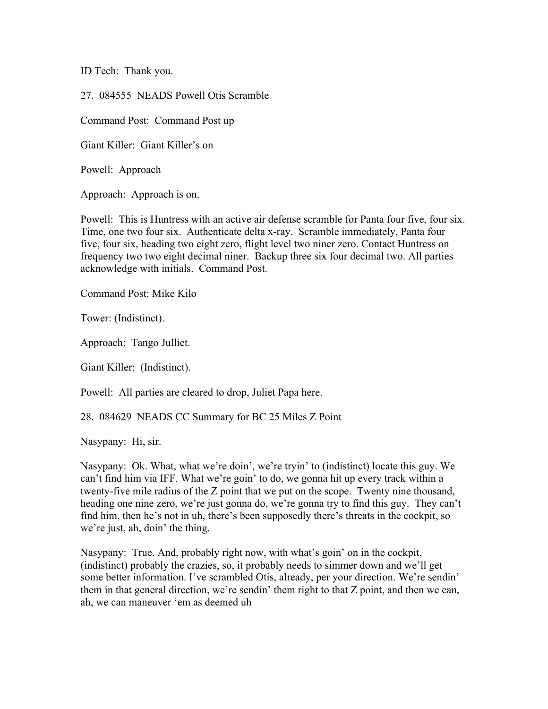ID Tech: Thank you.

27. 084555 NEADS Powell Otis Scramble

Command Post: Command Post up

Giant Killer: Giant Killer's on

Powell: Approach

Approach: Approach is on.

Powell: This is Huntress with an active air defense scramble for Panta four five, four six. Time, one two four six. Authenticate delta x-ray. Scramble immediately, Panta four five, four six, heading two eight zero, flight level two niner zero. Contact Huntress on frequency two two eight decimal niner. Backup three six four decimal two. All parties acknowledge with initials. Command Post.

Command Post: Mike Kilo

Tower: (Indistinct).

Approach: Tango Julliet.

Giant Killer: (Indistinct).

Powell: All parties are cleared to drop, Juliet Papa here.

28. 084629 NEADS CC Summary for BC 25 Miles Z Point

Nasypany: Hi, sir.

Nasypany: Ok. What, what we're doin', we're tryin' to (indistinct) locate this guy. We can't find him via IFF. What we're goin' to do, we gonna hit up every track within a twenty-five mile radius of the Z point that we put on the scope. Twenty nine thousand, heading one nine zero, we're just gonna do, we're gonna try to find this guy. They can't find him, then he's not in uh, there's been supposedly there's threats in the cockpit, so we're just, ah, doin' the thing.

Nasypany: True. And, probably right now, with what's goin' on in the cockpit, (indistinct) probably the crazies, so, it probably needs to simmer down and we'll get some better information. I've scrambled Otis, already, per your direction. We're sendin' them in that general direction, we're sendin' them right to that Z point, and then we can, ah, we can maneuver 'em as deemed uh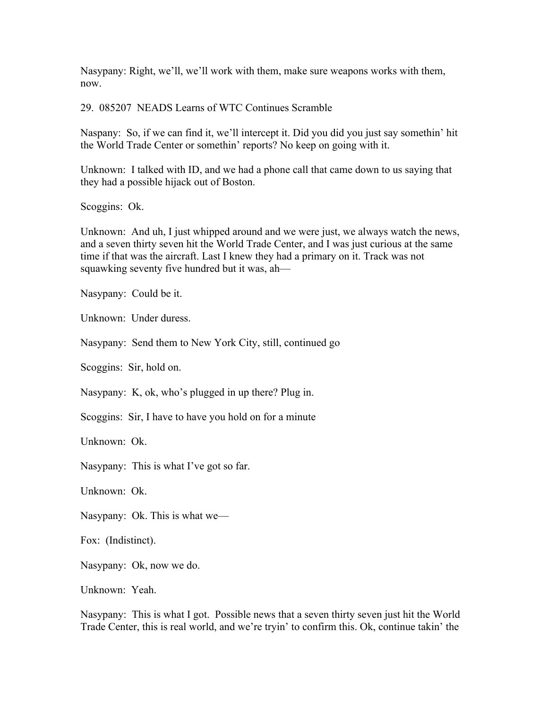Nasypany: Right, we'll, we'll work with them, make sure weapons works with them, now.

29. 085207 NEADS Learns of WTC Continues Scramble

Naspany: So, if we can find it, we'll intercept it. Did you did you just say somethin' hit the World Trade Center or somethin' reports? No keep on going with it.

Unknown: I talked with ID, and we had a phone call that came down to us saying that they had a possible hijack out of Boston.

Scoggins: Ok.

Unknown: And uh, I just whipped around and we were just, we always watch the news, and a seven thirty seven hit the World Trade Center, and I was just curious at the same time if that was the aircraft. Last I knew they had a primary on it. Track was not squawking seventy five hundred but it was, ah—

Nasypany: Could be it.

Unknown: Under duress.

Nasypany: Send them to New York City, still, continued go

Scoggins: Sir, hold on.

Nasypany: K, ok, who's plugged in up there? Plug in.

Scoggins: Sir, I have to have you hold on for a minute

Unknown: Ok.

Nasypany: This is what I've got so far.

Unknown: Ok.

Nasypany: Ok. This is what we—

Fox: (Indistinct).

Nasypany: Ok, now we do.

Unknown: Yeah.

Nasypany: This is what I got. Possible news that a seven thirty seven just hit the World Trade Center, this is real world, and we're tryin' to confirm this. Ok, continue takin' the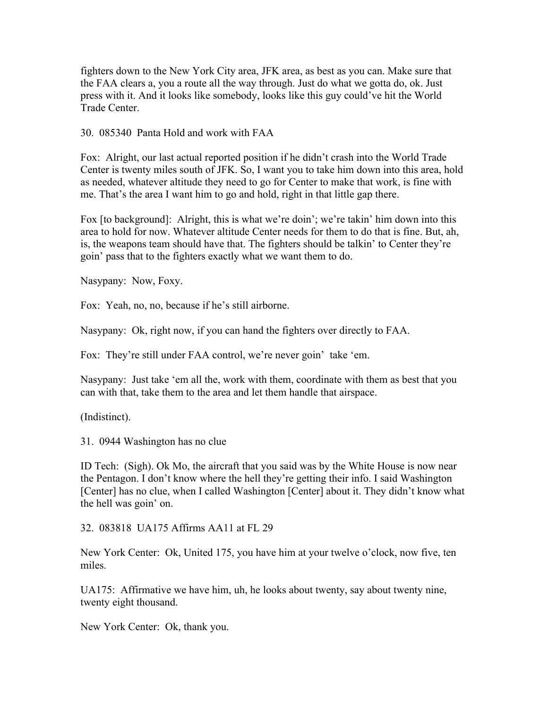fighters down to the New York City area, JFK area, as best as you can. Make sure that the FAA clears a, you a route all the way through. Just do what we gotta do, ok. Just press with it. And it looks like somebody, looks like this guy could've hit the World Trade Center.

30. 085340 Panta Hold and work with FAA

Fox: Alright, our last actual reported position if he didn't crash into the World Trade Center is twenty miles south of JFK. So, I want you to take him down into this area, hold as needed, whatever altitude they need to go for Center to make that work, is fine with me. That's the area I want him to go and hold, right in that little gap there.

Fox [to background]: Alright, this is what we're doin'; we're takin' him down into this area to hold for now. Whatever altitude Center needs for them to do that is fine. But, ah, is, the weapons team should have that. The fighters should be talkin' to Center they're goin' pass that to the fighters exactly what we want them to do.

Nasypany: Now, Foxy.

Fox: Yeah, no, no, because if he's still airborne.

Nasypany: Ok, right now, if you can hand the fighters over directly to FAA.

Fox: They're still under FAA control, we're never goin' take 'em.

Nasypany: Just take 'em all the, work with them, coordinate with them as best that you can with that, take them to the area and let them handle that airspace.

(Indistinct).

31. 0944 Washington has no clue

ID Tech: (Sigh). Ok Mo, the aircraft that you said was by the White House is now near the Pentagon. I don't know where the hell they're getting their info. I said Washington [Center] has no clue, when I called Washington [Center] about it. They didn't know what the hell was goin' on.

32. 083818 UA175 Affirms AA11 at FL 29

New York Center: Ok, United 175, you have him at your twelve o'clock, now five, ten miles.

UA175: Affirmative we have him, uh, he looks about twenty, say about twenty nine, twenty eight thousand.

New York Center: Ok, thank you.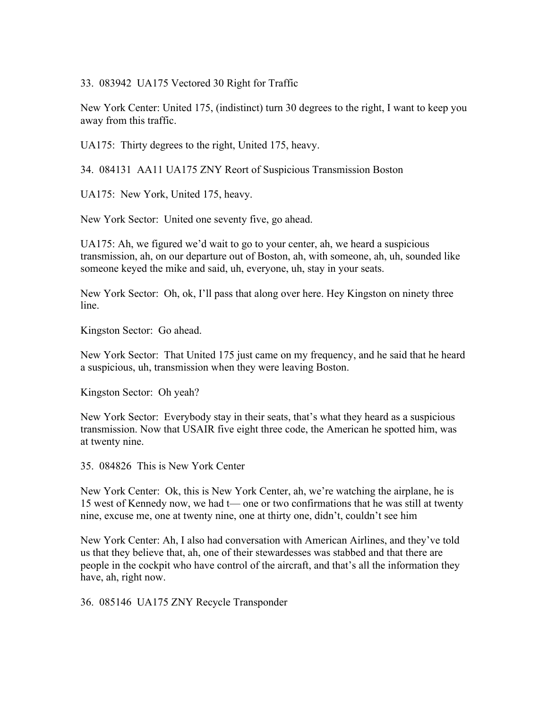33. 083942 UA175 Vectored 30 Right for Traffic

New York Center: United 175, (indistinct) turn 30 degrees to the right, I want to keep you away from this traffic.

UA175: Thirty degrees to the right, United 175, heavy.

34. 084131 AA11 UA175 ZNY Reort of Suspicious Transmission Boston

UA175: New York, United 175, heavy.

New York Sector: United one seventy five, go ahead.

UA175: Ah, we figured we'd wait to go to your center, ah, we heard a suspicious transmission, ah, on our departure out of Boston, ah, with someone, ah, uh, sounded like someone keyed the mike and said, uh, everyone, uh, stay in your seats.

New York Sector: Oh, ok, I'll pass that along over here. Hey Kingston on ninety three line.

Kingston Sector: Go ahead.

New York Sector: That United 175 just came on my frequency, and he said that he heard a suspicious, uh, transmission when they were leaving Boston.

Kingston Sector: Oh yeah?

New York Sector: Everybody stay in their seats, that's what they heard as a suspicious transmission. Now that USAIR five eight three code, the American he spotted him, was at twenty nine.

35. 084826 This is New York Center

New York Center: Ok, this is New York Center, ah, we're watching the airplane, he is 15 west of Kennedy now, we had t— one or two confirmations that he was still at twenty nine, excuse me, one at twenty nine, one at thirty one, didn't, couldn't see him

New York Center: Ah, I also had conversation with American Airlines, and they've told us that they believe that, ah, one of their stewardesses was stabbed and that there are people in the cockpit who have control of the aircraft, and that's all the information they have, ah, right now.

36. 085146 UA175 ZNY Recycle Transponder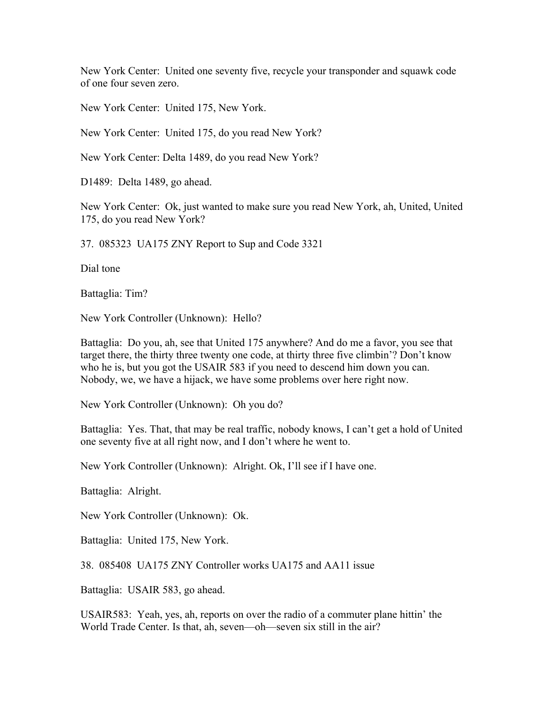New York Center: United one seventy five, recycle your transponder and squawk code of one four seven zero.

New York Center: United 175, New York.

New York Center: United 175, do you read New York?

New York Center: Delta 1489, do you read New York?

D1489: Delta 1489, go ahead.

New York Center: Ok, just wanted to make sure you read New York, ah, United, United 175, do you read New York?

37. 085323 UA175 ZNY Report to Sup and Code 3321

Dial tone

Battaglia: Tim?

New York Controller (Unknown): Hello?

Battaglia: Do you, ah, see that United 175 anywhere? And do me a favor, you see that target there, the thirty three twenty one code, at thirty three five climbin'? Don't know who he is, but you got the USAIR 583 if you need to descend him down you can. Nobody, we, we have a hijack, we have some problems over here right now.

New York Controller (Unknown): Oh you do?

Battaglia: Yes. That, that may be real traffic, nobody knows, I can't get a hold of United one seventy five at all right now, and I don't where he went to.

New York Controller (Unknown): Alright. Ok, I'll see if I have one.

Battaglia: Alright.

New York Controller (Unknown): Ok.

Battaglia: United 175, New York.

38. 085408 UA175 ZNY Controller works UA175 and AA11 issue

Battaglia: USAIR 583, go ahead.

USAIR583: Yeah, yes, ah, reports on over the radio of a commuter plane hittin' the World Trade Center. Is that, ah, seven—oh—seven six still in the air?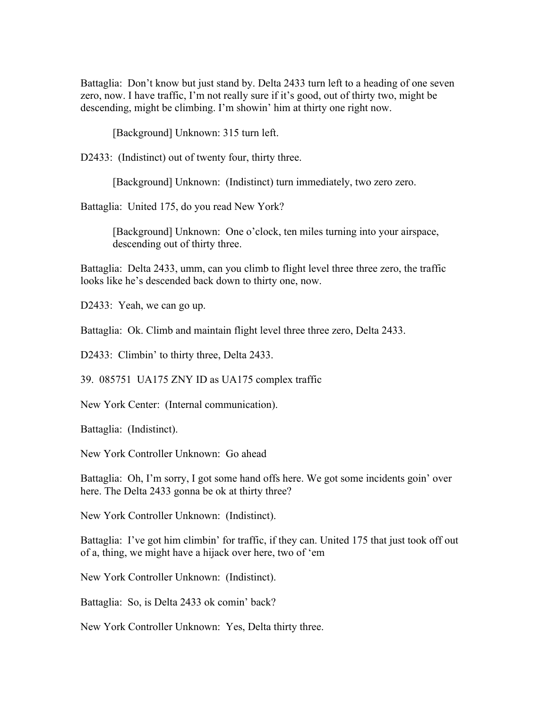Battaglia: Don't know but just stand by. Delta 2433 turn left to a heading of one seven zero, now. I have traffic, I'm not really sure if it's good, out of thirty two, might be descending, might be climbing. I'm showin' him at thirty one right now.

[Background] Unknown: 315 turn left.

D2433: (Indistinct) out of twenty four, thirty three.

[Background] Unknown: (Indistinct) turn immediately, two zero zero.

Battaglia: United 175, do you read New York?

[Background] Unknown: One o'clock, ten miles turning into your airspace, descending out of thirty three.

Battaglia: Delta 2433, umm, can you climb to flight level three three zero, the traffic looks like he's descended back down to thirty one, now.

D2433: Yeah, we can go up.

Battaglia: Ok. Climb and maintain flight level three three zero, Delta 2433.

D2433: Climbin' to thirty three, Delta 2433.

39. 085751 UA175 ZNY ID as UA175 complex traffic

New York Center: (Internal communication).

Battaglia: (Indistinct).

New York Controller Unknown: Go ahead

Battaglia: Oh, I'm sorry, I got some hand offs here. We got some incidents goin' over here. The Delta 2433 gonna be ok at thirty three?

New York Controller Unknown: (Indistinct).

Battaglia: I've got him climbin' for traffic, if they can. United 175 that just took off out of a, thing, we might have a hijack over here, two of 'em

New York Controller Unknown: (Indistinct).

Battaglia: So, is Delta 2433 ok comin' back?

New York Controller Unknown: Yes, Delta thirty three.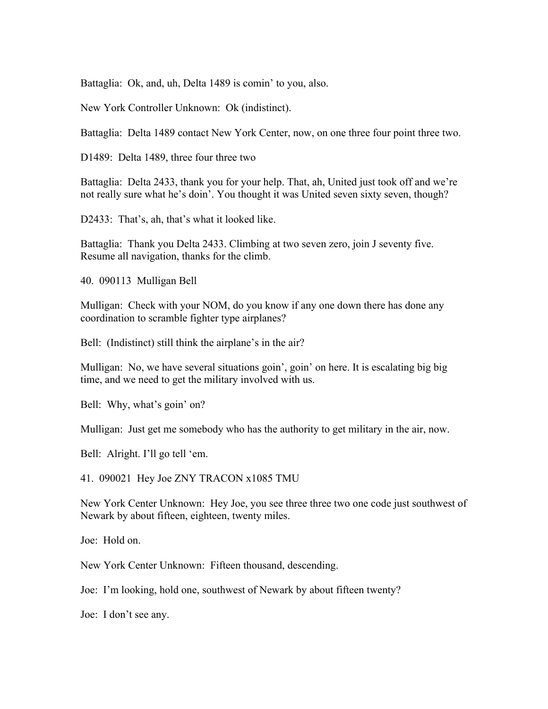Battaglia: Ok, and, uh, Delta 1489 is comin' to you, also.

New York Controller Unknown: Ok (indistinct).

Battaglia: Delta 1489 contact New York Center, now, on one three four point three two.

D1489: Delta 1489, three four three two

Battaglia: Delta 2433, thank you for your help. That, ah, United just took off and we're not really sure what he's doin'. You thought it was United seven sixty seven, though?

D2433: That's, ah, that's what it looked like.

Battaglia: Thank you Delta 2433. Climbing at two seven zero, join J seventy five. Resume all navigation, thanks for the climb.

40. 090113 Mulligan Bell

Mulligan: Check with your NOM, do you know if any one down there has done any coordination to scramble fighter type airplanes?

Bell: (Indistinct) still think the airplane's in the air?

Mulligan: No, we have several situations goin', goin' on here. It is escalating big big time, and we need to get the military involved with us.

Bell: Why, what's goin' on?

Mulligan: Just get me somebody who has the authority to get military in the air, now.

Bell: Alright. I'll go tell 'em.

41. 090021 Hey Joe ZNY TRACON x1085 TMU

New York Center Unknown: Hey Joe, you see three three two one code just southwest of Newark by about fifteen, eighteen, twenty miles.

Joe: Hold on.

New York Center Unknown: Fifteen thousand, descending.

Joe: I'm looking, hold one, southwest of Newark by about fifteen twenty?

Joe: I don't see any.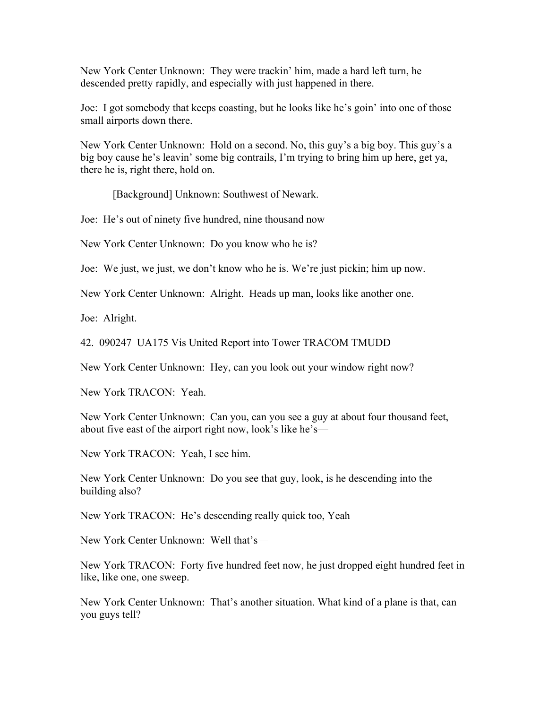New York Center Unknown: They were trackin' him, made a hard left turn, he descended pretty rapidly, and especially with just happened in there.

Joe: I got somebody that keeps coasting, but he looks like he's goin' into one of those small airports down there.

New York Center Unknown: Hold on a second. No, this guy's a big boy. This guy's a big boy cause he's leavin' some big contrails, I'm trying to bring him up here, get ya, there he is, right there, hold on.

[Background] Unknown: Southwest of Newark.

Joe: He's out of ninety five hundred, nine thousand now

New York Center Unknown: Do you know who he is?

Joe: We just, we just, we don't know who he is. We're just pickin; him up now.

New York Center Unknown: Alright. Heads up man, looks like another one.

Joe: Alright.

42. 090247 UA175 Vis United Report into Tower TRACOM TMUDD

New York Center Unknown: Hey, can you look out your window right now?

New York TRACON: Yeah.

New York Center Unknown: Can you, can you see a guy at about four thousand feet, about five east of the airport right now, look's like he's—

New York TRACON: Yeah, I see him.

New York Center Unknown: Do you see that guy, look, is he descending into the building also?

New York TRACON: He's descending really quick too, Yeah

New York Center Unknown: Well that's—

New York TRACON: Forty five hundred feet now, he just dropped eight hundred feet in like, like one, one sweep.

New York Center Unknown: That's another situation. What kind of a plane is that, can you guys tell?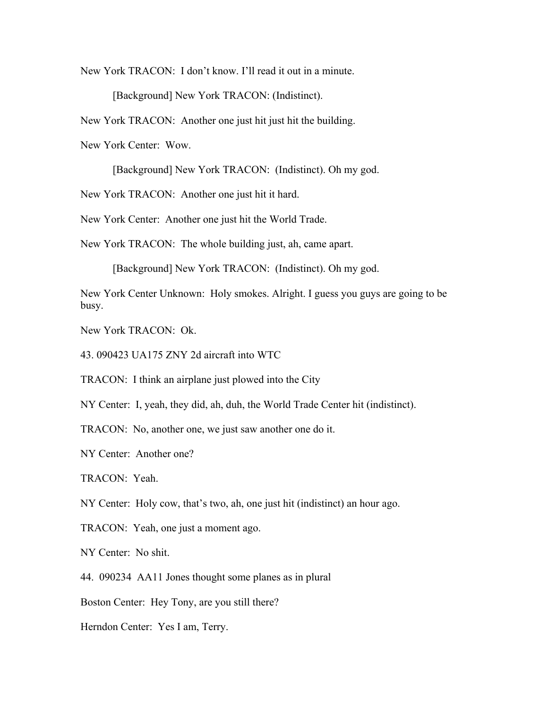New York TRACON: I don't know. I'll read it out in a minute.

[Background] New York TRACON: (Indistinct).

New York TRACON: Another one just hit just hit the building.

New York Center: Wow.

[Background] New York TRACON: (Indistinct). Oh my god.

New York TRACON: Another one just hit it hard.

New York Center: Another one just hit the World Trade.

New York TRACON: The whole building just, ah, came apart.

[Background] New York TRACON: (Indistinct). Oh my god.

New York Center Unknown: Holy smokes. Alright. I guess you guys are going to be busy.

New York TRACON: Ok.

43. 090423 UA175 ZNY 2d aircraft into WTC

TRACON: I think an airplane just plowed into the City

NY Center: I, yeah, they did, ah, duh, the World Trade Center hit (indistinct).

TRACON: No, another one, we just saw another one do it.

NY Center: Another one?

TRACON: Yeah.

NY Center: Holy cow, that's two, ah, one just hit (indistinct) an hour ago.

TRACON: Yeah, one just a moment ago.

NY Center: No shit.

44. 090234 AA11 Jones thought some planes as in plural

Boston Center: Hey Tony, are you still there?

Herndon Center: Yes I am, Terry.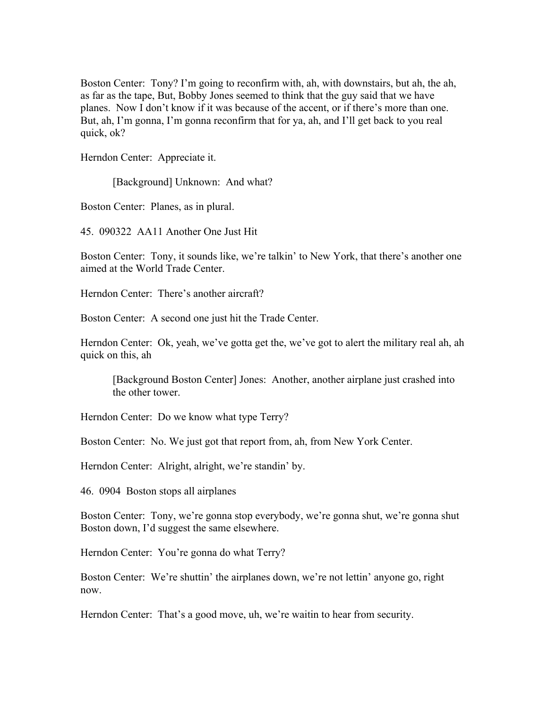Boston Center: Tony? I'm going to reconfirm with, ah, with downstairs, but ah, the ah, as far as the tape, But, Bobby Jones seemed to think that the guy said that we have planes. Now I don't know if it was because of the accent, or if there's more than one. But, ah, I'm gonna, I'm gonna reconfirm that for ya, ah, and I'll get back to you real quick, ok?

Herndon Center: Appreciate it.

[Background] Unknown: And what?

Boston Center: Planes, as in plural.

45. 090322 AA11 Another One Just Hit

Boston Center: Tony, it sounds like, we're talkin' to New York, that there's another one aimed at the World Trade Center.

Herndon Center: There's another aircraft?

Boston Center: A second one just hit the Trade Center.

Herndon Center: Ok, yeah, we've gotta get the, we've got to alert the military real ah, ah quick on this, ah

[Background Boston Center] Jones: Another, another airplane just crashed into the other tower.

Herndon Center: Do we know what type Terry?

Boston Center: No. We just got that report from, ah, from New York Center.

Herndon Center: Alright, alright, we're standin' by.

46. 0904 Boston stops all airplanes

Boston Center: Tony, we're gonna stop everybody, we're gonna shut, we're gonna shut Boston down, I'd suggest the same elsewhere.

Herndon Center: You're gonna do what Terry?

Boston Center: We're shuttin' the airplanes down, we're not lettin' anyone go, right now.

Herndon Center: That's a good move, uh, we're waitin to hear from security.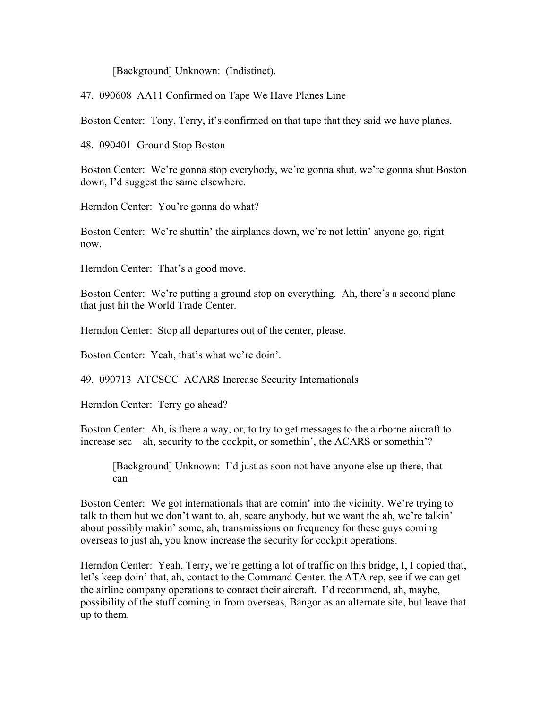[Background] Unknown: (Indistinct).

47. 090608 AA11 Confirmed on Tape We Have Planes Line

Boston Center: Tony, Terry, it's confirmed on that tape that they said we have planes.

48. 090401 Ground Stop Boston

Boston Center: We're gonna stop everybody, we're gonna shut, we're gonna shut Boston down, I'd suggest the same elsewhere.

Herndon Center: You're gonna do what?

Boston Center: We're shuttin' the airplanes down, we're not lettin' anyone go, right now.

Herndon Center: That's a good move.

Boston Center: We're putting a ground stop on everything. Ah, there's a second plane that just hit the World Trade Center.

Herndon Center: Stop all departures out of the center, please.

Boston Center: Yeah, that's what we're doin'.

49. 090713 ATCSCC ACARS Increase Security Internationals

Herndon Center: Terry go ahead?

Boston Center: Ah, is there a way, or, to try to get messages to the airborne aircraft to increase sec—ah, security to the cockpit, or somethin', the ACARS or somethin'?

[Background] Unknown: I'd just as soon not have anyone else up there, that can—

Boston Center: We got internationals that are comin' into the vicinity. We're trying to talk to them but we don't want to, ah, scare anybody, but we want the ah, we're talkin' about possibly makin' some, ah, transmissions on frequency for these guys coming overseas to just ah, you know increase the security for cockpit operations.

Herndon Center: Yeah, Terry, we're getting a lot of traffic on this bridge, I, I copied that, let's keep doin' that, ah, contact to the Command Center, the ATA rep, see if we can get the airline company operations to contact their aircraft. I'd recommend, ah, maybe, possibility of the stuff coming in from overseas, Bangor as an alternate site, but leave that up to them.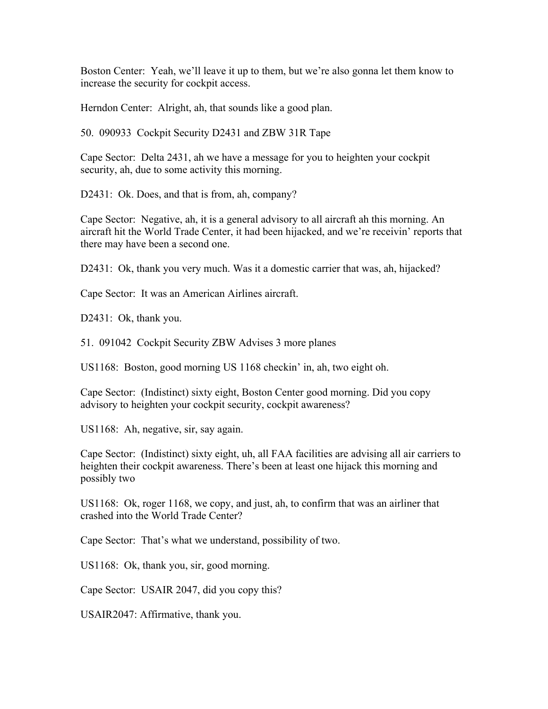Boston Center: Yeah, we'll leave it up to them, but we're also gonna let them know to increase the security for cockpit access.

Herndon Center: Alright, ah, that sounds like a good plan.

50. 090933 Cockpit Security D2431 and ZBW 31R Tape

Cape Sector: Delta 2431, ah we have a message for you to heighten your cockpit security, ah, due to some activity this morning.

D2431: Ok. Does, and that is from, ah, company?

Cape Sector: Negative, ah, it is a general advisory to all aircraft ah this morning. An aircraft hit the World Trade Center, it had been hijacked, and we're receivin' reports that there may have been a second one.

D2431: Ok, thank you very much. Was it a domestic carrier that was, ah, hijacked?

Cape Sector: It was an American Airlines aircraft.

D2431: Ok, thank you.

51. 091042 Cockpit Security ZBW Advises 3 more planes

US1168: Boston, good morning US 1168 checkin' in, ah, two eight oh.

Cape Sector: (Indistinct) sixty eight, Boston Center good morning. Did you copy advisory to heighten your cockpit security, cockpit awareness?

US1168: Ah, negative, sir, say again.

Cape Sector: (Indistinct) sixty eight, uh, all FAA facilities are advising all air carriers to heighten their cockpit awareness. There's been at least one hijack this morning and possibly two

US1168: Ok, roger 1168, we copy, and just, ah, to confirm that was an airliner that crashed into the World Trade Center?

Cape Sector: That's what we understand, possibility of two.

US1168: Ok, thank you, sir, good morning.

Cape Sector: USAIR 2047, did you copy this?

USAIR2047: Affirmative, thank you.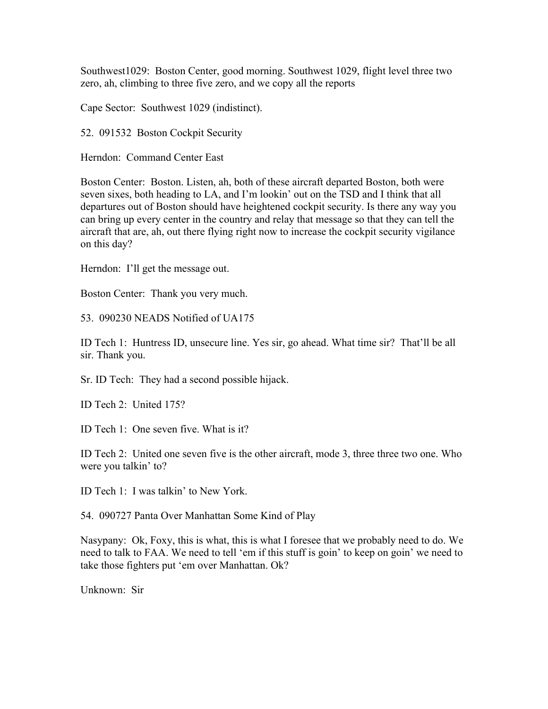Southwest1029: Boston Center, good morning. Southwest 1029, flight level three two zero, ah, climbing to three five zero, and we copy all the reports

Cape Sector: Southwest 1029 (indistinct).

52. 091532 Boston Cockpit Security

Herndon: Command Center East

Boston Center: Boston. Listen, ah, both of these aircraft departed Boston, both were seven sixes, both heading to LA, and I'm lookin' out on the TSD and I think that all departures out of Boston should have heightened cockpit security. Is there any way you can bring up every center in the country and relay that message so that they can tell the aircraft that are, ah, out there flying right now to increase the cockpit security vigilance on this day?

Herndon: I'll get the message out.

Boston Center: Thank you very much.

53. 090230 NEADS Notified of UA175

ID Tech 1: Huntress ID, unsecure line. Yes sir, go ahead. What time sir? That'll be all sir. Thank you.

Sr. ID Tech: They had a second possible hijack.

ID Tech 2: United 175?

ID Tech 1: One seven five. What is it?

ID Tech 2: United one seven five is the other aircraft, mode 3, three three two one. Who were you talkin' to?

ID Tech 1: I was talkin' to New York.

54. 090727 Panta Over Manhattan Some Kind of Play

Nasypany: Ok, Foxy, this is what, this is what I foresee that we probably need to do. We need to talk to FAA. We need to tell 'em if this stuff is goin' to keep on goin' we need to take those fighters put 'em over Manhattan. Ok?

Unknown: Sir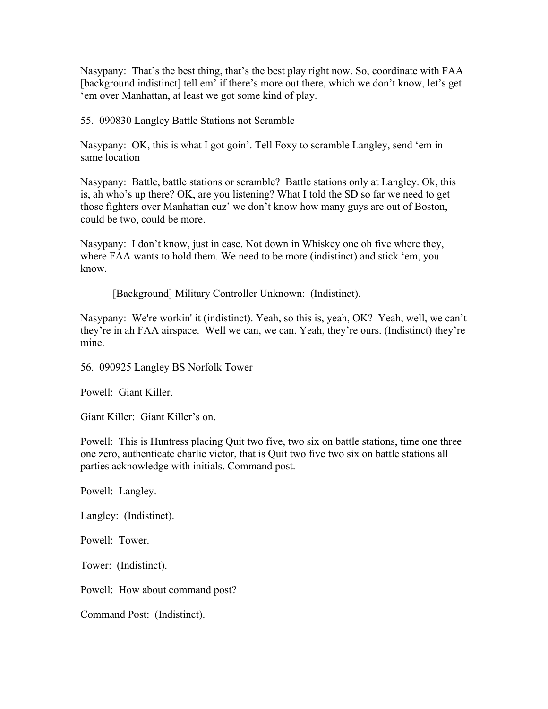Nasypany: That's the best thing, that's the best play right now. So, coordinate with FAA [background indistinct] tell em' if there's more out there, which we don't know, let's get 'em over Manhattan, at least we got some kind of play.

55. 090830 Langley Battle Stations not Scramble

Nasypany: OK, this is what I got goin'. Tell Foxy to scramble Langley, send 'em in same location

Nasypany: Battle, battle stations or scramble? Battle stations only at Langley. Ok, this is, ah who's up there? OK, are you listening? What I told the SD so far we need to get those fighters over Manhattan cuz' we don't know how many guys are out of Boston, could be two, could be more.

Nasypany: I don't know, just in case. Not down in Whiskey one oh five where they, where FAA wants to hold them. We need to be more (indistinct) and stick 'em, you know.

[Background] Military Controller Unknown: (Indistinct).

Nasypany: We're workin' it (indistinct). Yeah, so this is, yeah, OK? Yeah, well, we can't they're in ah FAA airspace. Well we can, we can. Yeah, they're ours. (Indistinct) they're mine.

56. 090925 Langley BS Norfolk Tower

Powell: Giant Killer.

Giant Killer: Giant Killer's on.

Powell: This is Huntress placing Quit two five, two six on battle stations, time one three one zero, authenticate charlie victor, that is Quit two five two six on battle stations all parties acknowledge with initials. Command post.

Powell: Langley.

Langley: (Indistinct).

Powell: Tower.

Tower: (Indistinct).

Powell: How about command post?

Command Post: (Indistinct).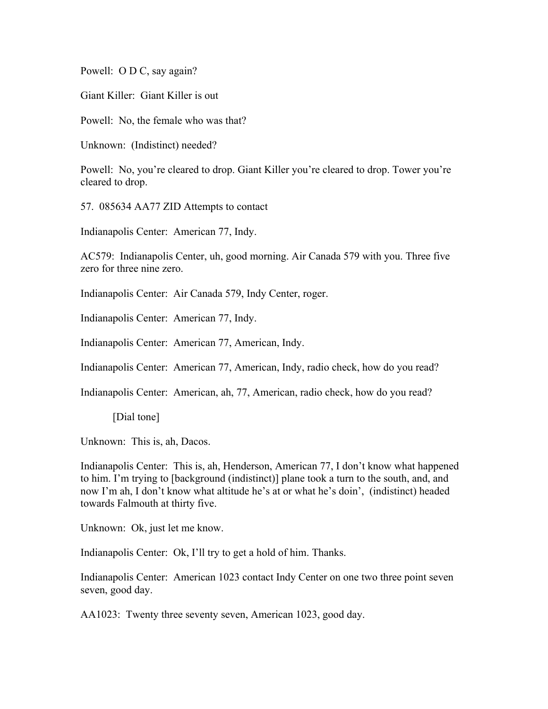Powell: O D C, say again?

Giant Killer: Giant Killer is out

Powell: No, the female who was that?

Unknown: (Indistinct) needed?

Powell: No, you're cleared to drop. Giant Killer you're cleared to drop. Tower you're cleared to drop.

57. 085634 AA77 ZID Attempts to contact

Indianapolis Center: American 77, Indy.

AC579: Indianapolis Center, uh, good morning. Air Canada 579 with you. Three five zero for three nine zero.

Indianapolis Center: Air Canada 579, Indy Center, roger.

Indianapolis Center: American 77, Indy.

Indianapolis Center: American 77, American, Indy.

Indianapolis Center: American 77, American, Indy, radio check, how do you read?

Indianapolis Center: American, ah, 77, American, radio check, how do you read?

[Dial tone]

Unknown: This is, ah, Dacos.

Indianapolis Center: This is, ah, Henderson, American 77, I don't know what happened to him. I'm trying to [background (indistinct)] plane took a turn to the south, and, and now I'm ah, I don't know what altitude he's at or what he's doin', (indistinct) headed towards Falmouth at thirty five.

Unknown: Ok, just let me know.

Indianapolis Center: Ok, I'll try to get a hold of him. Thanks.

Indianapolis Center: American 1023 contact Indy Center on one two three point seven seven, good day.

AA1023: Twenty three seventy seven, American 1023, good day.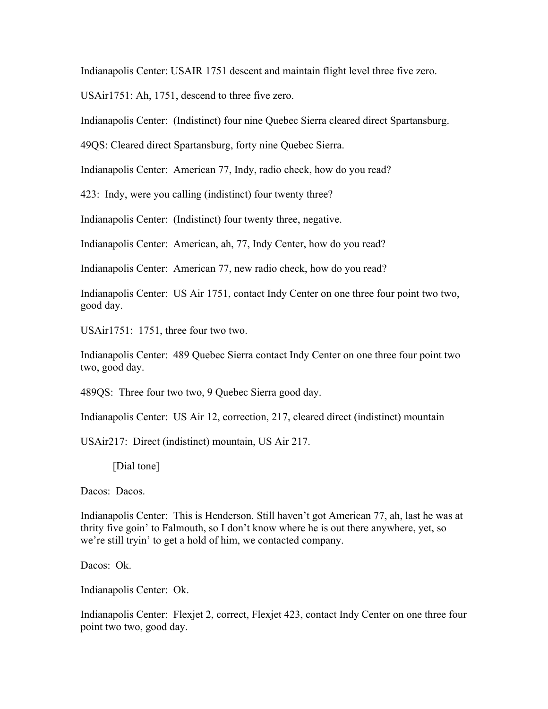Indianapolis Center: USAIR 1751 descent and maintain flight level three five zero.

USAir1751: Ah, 1751, descend to three five zero.

Indianapolis Center: (Indistinct) four nine Quebec Sierra cleared direct Spartansburg.

49QS: Cleared direct Spartansburg, forty nine Quebec Sierra.

Indianapolis Center: American 77, Indy, radio check, how do you read?

423: Indy, were you calling (indistinct) four twenty three?

Indianapolis Center: (Indistinct) four twenty three, negative.

Indianapolis Center: American, ah, 77, Indy Center, how do you read?

Indianapolis Center: American 77, new radio check, how do you read?

Indianapolis Center: US Air 1751, contact Indy Center on one three four point two two, good day.

USAir1751: 1751, three four two two.

Indianapolis Center: 489 Quebec Sierra contact Indy Center on one three four point two two, good day.

489QS: Three four two two, 9 Quebec Sierra good day.

Indianapolis Center: US Air 12, correction, 217, cleared direct (indistinct) mountain

USAir217: Direct (indistinct) mountain, US Air 217.

[Dial tone]

Dacos: Dacos.

Indianapolis Center: This is Henderson. Still haven't got American 77, ah, last he was at thrity five goin' to Falmouth, so I don't know where he is out there anywhere, yet, so we're still tryin' to get a hold of him, we contacted company.

Dacos: Ok.

Indianapolis Center: Ok.

Indianapolis Center: Flexjet 2, correct, Flexjet 423, contact Indy Center on one three four point two two, good day.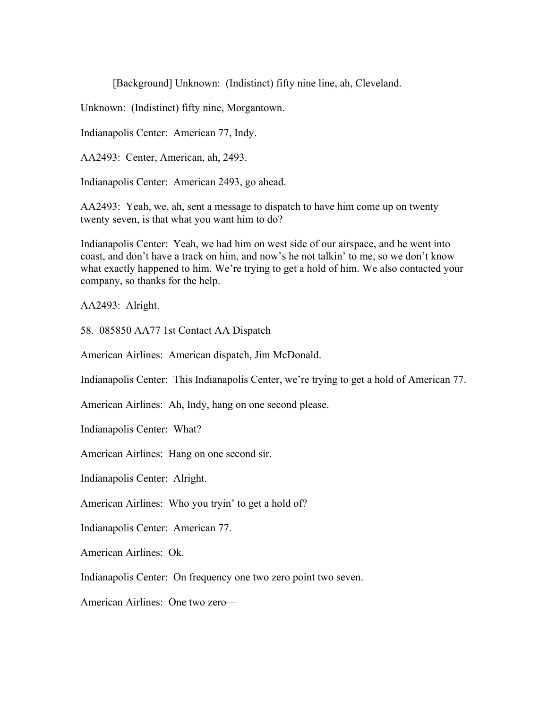[Background] Unknown: (Indistinct) fifty nine line, ah, Cleveland.

Unknown: (Indistinct) fifty nine, Morgantown.

Indianapolis Center: American 77, Indy.

AA2493: Center, American, ah, 2493.

Indianapolis Center: American 2493, go ahead.

AA2493: Yeah, we, ah, sent a message to dispatch to have him come up on twenty twenty seven, is that what you want him to do?

Indianapolis Center: Yeah, we had him on west side of our airspace, and he went into coast, and don't have a track on him, and now's he not talkin' to me, so we don't know what exactly happened to him. We're trying to get a hold of him. We also contacted your company, so thanks for the help.

AA2493: Alright.

58. 085850 AA77 1st Contact AA Dispatch

American Airlines: American dispatch, Jim McDonald.

Indianapolis Center: This Indianapolis Center, we're trying to get a hold of American 77.

American Airlines: Ah, Indy, hang on one second please.

Indianapolis Center: What?

American Airlines: Hang on one second sir.

Indianapolis Center: Alright.

American Airlines: Who you tryin' to get a hold of?

Indianapolis Center: American 77.

American Airlines: Ok.

Indianapolis Center: On frequency one two zero point two seven.

American Airlines: One two zero—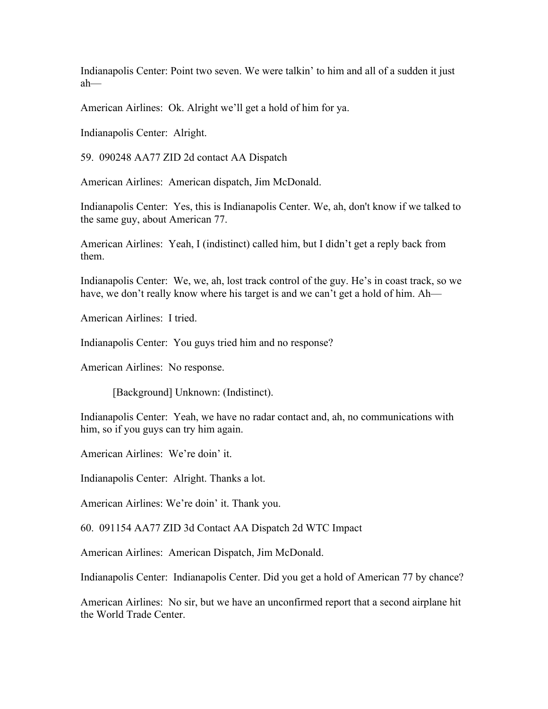Indianapolis Center: Point two seven. We were talkin' to him and all of a sudden it just ah—

American Airlines: Ok. Alright we'll get a hold of him for ya.

Indianapolis Center: Alright.

59. 090248 AA77 ZID 2d contact AA Dispatch

American Airlines: American dispatch, Jim McDonald.

Indianapolis Center: Yes, this is Indianapolis Center. We, ah, don't know if we talked to the same guy, about American 77.

American Airlines: Yeah, I (indistinct) called him, but I didn't get a reply back from them.

Indianapolis Center: We, we, ah, lost track control of the guy. He's in coast track, so we have, we don't really know where his target is and we can't get a hold of him. Ah—

American Airlines: I tried.

Indianapolis Center: You guys tried him and no response?

American Airlines: No response.

[Background] Unknown: (Indistinct).

Indianapolis Center: Yeah, we have no radar contact and, ah, no communications with him, so if you guys can try him again.

American Airlines: We're doin' it.

Indianapolis Center: Alright. Thanks a lot.

American Airlines: We're doin' it. Thank you.

60. 091154 AA77 ZID 3d Contact AA Dispatch 2d WTC Impact

American Airlines: American Dispatch, Jim McDonald.

Indianapolis Center: Indianapolis Center. Did you get a hold of American 77 by chance?

American Airlines: No sir, but we have an unconfirmed report that a second airplane hit the World Trade Center.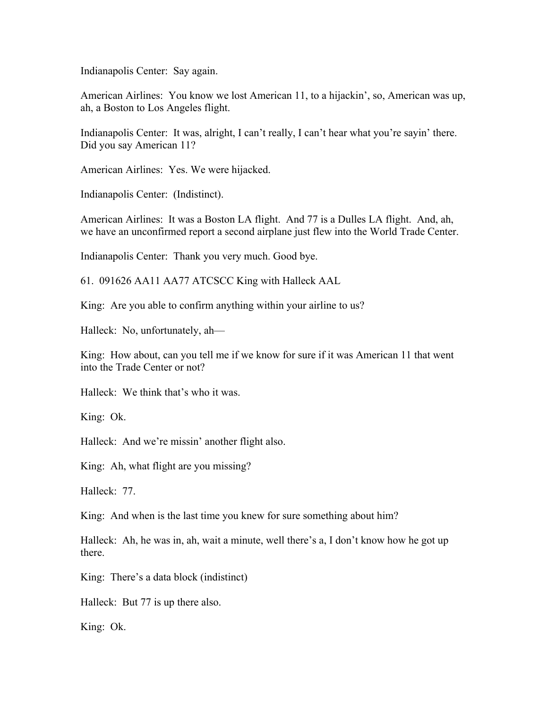Indianapolis Center: Say again.

American Airlines: You know we lost American 11, to a hijackin', so, American was up, ah, a Boston to Los Angeles flight.

Indianapolis Center: It was, alright, I can't really, I can't hear what you're sayin' there. Did you say American 11?

American Airlines: Yes. We were hijacked.

Indianapolis Center: (Indistinct).

American Airlines: It was a Boston LA flight. And 77 is a Dulles LA flight. And, ah, we have an unconfirmed report a second airplane just flew into the World Trade Center.

Indianapolis Center: Thank you very much. Good bye.

61. 091626 AA11 AA77 ATCSCC King with Halleck AAL

King: Are you able to confirm anything within your airline to us?

Halleck: No, unfortunately, ah—

King: How about, can you tell me if we know for sure if it was American 11 that went into the Trade Center or not?

Halleck: We think that's who it was.

King: Ok.

Halleck: And we're missin' another flight also.

King: Ah, what flight are you missing?

Halleck: 77.

King: And when is the last time you knew for sure something about him?

Halleck: Ah, he was in, ah, wait a minute, well there's a, I don't know how he got up there.

King: There's a data block (indistinct)

Halleck: But 77 is up there also.

King: Ok.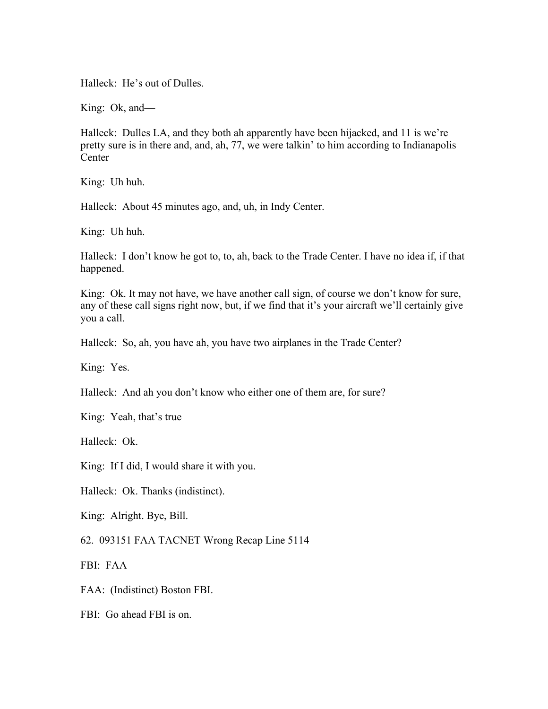Halleck: He's out of Dulles.

King: Ok, and—

Halleck: Dulles LA, and they both ah apparently have been hijacked, and 11 is we're pretty sure is in there and, and, ah, 77, we were talkin' to him according to Indianapolis **Center** 

King: Uh huh.

Halleck: About 45 minutes ago, and, uh, in Indy Center.

King: Uh huh.

Halleck: I don't know he got to, to, ah, back to the Trade Center. I have no idea if, if that happened.

King: Ok. It may not have, we have another call sign, of course we don't know for sure, any of these call signs right now, but, if we find that it's your aircraft we'll certainly give you a call.

Halleck: So, ah, you have ah, you have two airplanes in the Trade Center?

King: Yes.

Halleck: And ah you don't know who either one of them are, for sure?

King: Yeah, that's true

Halleck: Ok.

King: If I did, I would share it with you.

Halleck: Ok. Thanks (indistinct).

King: Alright. Bye, Bill.

62. 093151 FAA TACNET Wrong Recap Line 5114

FBI: FAA

FAA: (Indistinct) Boston FBI.

FBI: Go ahead FBI is on.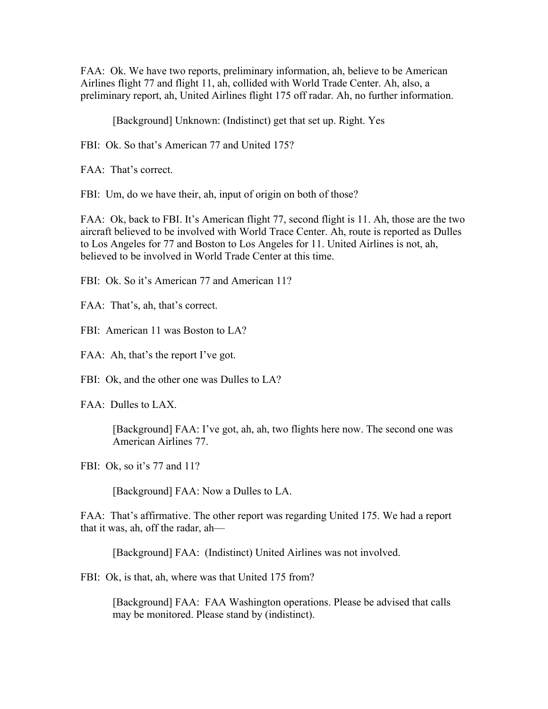FAA: Ok. We have two reports, preliminary information, ah, believe to be American Airlines flight 77 and flight 11, ah, collided with World Trade Center. Ah, also, a preliminary report, ah, United Airlines flight 175 off radar. Ah, no further information.

[Background] Unknown: (Indistinct) get that set up. Right. Yes

FBI: Ok. So that's American 77 and United 175?

FAA: That's correct.

FBI: Um, do we have their, ah, input of origin on both of those?

FAA: Ok, back to FBI. It's American flight 77, second flight is 11. Ah, those are the two aircraft believed to be involved with World Trace Center. Ah, route is reported as Dulles to Los Angeles for 77 and Boston to Los Angeles for 11. United Airlines is not, ah, believed to be involved in World Trade Center at this time.

FBI: Ok. So it's American 77 and American 11?

FAA: That's, ah, that's correct.

FBI: American 11 was Boston to LA?

FAA: Ah, that's the report I've got.

FBI: Ok, and the other one was Dulles to LA?

FAA: Dulles to LAX.

[Background] FAA: I've got, ah, ah, two flights here now. The second one was American Airlines 77.

FBI: Ok, so it's 77 and 11?

[Background] FAA: Now a Dulles to LA.

FAA: That's affirmative. The other report was regarding United 175. We had a report that it was, ah, off the radar, ah—

[Background] FAA: (Indistinct) United Airlines was not involved.

FBI: Ok, is that, ah, where was that United 175 from?

[Background] FAA: FAA Washington operations. Please be advised that calls may be monitored. Please stand by (indistinct).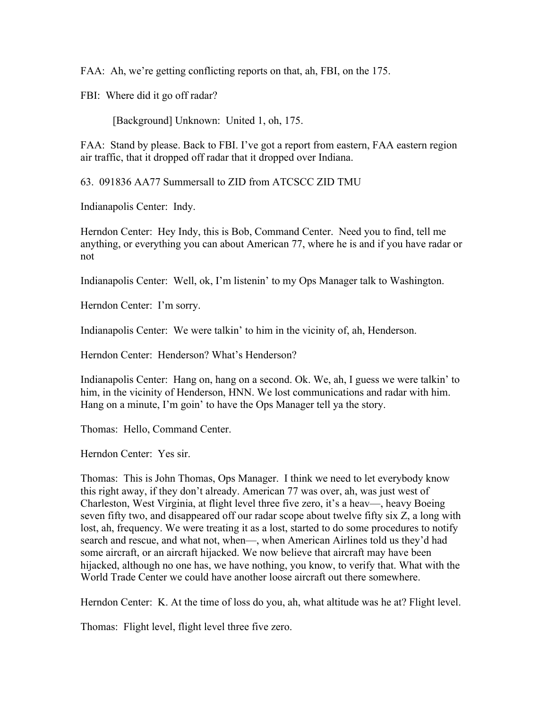FAA: Ah, we're getting conflicting reports on that, ah, FBI, on the 175.

FBI: Where did it go off radar?

[Background] Unknown: United 1, oh, 175.

FAA: Stand by please. Back to FBI. I've got a report from eastern, FAA eastern region air traffic, that it dropped off radar that it dropped over Indiana.

63. 091836 AA77 Summersall to ZID from ATCSCC ZID TMU

Indianapolis Center: Indy.

Herndon Center: Hey Indy, this is Bob, Command Center. Need you to find, tell me anything, or everything you can about American 77, where he is and if you have radar or not

Indianapolis Center: Well, ok, I'm listenin' to my Ops Manager talk to Washington.

Herndon Center: I'm sorry.

Indianapolis Center: We were talkin' to him in the vicinity of, ah, Henderson.

Herndon Center: Henderson? What's Henderson?

Indianapolis Center: Hang on, hang on a second. Ok. We, ah, I guess we were talkin' to him, in the vicinity of Henderson, HNN. We lost communications and radar with him. Hang on a minute, I'm goin' to have the Ops Manager tell ya the story.

Thomas: Hello, Command Center.

Herndon Center: Yes sir.

Thomas: This is John Thomas, Ops Manager. I think we need to let everybody know this right away, if they don't already. American 77 was over, ah, was just west of Charleston, West Virginia, at flight level three five zero, it's a heav—, heavy Boeing seven fifty two, and disappeared off our radar scope about twelve fifty six Z, a long with lost, ah, frequency. We were treating it as a lost, started to do some procedures to notify search and rescue, and what not, when—, when American Airlines told us they'd had some aircraft, or an aircraft hijacked. We now believe that aircraft may have been hijacked, although no one has, we have nothing, you know, to verify that. What with the World Trade Center we could have another loose aircraft out there somewhere.

Herndon Center: K. At the time of loss do you, ah, what altitude was he at? Flight level.

Thomas: Flight level, flight level three five zero.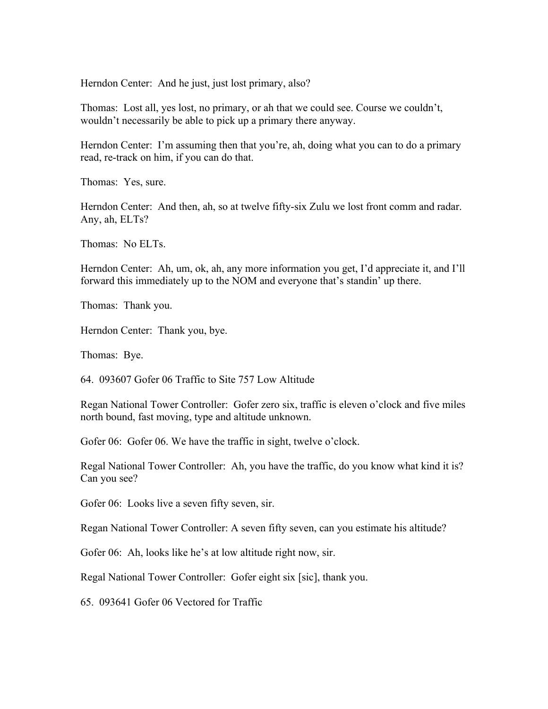Herndon Center: And he just, just lost primary, also?

Thomas: Lost all, yes lost, no primary, or ah that we could see. Course we couldn't, wouldn't necessarily be able to pick up a primary there anyway.

Herndon Center: I'm assuming then that you're, ah, doing what you can to do a primary read, re-track on him, if you can do that.

Thomas: Yes, sure.

Herndon Center: And then, ah, so at twelve fifty-six Zulu we lost front comm and radar. Any, ah, ELTs?

Thomas: No ELTs.

Herndon Center: Ah, um, ok, ah, any more information you get, I'd appreciate it, and I'll forward this immediately up to the NOM and everyone that's standin' up there.

Thomas: Thank you.

Herndon Center: Thank you, bye.

Thomas: Bye.

64. 093607 Gofer 06 Traffic to Site 757 Low Altitude

Regan National Tower Controller: Gofer zero six, traffic is eleven o'clock and five miles north bound, fast moving, type and altitude unknown.

Gofer 06: Gofer 06. We have the traffic in sight, twelve o'clock.

Regal National Tower Controller: Ah, you have the traffic, do you know what kind it is? Can you see?

Gofer 06: Looks live a seven fifty seven, sir.

Regan National Tower Controller: A seven fifty seven, can you estimate his altitude?

Gofer 06: Ah, looks like he's at low altitude right now, sir.

Regal National Tower Controller: Gofer eight six [sic], thank you.

65. 093641 Gofer 06 Vectored for Traffic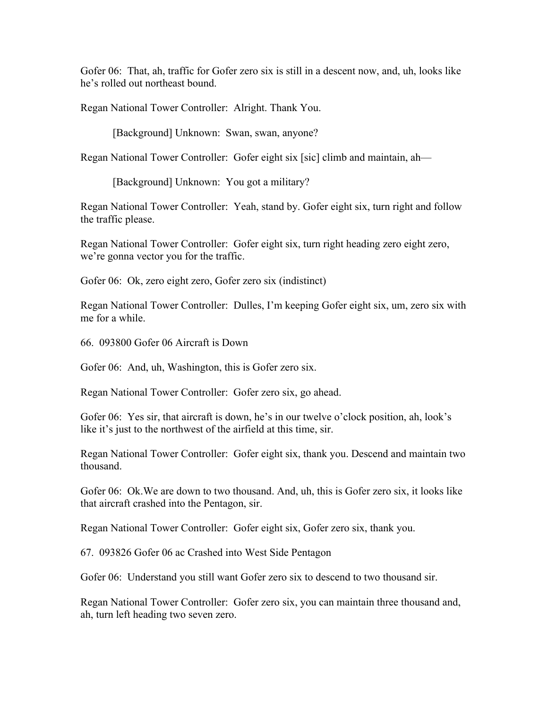Gofer 06: That, ah, traffic for Gofer zero six is still in a descent now, and, uh, looks like he's rolled out northeast bound.

Regan National Tower Controller: Alright. Thank You.

[Background] Unknown: Swan, swan, anyone?

Regan National Tower Controller: Gofer eight six [sic] climb and maintain, ah—

[Background] Unknown: You got a military?

Regan National Tower Controller: Yeah, stand by. Gofer eight six, turn right and follow the traffic please.

Regan National Tower Controller: Gofer eight six, turn right heading zero eight zero, we're gonna vector you for the traffic.

Gofer 06: Ok, zero eight zero, Gofer zero six (indistinct)

Regan National Tower Controller: Dulles, I'm keeping Gofer eight six, um, zero six with me for a while.

66. 093800 Gofer 06 Aircraft is Down

Gofer 06: And, uh, Washington, this is Gofer zero six.

Regan National Tower Controller: Gofer zero six, go ahead.

Gofer 06: Yes sir, that aircraft is down, he's in our twelve o'clock position, ah, look's like it's just to the northwest of the airfield at this time, sir.

Regan National Tower Controller: Gofer eight six, thank you. Descend and maintain two thousand.

Gofer 06: Ok.We are down to two thousand. And, uh, this is Gofer zero six, it looks like that aircraft crashed into the Pentagon, sir.

Regan National Tower Controller: Gofer eight six, Gofer zero six, thank you.

67. 093826 Gofer 06 ac Crashed into West Side Pentagon

Gofer 06: Understand you still want Gofer zero six to descend to two thousand sir.

Regan National Tower Controller: Gofer zero six, you can maintain three thousand and, ah, turn left heading two seven zero.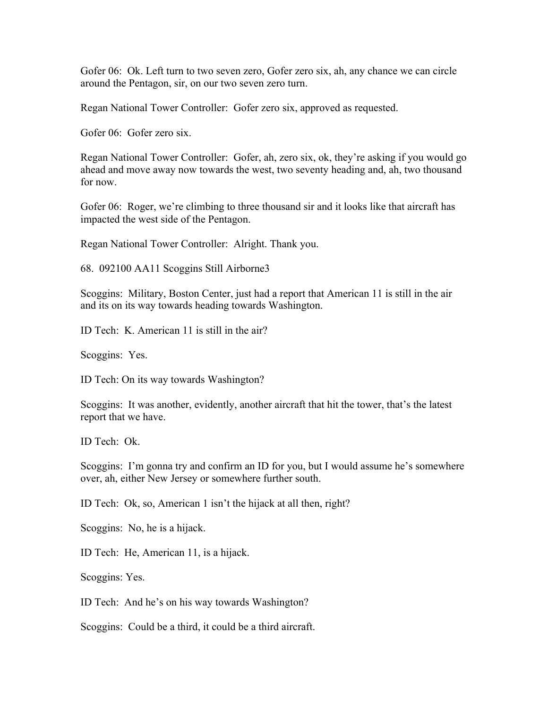Gofer 06: Ok. Left turn to two seven zero, Gofer zero six, ah, any chance we can circle around the Pentagon, sir, on our two seven zero turn.

Regan National Tower Controller: Gofer zero six, approved as requested.

Gofer 06: Gofer zero six.

Regan National Tower Controller: Gofer, ah, zero six, ok, they're asking if you would go ahead and move away now towards the west, two seventy heading and, ah, two thousand for now.

Gofer 06: Roger, we're climbing to three thousand sir and it looks like that aircraft has impacted the west side of the Pentagon.

Regan National Tower Controller: Alright. Thank you.

68. 092100 AA11 Scoggins Still Airborne3

Scoggins: Military, Boston Center, just had a report that American 11 is still in the air and its on its way towards heading towards Washington.

ID Tech: K. American 11 is still in the air?

Scoggins: Yes.

ID Tech: On its way towards Washington?

Scoggins: It was another, evidently, another aircraft that hit the tower, that's the latest report that we have.

ID Tech: Ok.

Scoggins: I'm gonna try and confirm an ID for you, but I would assume he's somewhere over, ah, either New Jersey or somewhere further south.

ID Tech: Ok, so, American 1 isn't the hijack at all then, right?

Scoggins: No, he is a hijack.

ID Tech: He, American 11, is a hijack.

Scoggins: Yes.

ID Tech: And he's on his way towards Washington?

Scoggins: Could be a third, it could be a third aircraft.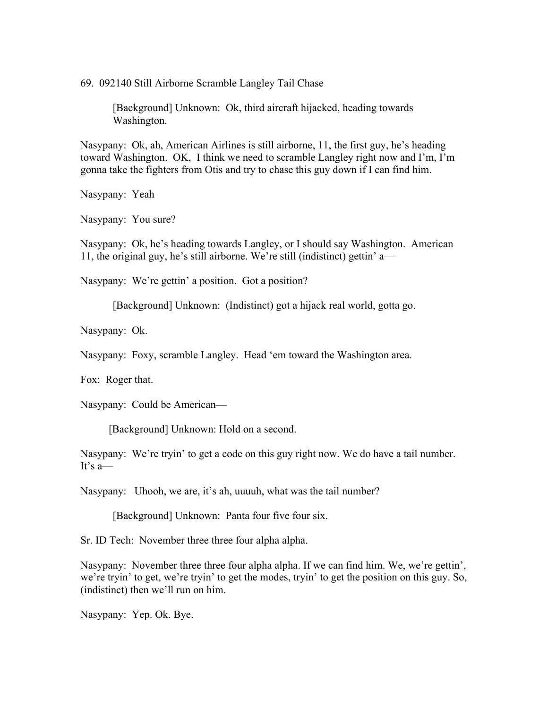69. 092140 Still Airborne Scramble Langley Tail Chase

[Background] Unknown: Ok, third aircraft hijacked, heading towards Washington.

Nasypany: Ok, ah, American Airlines is still airborne, 11, the first guy, he's heading toward Washington. OK, I think we need to scramble Langley right now and I'm, I'm gonna take the fighters from Otis and try to chase this guy down if I can find him.

Nasypany: Yeah

Nasypany: You sure?

Nasypany: Ok, he's heading towards Langley, or I should say Washington. American 11, the original guy, he's still airborne. We're still (indistinct) gettin' a—

Nasypany: We're gettin' a position. Got a position?

[Background] Unknown: (Indistinct) got a hijack real world, gotta go.

Nasypany: Ok.

Nasypany: Foxy, scramble Langley. Head 'em toward the Washington area.

Fox: Roger that.

Nasypany: Could be American—

[Background] Unknown: Hold on a second.

Nasypany: We're tryin' to get a code on this guy right now. We do have a tail number. It's  $a$ —

Nasypany: Uhooh, we are, it's ah, uuuuh, what was the tail number?

[Background] Unknown: Panta four five four six.

Sr. ID Tech: November three three four alpha alpha.

Nasypany: November three three four alpha alpha. If we can find him. We, we're gettin', we're tryin' to get, we're tryin' to get the modes, tryin' to get the position on this guy. So, (indistinct) then we'll run on him.

Nasypany: Yep. Ok. Bye.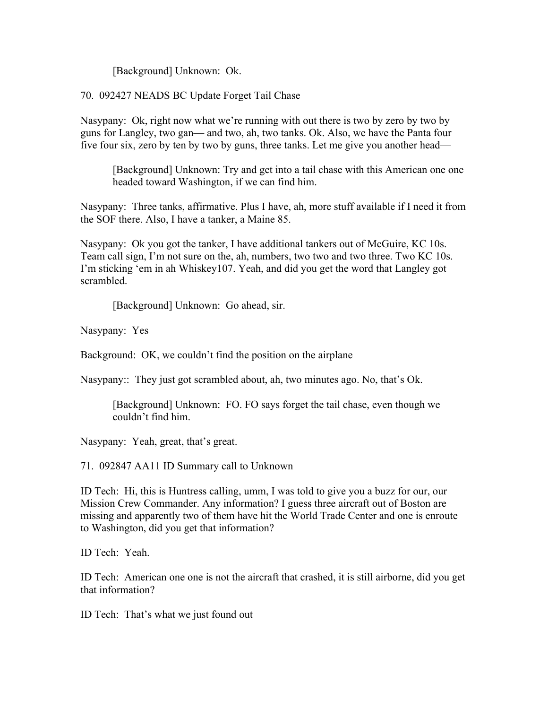[Background] Unknown: Ok.

70. 092427 NEADS BC Update Forget Tail Chase

Nasypany: Ok, right now what we're running with out there is two by zero by two by guns for Langley, two gan— and two, ah, two tanks. Ok. Also, we have the Panta four five four six, zero by ten by two by guns, three tanks. Let me give you another head—

[Background] Unknown: Try and get into a tail chase with this American one one headed toward Washington, if we can find him.

Nasypany: Three tanks, affirmative. Plus I have, ah, more stuff available if I need it from the SOF there. Also, I have a tanker, a Maine 85.

Nasypany: Ok you got the tanker, I have additional tankers out of McGuire, KC 10s. Team call sign, I'm not sure on the, ah, numbers, two two and two three. Two KC 10s. I'm sticking 'em in ah Whiskey107. Yeah, and did you get the word that Langley got scrambled.

[Background] Unknown: Go ahead, sir.

Nasypany: Yes

Background: OK, we couldn't find the position on the airplane

Nasypany:: They just got scrambled about, ah, two minutes ago. No, that's Ok.

[Background] Unknown: FO. FO says forget the tail chase, even though we couldn't find him.

Nasypany: Yeah, great, that's great.

71. 092847 AA11 ID Summary call to Unknown

ID Tech: Hi, this is Huntress calling, umm, I was told to give you a buzz for our, our Mission Crew Commander. Any information? I guess three aircraft out of Boston are missing and apparently two of them have hit the World Trade Center and one is enroute to Washington, did you get that information?

ID Tech: Yeah.

ID Tech: American one one is not the aircraft that crashed, it is still airborne, did you get that information?

ID Tech: That's what we just found out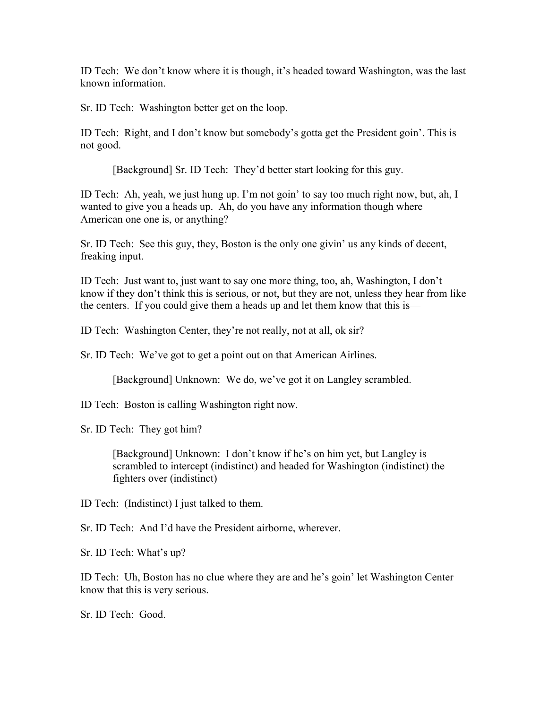ID Tech: We don't know where it is though, it's headed toward Washington, was the last known information.

Sr. ID Tech: Washington better get on the loop.

ID Tech: Right, and I don't know but somebody's gotta get the President goin'. This is not good.

[Background] Sr. ID Tech: They'd better start looking for this guy.

ID Tech: Ah, yeah, we just hung up. I'm not goin' to say too much right now, but, ah, I wanted to give you a heads up. Ah, do you have any information though where American one one is, or anything?

Sr. ID Tech: See this guy, they, Boston is the only one givin' us any kinds of decent, freaking input.

ID Tech: Just want to, just want to say one more thing, too, ah, Washington, I don't know if they don't think this is serious, or not, but they are not, unless they hear from like the centers. If you could give them a heads up and let them know that this is—

ID Tech: Washington Center, they're not really, not at all, ok sir?

Sr. ID Tech: We've got to get a point out on that American Airlines.

[Background] Unknown: We do, we've got it on Langley scrambled.

ID Tech: Boston is calling Washington right now.

Sr. ID Tech: They got him?

[Background] Unknown: I don't know if he's on him yet, but Langley is scrambled to intercept (indistinct) and headed for Washington (indistinct) the fighters over (indistinct)

ID Tech: (Indistinct) I just talked to them.

Sr. ID Tech: And I'd have the President airborne, wherever.

Sr. ID Tech: What's up?

ID Tech: Uh, Boston has no clue where they are and he's goin' let Washington Center know that this is very serious.

Sr. ID Tech: Good.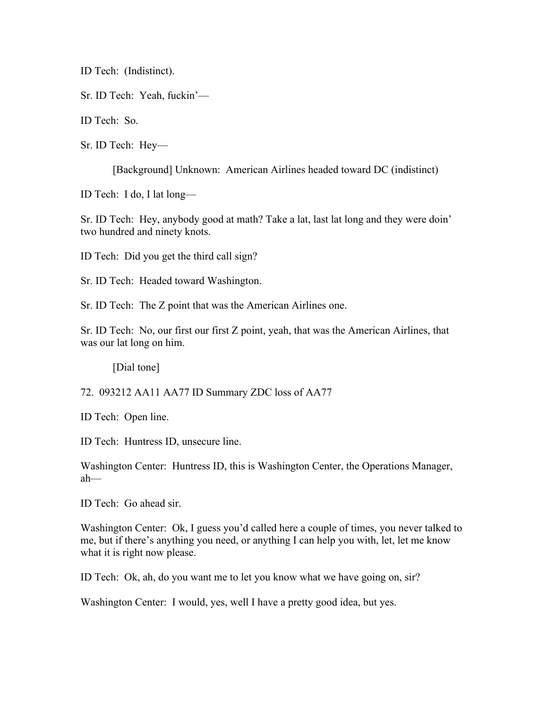ID Tech: (Indistinct).

Sr. ID Tech: Yeah, fuckin'—

ID Tech: So.

Sr. ID Tech: Hey—

[Background] Unknown: American Airlines headed toward DC (indistinct)

ID Tech: I do, I lat long—

Sr. ID Tech: Hey, anybody good at math? Take a lat, last lat long and they were doin' two hundred and ninety knots.

ID Tech: Did you get the third call sign?

Sr. ID Tech: Headed toward Washington.

Sr. ID Tech: The Z point that was the American Airlines one.

Sr. ID Tech: No, our first our first Z point, yeah, that was the American Airlines, that was our lat long on him.

[Dial tone]

72. 093212 AA11 AA77 ID Summary ZDC loss of AA77

ID Tech: Open line.

ID Tech: Huntress ID, unsecure line.

Washington Center: Huntress ID, this is Washington Center, the Operations Manager, ah—

ID Tech: Go ahead sir.

Washington Center: Ok, I guess you'd called here a couple of times, you never talked to me, but if there's anything you need, or anything I can help you with, let, let me know what it is right now please.

ID Tech: Ok, ah, do you want me to let you know what we have going on, sir?

Washington Center: I would, yes, well I have a pretty good idea, but yes.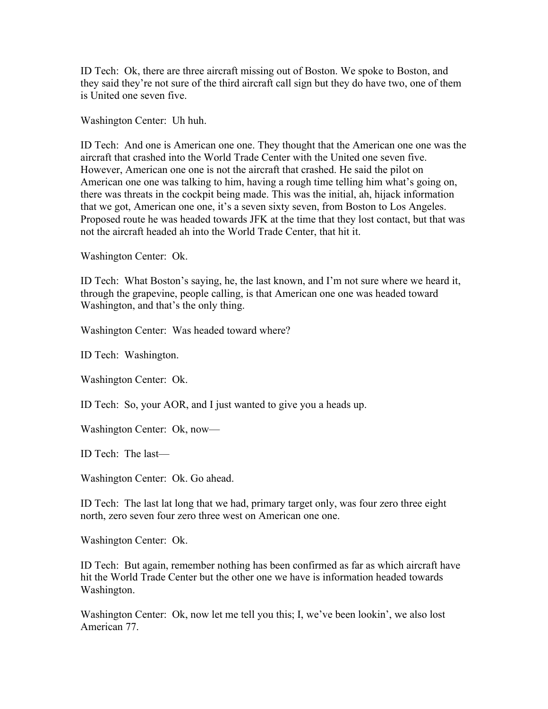ID Tech: Ok, there are three aircraft missing out of Boston. We spoke to Boston, and they said they're not sure of the third aircraft call sign but they do have two, one of them is United one seven five.

Washington Center: Uh huh.

ID Tech: And one is American one one. They thought that the American one one was the aircraft that crashed into the World Trade Center with the United one seven five. However, American one one is not the aircraft that crashed. He said the pilot on American one one was talking to him, having a rough time telling him what's going on, there was threats in the cockpit being made. This was the initial, ah, hijack information that we got, American one one, it's a seven sixty seven, from Boston to Los Angeles. Proposed route he was headed towards JFK at the time that they lost contact, but that was not the aircraft headed ah into the World Trade Center, that hit it.

Washington Center: Ok.

ID Tech: What Boston's saying, he, the last known, and I'm not sure where we heard it, through the grapevine, people calling, is that American one one was headed toward Washington, and that's the only thing.

Washington Center: Was headed toward where?

ID Tech: Washington.

Washington Center: Ok.

ID Tech: So, your AOR, and I just wanted to give you a heads up.

Washington Center: Ok, now—

ID Tech: The last—

Washington Center: Ok. Go ahead.

ID Tech: The last lat long that we had, primary target only, was four zero three eight north, zero seven four zero three west on American one one.

Washington Center: Ok.

ID Tech: But again, remember nothing has been confirmed as far as which aircraft have hit the World Trade Center but the other one we have is information headed towards Washington.

Washington Center: Ok, now let me tell you this; I, we've been lookin', we also lost American 77.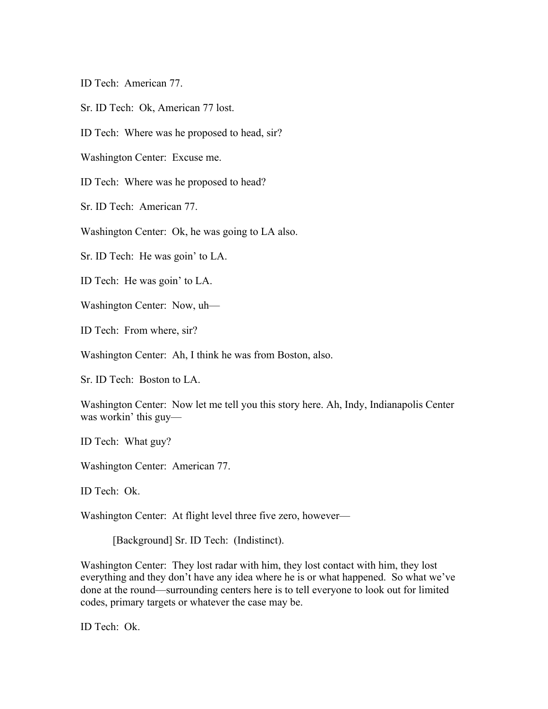ID Tech: American 77.

Sr. ID Tech: Ok, American 77 lost.

ID Tech: Where was he proposed to head, sir?

Washington Center: Excuse me.

ID Tech: Where was he proposed to head?

Sr. ID Tech: American 77.

Washington Center: Ok, he was going to LA also.

Sr. ID Tech: He was goin' to LA.

ID Tech: He was goin' to LA.

Washington Center: Now, uh—

ID Tech: From where, sir?

Washington Center: Ah, I think he was from Boston, also.

Sr. ID Tech: Boston to LA.

Washington Center: Now let me tell you this story here. Ah, Indy, Indianapolis Center was workin' this guy—

ID Tech: What guy?

Washington Center: American 77.

ID Tech: Ok.

Washington Center: At flight level three five zero, however—

[Background] Sr. ID Tech: (Indistinct).

Washington Center: They lost radar with him, they lost contact with him, they lost everything and they don't have any idea where he is or what happened. So what we've done at the round—surrounding centers here is to tell everyone to look out for limited codes, primary targets or whatever the case may be.

ID Tech: Ok.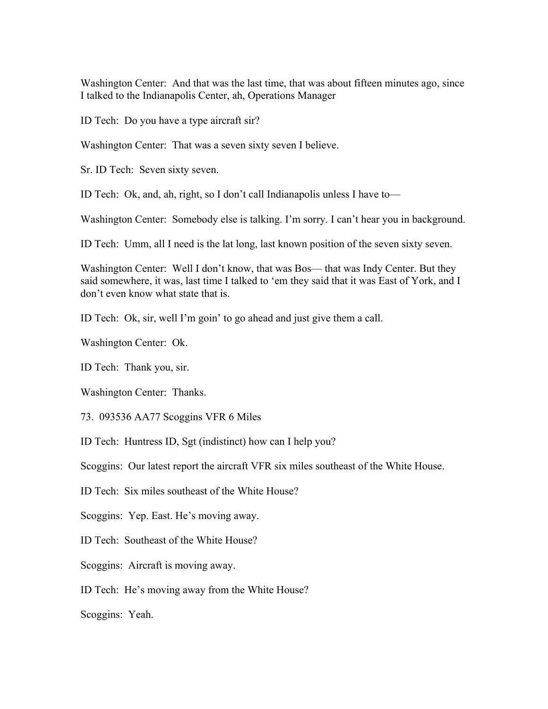Washington Center: And that was the last time, that was about fifteen minutes ago, since I talked to the Indianapolis Center, ah, Operations Manager

ID Tech: Do you have a type aircraft sir?

Washington Center: That was a seven sixty seven I believe.

Sr. ID Tech: Seven sixty seven.

ID Tech: Ok, and, ah, right, so I don't call Indianapolis unless I have to—

Washington Center: Somebody else is talking. I'm sorry. I can't hear you in background.

ID Tech: Umm, all I need is the lat long, last known position of the seven sixty seven.

Washington Center: Well I don't know, that was Bos— that was Indy Center. But they said somewhere, it was, last time I talked to 'em they said that it was East of York, and I don't even know what state that is.

ID Tech: Ok, sir, well I'm goin' to go ahead and just give them a call.

Washington Center: Ok.

ID Tech: Thank you, sir.

Washington Center: Thanks.

73. 093536 AA77 Scoggins VFR 6 Miles

ID Tech: Huntress ID, Sgt (indistinct) how can I help you?

Scoggins: Our latest report the aircraft VFR six miles southeast of the White House.

ID Tech: Six miles southeast of the White House?

Scoggins: Yep. East. He's moving away.

ID Tech: Southeast of the White House?

Scoggins: Aircraft is moving away.

ID Tech: He's moving away from the White House?

Scoggins: Yeah.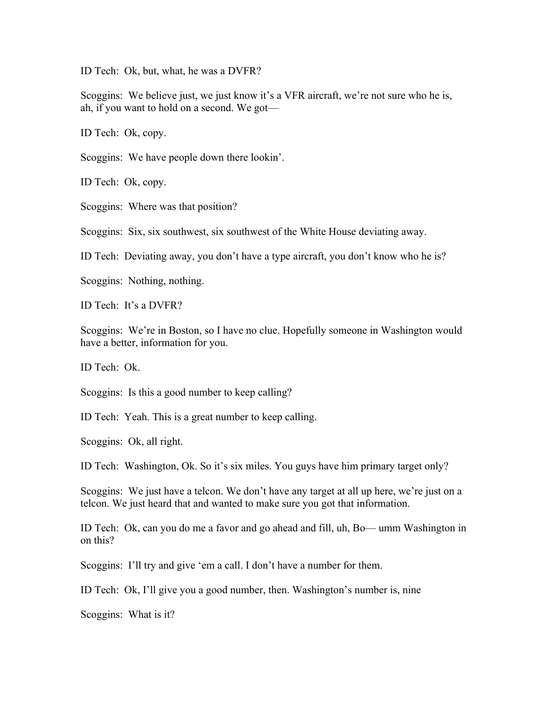ID Tech: Ok, but, what, he was a DVFR?

Scoggins: We believe just, we just know it's a VFR aircraft, we're not sure who he is, ah, if you want to hold on a second. We got—

ID Tech: Ok, copy.

Scoggins: We have people down there lookin'.

ID Tech: Ok, copy.

Scoggins: Where was that position?

Scoggins: Six, six southwest, six southwest of the White House deviating away.

ID Tech: Deviating away, you don't have a type aircraft, you don't know who he is?

Scoggins: Nothing, nothing.

ID Tech: It's a DVFR?

Scoggins: We're in Boston, so I have no clue. Hopefully someone in Washington would have a better, information for you.

ID Tech: Ok.

Scoggins: Is this a good number to keep calling?

ID Tech: Yeah. This is a great number to keep calling.

Scoggins: Ok, all right.

ID Tech: Washington, Ok. So it's six miles. You guys have him primary target only?

Scoggins: We just have a telcon. We don't have any target at all up here, we're just on a telcon. We just heard that and wanted to make sure you got that information.

ID Tech: Ok, can you do me a favor and go ahead and fill, uh, Bo— umm Washington in on this?

Scoggins: I'll try and give 'em a call. I don't have a number for them.

ID Tech: Ok, I'll give you a good number, then. Washington's number is, nine

Scoggins: What is it?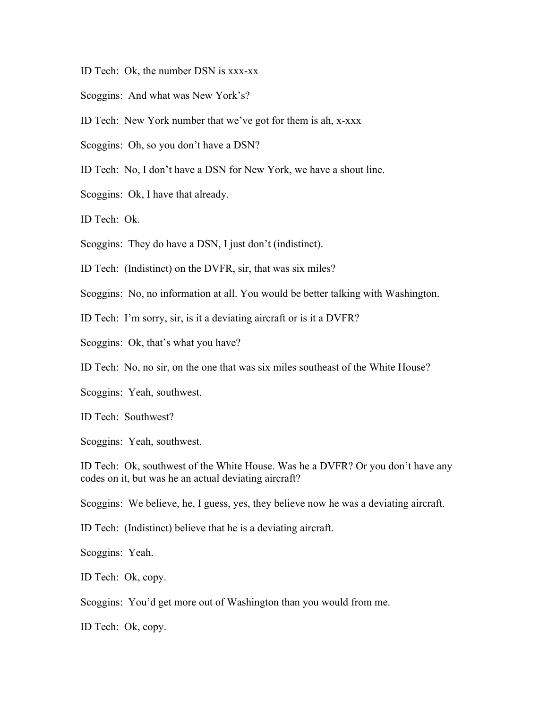ID Tech: Ok, the number DSN is xxx-xx

Scoggins: And what was New York's?

ID Tech: New York number that we've got for them is ah, x-xxx

Scoggins: Oh, so you don't have a DSN?

ID Tech: No, I don't have a DSN for New York, we have a shout line.

Scoggins: Ok, I have that already.

ID Tech: Ok.

Scoggins: They do have a DSN, I just don't (indistinct).

ID Tech: (Indistinct) on the DVFR, sir, that was six miles?

Scoggins: No, no information at all. You would be better talking with Washington.

ID Tech: I'm sorry, sir, is it a deviating aircraft or is it a DVFR?

Scoggins: Ok, that's what you have?

ID Tech: No, no sir, on the one that was six miles southeast of the White House?

Scoggins: Yeah, southwest.

ID Tech: Southwest?

Scoggins: Yeah, southwest.

ID Tech: Ok, southwest of the White House. Was he a DVFR? Or you don't have any codes on it, but was he an actual deviating aircraft?

Scoggins: We believe, he, I guess, yes, they believe now he was a deviating aircraft.

ID Tech: (Indistinct) believe that he is a deviating aircraft.

Scoggins: Yeah.

ID Tech: Ok, copy.

Scoggins: You'd get more out of Washington than you would from me.

ID Tech: Ok, copy.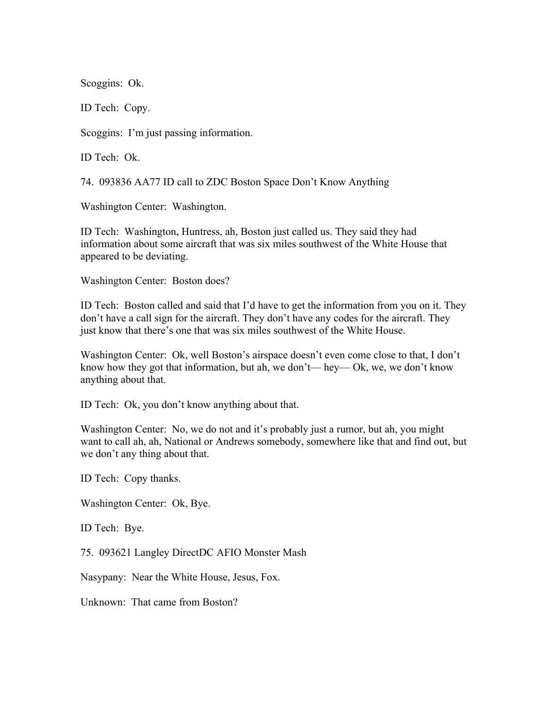Scoggins: Ok.

ID Tech: Copy.

Scoggins: I'm just passing information.

ID Tech: Ok.

74. 093836 AA77 ID call to ZDC Boston Space Don't Know Anything

Washington Center: Washington.

ID Tech: Washington, Huntress, ah, Boston just called us. They said they had information about some aircraft that was six miles southwest of the White House that appeared to be deviating.

Washington Center: Boston does?

ID Tech: Boston called and said that I'd have to get the information from you on it. They don't have a call sign for the aircraft. They don't have any codes for the aircraft. They just know that there's one that was six miles southwest of the White House.

Washington Center: Ok, well Boston's airspace doesn't even come close to that, I don't know how they got that information, but ah, we don't— hey— Ok, we, we don't know anything about that.

ID Tech: Ok, you don't know anything about that.

Washington Center: No, we do not and it's probably just a rumor, but ah, you might want to call ah, ah, National or Andrews somebody, somewhere like that and find out, but we don't any thing about that.

ID Tech: Copy thanks.

Washington Center: Ok, Bye.

ID Tech: Bye.

75. 093621 Langley DirectDC AFIO Monster Mash

Nasypany: Near the White House, Jesus, Fox.

Unknown: That came from Boston?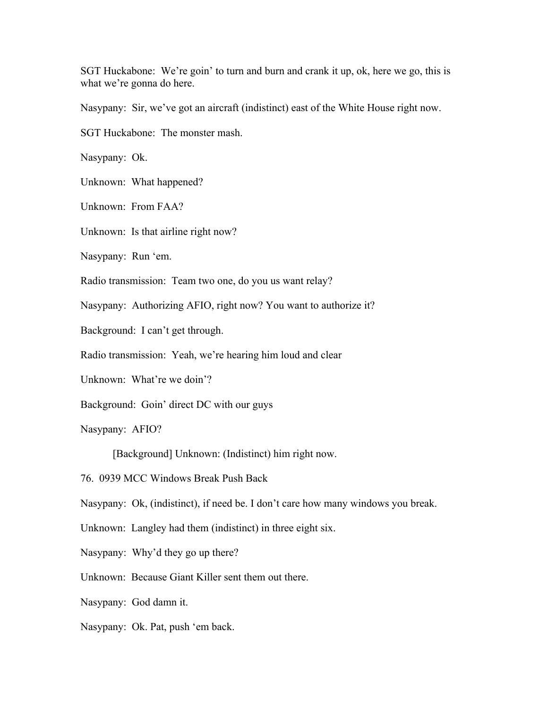SGT Huckabone: We're goin' to turn and burn and crank it up, ok, here we go, this is what we're gonna do here.

Nasypany: Sir, we've got an aircraft (indistinct) east of the White House right now.

SGT Huckabone: The monster mash.

Nasypany: Ok.

Unknown: What happened?

Unknown: From FAA?

Unknown: Is that airline right now?

Nasypany: Run 'em.

Radio transmission: Team two one, do you us want relay?

Nasypany: Authorizing AFIO, right now? You want to authorize it?

Background: I can't get through.

Radio transmission: Yeah, we're hearing him loud and clear

Unknown: What're we doin'?

Background: Goin' direct DC with our guys

Nasypany: AFIO?

[Background] Unknown: (Indistinct) him right now.

76. 0939 MCC Windows Break Push Back

Nasypany: Ok, (indistinct), if need be. I don't care how many windows you break.

Unknown: Langley had them (indistinct) in three eight six.

Nasypany: Why'd they go up there?

Unknown: Because Giant Killer sent them out there.

Nasypany: God damn it.

Nasypany: Ok. Pat, push 'em back.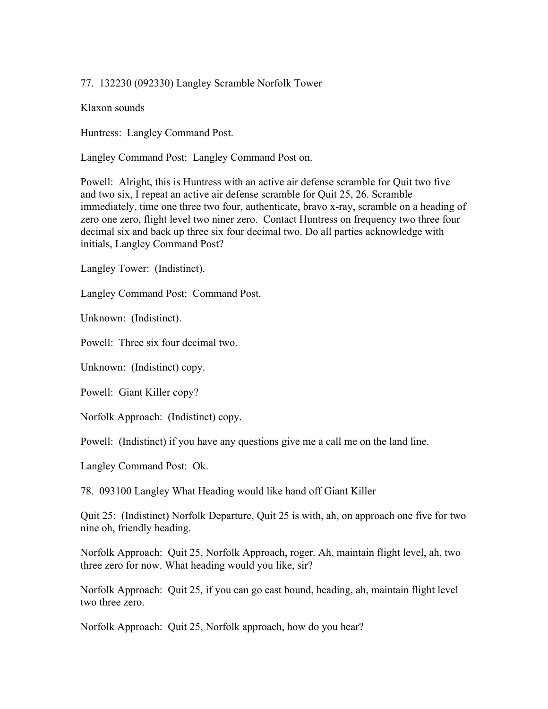## 77. 132230 (092330) Langley Scramble Norfolk Tower

Klaxon sounds

Huntress: Langley Command Post.

Langley Command Post: Langley Command Post on.

Powell: Alright, this is Huntress with an active air defense scramble for Quit two five and two six, I repeat an active air defense scramble for Quit 25, 26. Scramble immediately, time one three two four, authenticate, bravo x-ray, scramble on a heading of zero one zero, flight level two niner zero. Contact Huntress on frequency two three four decimal six and back up three six four decimal two. Do all parties acknowledge with initials, Langley Command Post?

Langley Tower: (Indistinct).

Langley Command Post: Command Post.

Unknown: (Indistinct).

Powell: Three six four decimal two.

Unknown: (Indistinct) copy.

Powell: Giant Killer copy?

Norfolk Approach: (Indistinct) copy.

Powell: (Indistinct) if you have any questions give me a call me on the land line.

Langley Command Post: Ok.

78. 093100 Langley What Heading would like hand off Giant Killer

Quit 25: (Indistinct) Norfolk Departure, Quit 25 is with, ah, on approach one five for two nine oh, friendly heading.

Norfolk Approach: Quit 25, Norfolk Approach, roger. Ah, maintain flight level, ah, two three zero for now. What heading would you like, sir?

Norfolk Approach: Quit 25, if you can go east bound, heading, ah, maintain flight level two three zero.

Norfolk Approach: Quit 25, Norfolk approach, how do you hear?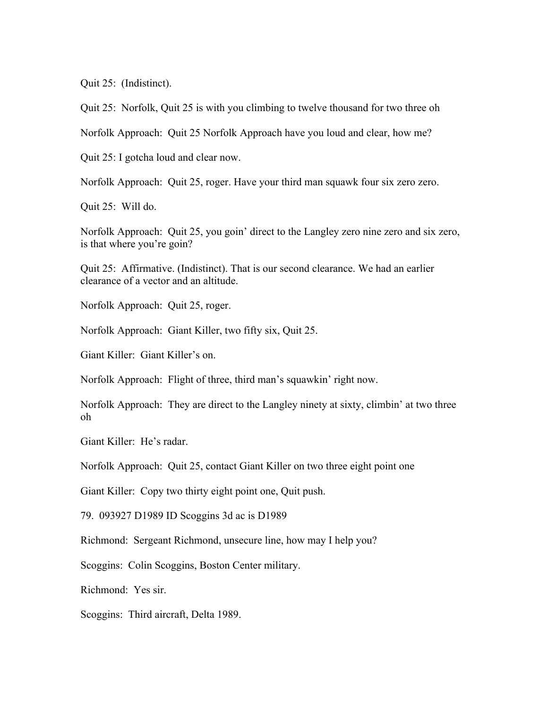Quit 25: (Indistinct).

Quit 25: Norfolk, Quit 25 is with you climbing to twelve thousand for two three oh

Norfolk Approach: Quit 25 Norfolk Approach have you loud and clear, how me?

Quit 25: I gotcha loud and clear now.

Norfolk Approach: Quit 25, roger. Have your third man squawk four six zero zero.

Quit 25: Will do.

Norfolk Approach: Quit 25, you goin' direct to the Langley zero nine zero and six zero, is that where you're goin?

Quit 25: Affirmative. (Indistinct). That is our second clearance. We had an earlier clearance of a vector and an altitude.

Norfolk Approach: Quit 25, roger.

Norfolk Approach: Giant Killer, two fifty six, Quit 25.

Giant Killer: Giant Killer's on.

Norfolk Approach: Flight of three, third man's squawkin' right now.

Norfolk Approach: They are direct to the Langley ninety at sixty, climbin' at two three oh

Giant Killer: He's radar.

Norfolk Approach: Quit 25, contact Giant Killer on two three eight point one

Giant Killer: Copy two thirty eight point one, Quit push.

79. 093927 D1989 ID Scoggins 3d ac is D1989

Richmond: Sergeant Richmond, unsecure line, how may I help you?

Scoggins: Colin Scoggins, Boston Center military.

Richmond: Yes sir.

Scoggins: Third aircraft, Delta 1989.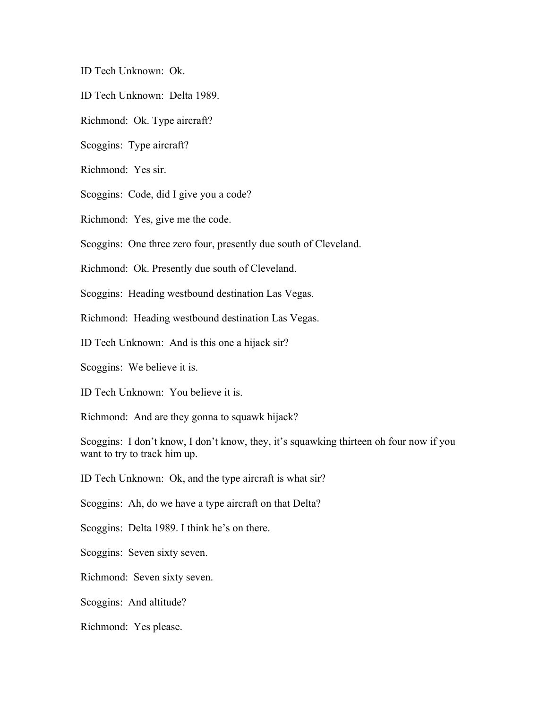ID Tech Unknown: Ok.

ID Tech Unknown: Delta 1989.

Richmond: Ok. Type aircraft?

Scoggins: Type aircraft?

Richmond: Yes sir.

Scoggins: Code, did I give you a code?

Richmond: Yes, give me the code.

Scoggins: One three zero four, presently due south of Cleveland.

Richmond: Ok. Presently due south of Cleveland.

Scoggins: Heading westbound destination Las Vegas.

Richmond: Heading westbound destination Las Vegas.

ID Tech Unknown: And is this one a hijack sir?

Scoggins: We believe it is.

ID Tech Unknown: You believe it is.

Richmond: And are they gonna to squawk hijack?

Scoggins: I don't know, I don't know, they, it's squawking thirteen oh four now if you want to try to track him up.

ID Tech Unknown: Ok, and the type aircraft is what sir?

Scoggins: Ah, do we have a type aircraft on that Delta?

Scoggins: Delta 1989. I think he's on there.

Scoggins: Seven sixty seven.

Richmond: Seven sixty seven.

Scoggins: And altitude?

Richmond: Yes please.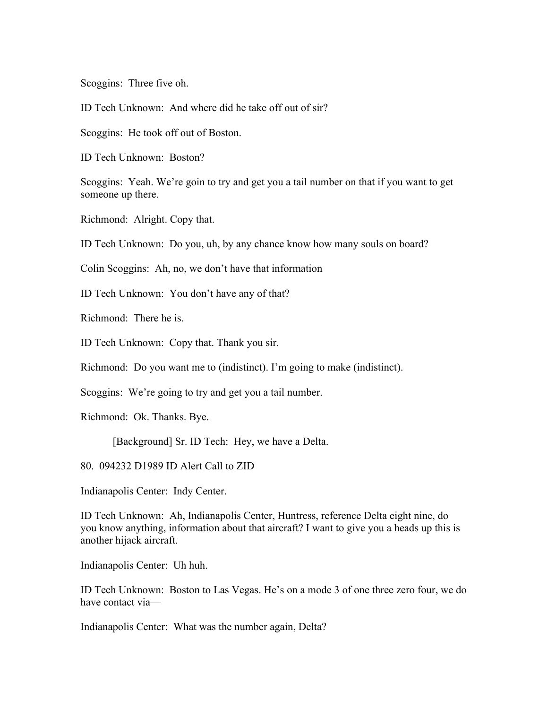Scoggins: Three five oh.

ID Tech Unknown: And where did he take off out of sir?

Scoggins: He took off out of Boston.

ID Tech Unknown: Boston?

Scoggins: Yeah. We're goin to try and get you a tail number on that if you want to get someone up there.

Richmond: Alright. Copy that.

ID Tech Unknown: Do you, uh, by any chance know how many souls on board?

Colin Scoggins: Ah, no, we don't have that information

ID Tech Unknown: You don't have any of that?

Richmond: There he is.

ID Tech Unknown: Copy that. Thank you sir.

Richmond: Do you want me to (indistinct). I'm going to make (indistinct).

Scoggins: We're going to try and get you a tail number.

Richmond: Ok. Thanks. Bye.

[Background] Sr. ID Tech: Hey, we have a Delta.

80. 094232 D1989 ID Alert Call to ZID

Indianapolis Center: Indy Center.

ID Tech Unknown: Ah, Indianapolis Center, Huntress, reference Delta eight nine, do you know anything, information about that aircraft? I want to give you a heads up this is another hijack aircraft.

Indianapolis Center: Uh huh.

ID Tech Unknown: Boston to Las Vegas. He's on a mode 3 of one three zero four, we do have contact via—

Indianapolis Center: What was the number again, Delta?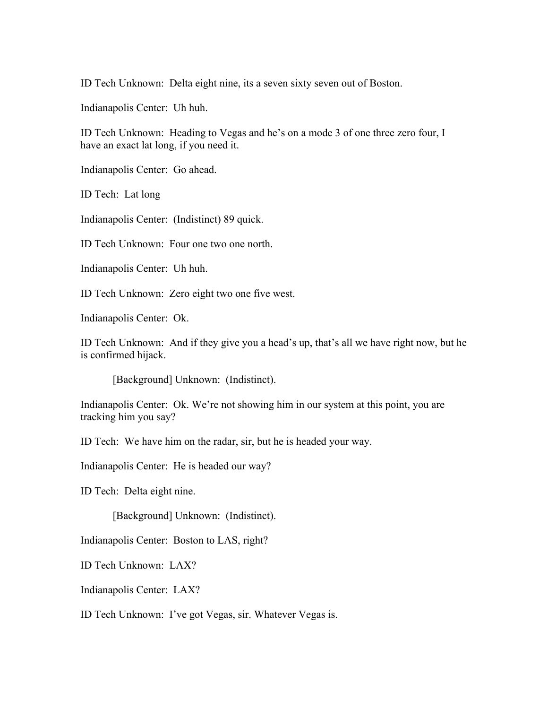ID Tech Unknown: Delta eight nine, its a seven sixty seven out of Boston.

Indianapolis Center: Uh huh.

ID Tech Unknown: Heading to Vegas and he's on a mode 3 of one three zero four, I have an exact lat long, if you need it.

Indianapolis Center: Go ahead.

ID Tech: Lat long

Indianapolis Center: (Indistinct) 89 quick.

ID Tech Unknown: Four one two one north.

Indianapolis Center: Uh huh.

ID Tech Unknown: Zero eight two one five west.

Indianapolis Center: Ok.

ID Tech Unknown: And if they give you a head's up, that's all we have right now, but he is confirmed hijack.

[Background] Unknown: (Indistinct).

Indianapolis Center: Ok. We're not showing him in our system at this point, you are tracking him you say?

ID Tech: We have him on the radar, sir, but he is headed your way.

Indianapolis Center: He is headed our way?

ID Tech: Delta eight nine.

[Background] Unknown: (Indistinct).

Indianapolis Center: Boston to LAS, right?

ID Tech Unknown: LAX?

Indianapolis Center: LAX?

ID Tech Unknown: I've got Vegas, sir. Whatever Vegas is.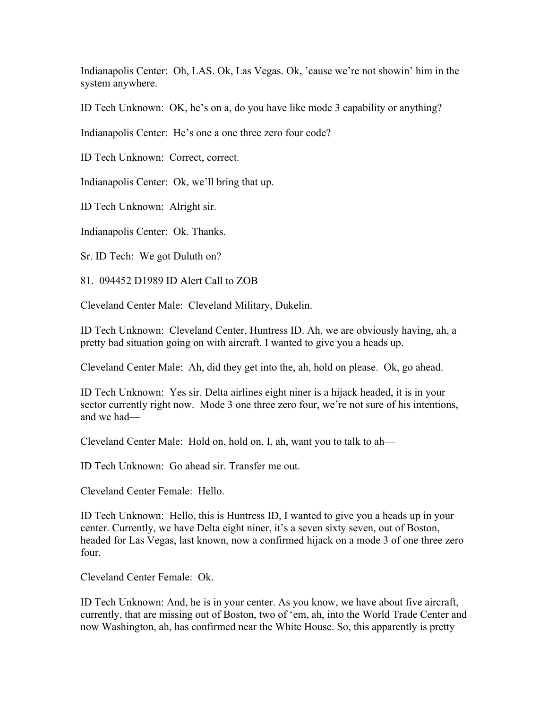Indianapolis Center: Oh, LAS. Ok, Las Vegas. Ok, 'cause we're not showin' him in the system anywhere.

ID Tech Unknown: OK, he's on a, do you have like mode 3 capability or anything?

Indianapolis Center: He's one a one three zero four code?

ID Tech Unknown: Correct, correct.

Indianapolis Center: Ok, we'll bring that up.

ID Tech Unknown: Alright sir.

Indianapolis Center: Ok. Thanks.

Sr. ID Tech: We got Duluth on?

81. 094452 D1989 ID Alert Call to ZOB

Cleveland Center Male: Cleveland Military, Dukelin.

ID Tech Unknown: Cleveland Center, Huntress ID. Ah, we are obviously having, ah, a pretty bad situation going on with aircraft. I wanted to give you a heads up.

Cleveland Center Male: Ah, did they get into the, ah, hold on please. Ok, go ahead.

ID Tech Unknown: Yes sir. Delta airlines eight niner is a hijack headed, it is in your sector currently right now. Mode 3 one three zero four, we're not sure of his intentions, and we had—

Cleveland Center Male: Hold on, hold on, I, ah, want you to talk to ah—

ID Tech Unknown: Go ahead sir. Transfer me out.

Cleveland Center Female: Hello.

ID Tech Unknown: Hello, this is Huntress ID, I wanted to give you a heads up in your center. Currently, we have Delta eight niner, it's a seven sixty seven, out of Boston, headed for Las Vegas, last known, now a confirmed hijack on a mode 3 of one three zero four.

Cleveland Center Female: Ok.

ID Tech Unknown: And, he is in your center. As you know, we have about five aircraft, currently, that are missing out of Boston, two of 'em, ah, into the World Trade Center and now Washington, ah, has confirmed near the White House. So, this apparently is pretty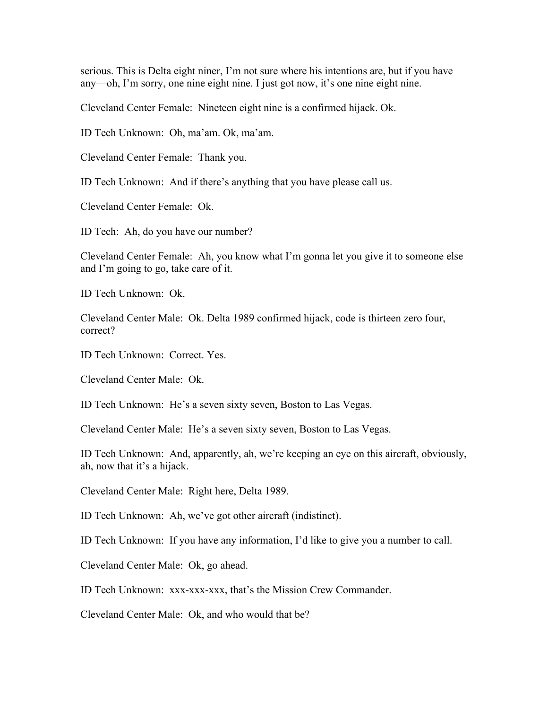serious. This is Delta eight niner, I'm not sure where his intentions are, but if you have any—oh, I'm sorry, one nine eight nine. I just got now, it's one nine eight nine.

Cleveland Center Female: Nineteen eight nine is a confirmed hijack. Ok.

ID Tech Unknown: Oh, ma'am. Ok, ma'am.

Cleveland Center Female: Thank you.

ID Tech Unknown: And if there's anything that you have please call us.

Cleveland Center Female: Ok.

ID Tech: Ah, do you have our number?

Cleveland Center Female: Ah, you know what I'm gonna let you give it to someone else and I'm going to go, take care of it.

ID Tech Unknown: Ok.

Cleveland Center Male: Ok. Delta 1989 confirmed hijack, code is thirteen zero four, correct?

ID Tech Unknown: Correct. Yes.

Cleveland Center Male: Ok.

ID Tech Unknown: He's a seven sixty seven, Boston to Las Vegas.

Cleveland Center Male: He's a seven sixty seven, Boston to Las Vegas.

ID Tech Unknown: And, apparently, ah, we're keeping an eye on this aircraft, obviously, ah, now that it's a hijack.

Cleveland Center Male: Right here, Delta 1989.

ID Tech Unknown: Ah, we've got other aircraft (indistinct).

ID Tech Unknown: If you have any information, I'd like to give you a number to call.

Cleveland Center Male: Ok, go ahead.

ID Tech Unknown: xxx-xxx-xxx, that's the Mission Crew Commander.

Cleveland Center Male: Ok, and who would that be?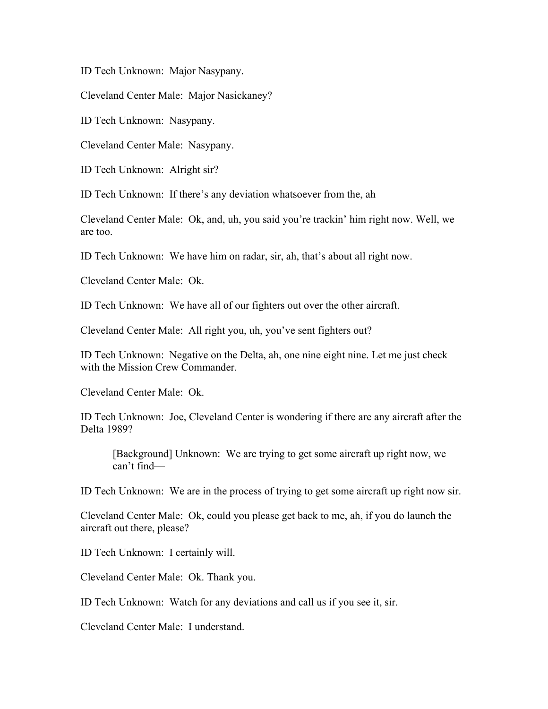ID Tech Unknown: Major Nasypany.

Cleveland Center Male: Major Nasickaney?

ID Tech Unknown: Nasypany.

Cleveland Center Male: Nasypany.

ID Tech Unknown: Alright sir?

ID Tech Unknown: If there's any deviation whatsoever from the, ah—

Cleveland Center Male: Ok, and, uh, you said you're trackin' him right now. Well, we are too.

ID Tech Unknown: We have him on radar, sir, ah, that's about all right now.

Cleveland Center Male: Ok.

ID Tech Unknown: We have all of our fighters out over the other aircraft.

Cleveland Center Male: All right you, uh, you've sent fighters out?

ID Tech Unknown: Negative on the Delta, ah, one nine eight nine. Let me just check with the Mission Crew Commander.

Cleveland Center Male: Ok.

ID Tech Unknown: Joe, Cleveland Center is wondering if there are any aircraft after the Delta 1989?

[Background] Unknown: We are trying to get some aircraft up right now, we can't find—

ID Tech Unknown: We are in the process of trying to get some aircraft up right now sir.

Cleveland Center Male: Ok, could you please get back to me, ah, if you do launch the aircraft out there, please?

ID Tech Unknown: I certainly will.

Cleveland Center Male: Ok. Thank you.

ID Tech Unknown: Watch for any deviations and call us if you see it, sir.

Cleveland Center Male: I understand.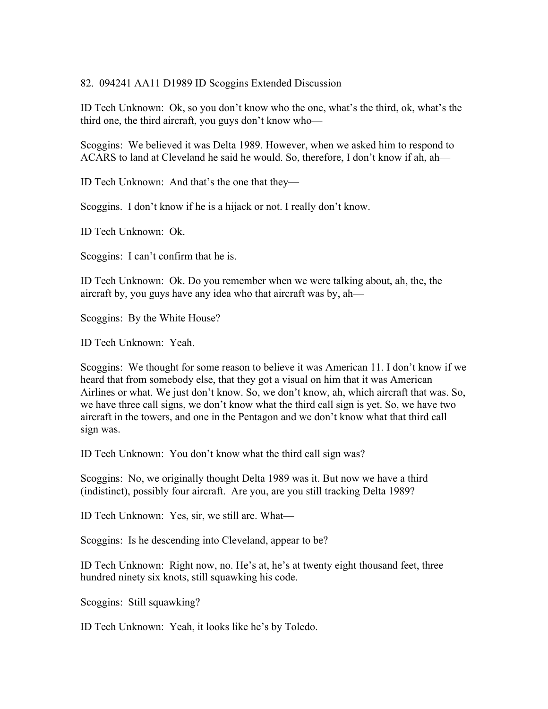## 82. 094241 AA11 D1989 ID Scoggins Extended Discussion

ID Tech Unknown: Ok, so you don't know who the one, what's the third, ok, what's the third one, the third aircraft, you guys don't know who—

Scoggins: We believed it was Delta 1989. However, when we asked him to respond to ACARS to land at Cleveland he said he would. So, therefore, I don't know if ah, ah—

ID Tech Unknown: And that's the one that they—

Scoggins. I don't know if he is a hijack or not. I really don't know.

ID Tech Unknown: Ok.

Scoggins: I can't confirm that he is.

ID Tech Unknown: Ok. Do you remember when we were talking about, ah, the, the aircraft by, you guys have any idea who that aircraft was by, ah—

Scoggins: By the White House?

ID Tech Unknown: Yeah.

Scoggins: We thought for some reason to believe it was American 11. I don't know if we heard that from somebody else, that they got a visual on him that it was American Airlines or what. We just don't know. So, we don't know, ah, which aircraft that was. So, we have three call signs, we don't know what the third call sign is yet. So, we have two aircraft in the towers, and one in the Pentagon and we don't know what that third call sign was.

ID Tech Unknown: You don't know what the third call sign was?

Scoggins: No, we originally thought Delta 1989 was it. But now we have a third (indistinct), possibly four aircraft. Are you, are you still tracking Delta 1989?

ID Tech Unknown: Yes, sir, we still are. What—

Scoggins: Is he descending into Cleveland, appear to be?

ID Tech Unknown: Right now, no. He's at, he's at twenty eight thousand feet, three hundred ninety six knots, still squawking his code.

Scoggins: Still squawking?

ID Tech Unknown: Yeah, it looks like he's by Toledo.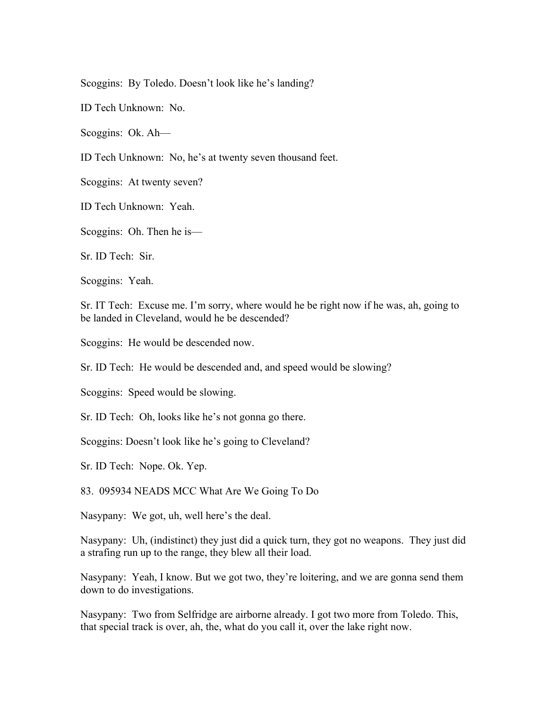Scoggins: By Toledo. Doesn't look like he's landing?

ID Tech Unknown: No.

Scoggins: Ok. Ah—

ID Tech Unknown: No, he's at twenty seven thousand feet.

Scoggins: At twenty seven?

ID Tech Unknown: Yeah.

Scoggins: Oh. Then he is—

Sr. ID Tech: Sir.

Scoggins: Yeah.

Sr. IT Tech: Excuse me. I'm sorry, where would he be right now if he was, ah, going to be landed in Cleveland, would he be descended?

Scoggins: He would be descended now.

Sr. ID Tech: He would be descended and, and speed would be slowing?

Scoggins: Speed would be slowing.

Sr. ID Tech: Oh, looks like he's not gonna go there.

Scoggins: Doesn't look like he's going to Cleveland?

Sr. ID Tech: Nope. Ok. Yep.

83. 095934 NEADS MCC What Are We Going To Do

Nasypany: We got, uh, well here's the deal.

Nasypany: Uh, (indistinct) they just did a quick turn, they got no weapons. They just did a strafing run up to the range, they blew all their load.

Nasypany: Yeah, I know. But we got two, they're loitering, and we are gonna send them down to do investigations.

Nasypany: Two from Selfridge are airborne already. I got two more from Toledo. This, that special track is over, ah, the, what do you call it, over the lake right now.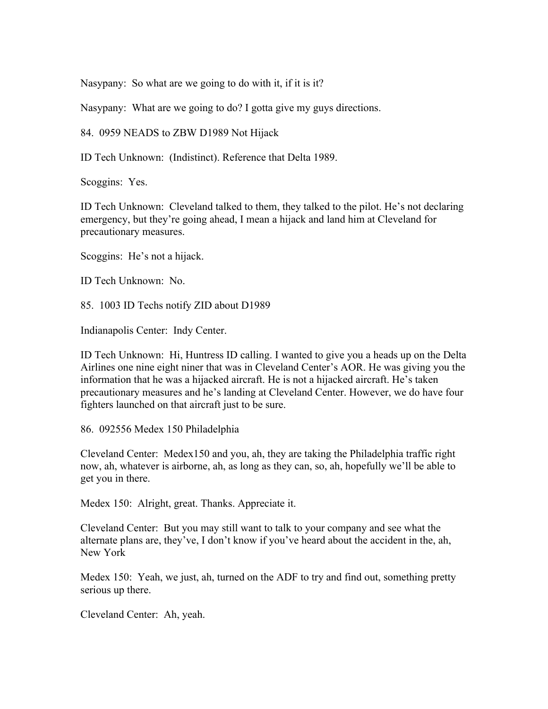Nasypany: So what are we going to do with it, if it is it?

Nasypany: What are we going to do? I gotta give my guys directions.

84. 0959 NEADS to ZBW D1989 Not Hijack

ID Tech Unknown: (Indistinct). Reference that Delta 1989.

Scoggins: Yes.

ID Tech Unknown: Cleveland talked to them, they talked to the pilot. He's not declaring emergency, but they're going ahead, I mean a hijack and land him at Cleveland for precautionary measures.

Scoggins: He's not a hijack.

ID Tech Unknown: No.

85. 1003 ID Techs notify ZID about D1989

Indianapolis Center: Indy Center.

ID Tech Unknown: Hi, Huntress ID calling. I wanted to give you a heads up on the Delta Airlines one nine eight niner that was in Cleveland Center's AOR. He was giving you the information that he was a hijacked aircraft. He is not a hijacked aircraft. He's taken precautionary measures and he's landing at Cleveland Center. However, we do have four fighters launched on that aircraft just to be sure.

86. 092556 Medex 150 Philadelphia

Cleveland Center: Medex150 and you, ah, they are taking the Philadelphia traffic right now, ah, whatever is airborne, ah, as long as they can, so, ah, hopefully we'll be able to get you in there.

Medex 150: Alright, great. Thanks. Appreciate it.

Cleveland Center: But you may still want to talk to your company and see what the alternate plans are, they've, I don't know if you've heard about the accident in the, ah, New York

Medex 150: Yeah, we just, ah, turned on the ADF to try and find out, something pretty serious up there.

Cleveland Center: Ah, yeah.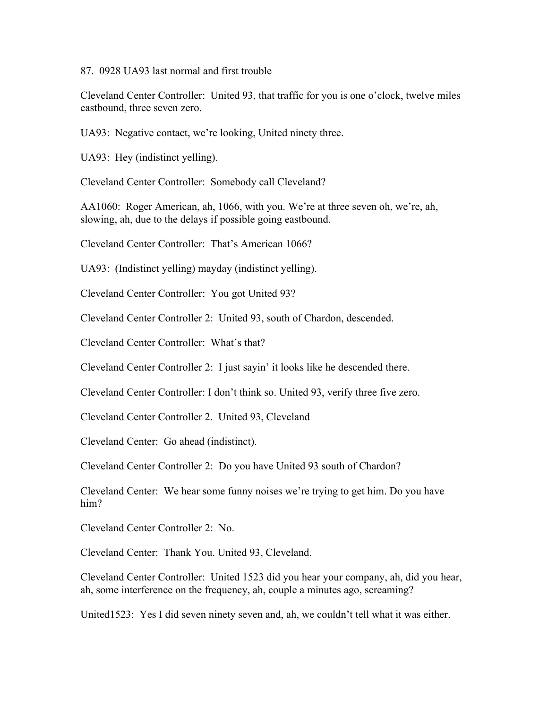87. 0928 UA93 last normal and first trouble

Cleveland Center Controller: United 93, that traffic for you is one o'clock, twelve miles eastbound, three seven zero.

UA93: Negative contact, we're looking, United ninety three.

UA93: Hey (indistinct yelling).

Cleveland Center Controller: Somebody call Cleveland?

AA1060: Roger American, ah, 1066, with you. We're at three seven oh, we're, ah, slowing, ah, due to the delays if possible going eastbound.

Cleveland Center Controller: That's American 1066?

UA93: (Indistinct yelling) mayday (indistinct yelling).

Cleveland Center Controller: You got United 93?

Cleveland Center Controller 2: United 93, south of Chardon, descended.

Cleveland Center Controller: What's that?

Cleveland Center Controller 2: I just sayin' it looks like he descended there.

Cleveland Center Controller: I don't think so. United 93, verify three five zero.

Cleveland Center Controller 2. United 93, Cleveland

Cleveland Center: Go ahead (indistinct).

Cleveland Center Controller 2: Do you have United 93 south of Chardon?

Cleveland Center: We hear some funny noises we're trying to get him. Do you have him?

Cleveland Center Controller 2: No.

Cleveland Center: Thank You. United 93, Cleveland.

Cleveland Center Controller: United 1523 did you hear your company, ah, did you hear, ah, some interference on the frequency, ah, couple a minutes ago, screaming?

United1523: Yes I did seven ninety seven and, ah, we couldn't tell what it was either.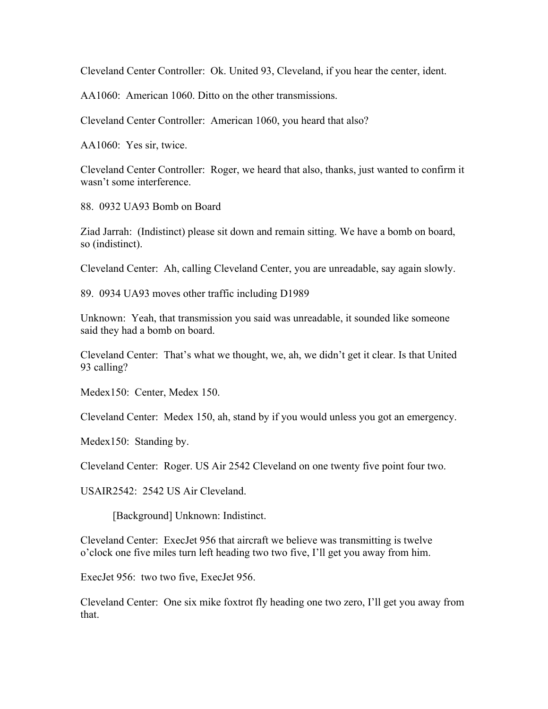Cleveland Center Controller: Ok. United 93, Cleveland, if you hear the center, ident.

AA1060: American 1060. Ditto on the other transmissions.

Cleveland Center Controller: American 1060, you heard that also?

AA1060: Yes sir, twice.

Cleveland Center Controller: Roger, we heard that also, thanks, just wanted to confirm it wasn't some interference.

88. 0932 UA93 Bomb on Board

Ziad Jarrah: (Indistinct) please sit down and remain sitting. We have a bomb on board, so (indistinct).

Cleveland Center: Ah, calling Cleveland Center, you are unreadable, say again slowly.

89. 0934 UA93 moves other traffic including D1989

Unknown: Yeah, that transmission you said was unreadable, it sounded like someone said they had a bomb on board.

Cleveland Center: That's what we thought, we, ah, we didn't get it clear. Is that United 93 calling?

Medex150: Center, Medex 150.

Cleveland Center: Medex 150, ah, stand by if you would unless you got an emergency.

Medex150: Standing by.

Cleveland Center: Roger. US Air 2542 Cleveland on one twenty five point four two.

USAIR2542: 2542 US Air Cleveland.

[Background] Unknown: Indistinct.

Cleveland Center: ExecJet 956 that aircraft we believe was transmitting is twelve o'clock one five miles turn left heading two two five, I'll get you away from him.

ExecJet 956: two two five, ExecJet 956.

Cleveland Center: One six mike foxtrot fly heading one two zero, I'll get you away from that.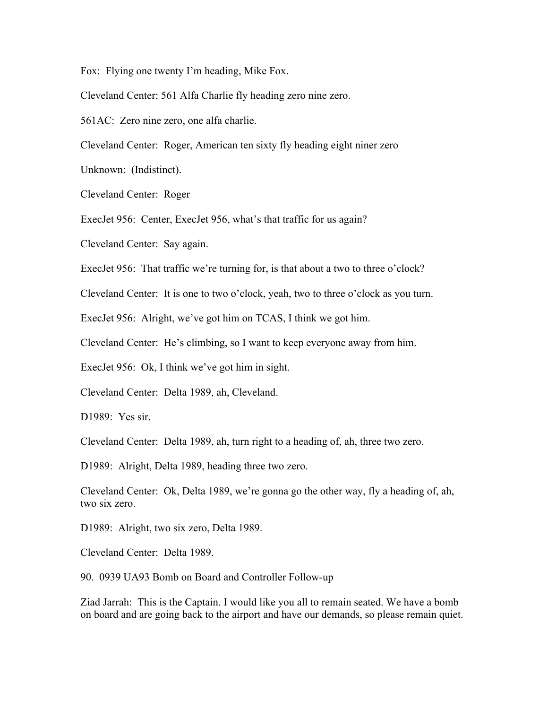Fox: Flying one twenty I'm heading, Mike Fox.

Cleveland Center: 561 Alfa Charlie fly heading zero nine zero.

561AC: Zero nine zero, one alfa charlie.

Cleveland Center: Roger, American ten sixty fly heading eight niner zero

Unknown: (Indistinct).

Cleveland Center: Roger

ExecJet 956: Center, ExecJet 956, what's that traffic for us again?

Cleveland Center: Say again.

ExecJet 956: That traffic we're turning for, is that about a two to three o'clock?

Cleveland Center: It is one to two o'clock, yeah, two to three o'clock as you turn.

ExecJet 956: Alright, we've got him on TCAS, I think we got him.

Cleveland Center: He's climbing, so I want to keep everyone away from him.

ExecJet 956: Ok, I think we've got him in sight.

Cleveland Center: Delta 1989, ah, Cleveland.

D1989: Yes sir.

Cleveland Center: Delta 1989, ah, turn right to a heading of, ah, three two zero.

D1989: Alright, Delta 1989, heading three two zero.

Cleveland Center: Ok, Delta 1989, we're gonna go the other way, fly a heading of, ah, two six zero.

D1989: Alright, two six zero, Delta 1989.

Cleveland Center: Delta 1989.

90. 0939 UA93 Bomb on Board and Controller Follow-up

Ziad Jarrah: This is the Captain. I would like you all to remain seated. We have a bomb on board and are going back to the airport and have our demands, so please remain quiet.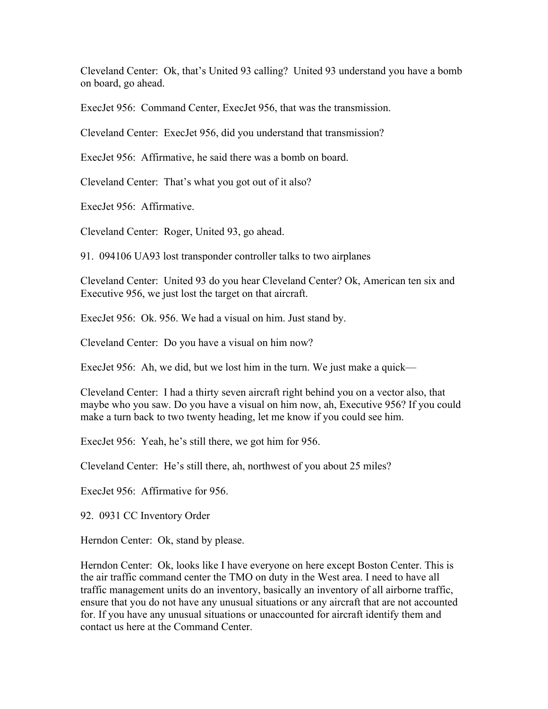Cleveland Center: Ok, that's United 93 calling? United 93 understand you have a bomb on board, go ahead.

ExecJet 956: Command Center, ExecJet 956, that was the transmission.

Cleveland Center: ExecJet 956, did you understand that transmission?

ExecJet 956: Affirmative, he said there was a bomb on board.

Cleveland Center: That's what you got out of it also?

ExecJet 956: Affirmative.

Cleveland Center: Roger, United 93, go ahead.

91. 094106 UA93 lost transponder controller talks to two airplanes

Cleveland Center: United 93 do you hear Cleveland Center? Ok, American ten six and Executive 956, we just lost the target on that aircraft.

ExecJet 956: Ok. 956. We had a visual on him. Just stand by.

Cleveland Center: Do you have a visual on him now?

ExecJet 956: Ah, we did, but we lost him in the turn. We just make a quick—

Cleveland Center: I had a thirty seven aircraft right behind you on a vector also, that maybe who you saw. Do you have a visual on him now, ah, Executive 956? If you could make a turn back to two twenty heading, let me know if you could see him.

ExecJet 956: Yeah, he's still there, we got him for 956.

Cleveland Center: He's still there, ah, northwest of you about 25 miles?

ExecJet 956: Affirmative for 956.

92. 0931 CC Inventory Order

Herndon Center: Ok, stand by please.

Herndon Center: Ok, looks like I have everyone on here except Boston Center. This is the air traffic command center the TMO on duty in the West area. I need to have all traffic management units do an inventory, basically an inventory of all airborne traffic, ensure that you do not have any unusual situations or any aircraft that are not accounted for. If you have any unusual situations or unaccounted for aircraft identify them and contact us here at the Command Center.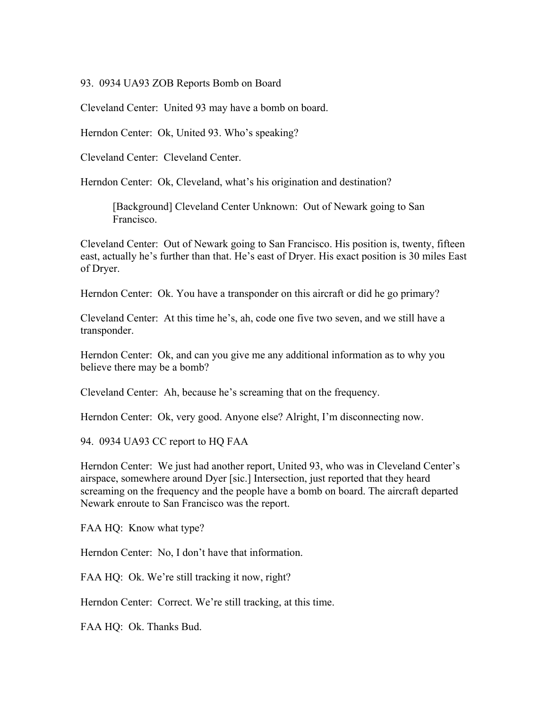93. 0934 UA93 ZOB Reports Bomb on Board

Cleveland Center: United 93 may have a bomb on board.

Herndon Center: Ok, United 93. Who's speaking?

Cleveland Center: Cleveland Center.

Herndon Center: Ok, Cleveland, what's his origination and destination?

[Background] Cleveland Center Unknown: Out of Newark going to San Francisco.

Cleveland Center: Out of Newark going to San Francisco. His position is, twenty, fifteen east, actually he's further than that. He's east of Dryer. His exact position is 30 miles East of Dryer.

Herndon Center: Ok. You have a transponder on this aircraft or did he go primary?

Cleveland Center: At this time he's, ah, code one five two seven, and we still have a transponder.

Herndon Center: Ok, and can you give me any additional information as to why you believe there may be a bomb?

Cleveland Center: Ah, because he's screaming that on the frequency.

Herndon Center: Ok, very good. Anyone else? Alright, I'm disconnecting now.

94. 0934 UA93 CC report to HQ FAA

Herndon Center: We just had another report, United 93, who was in Cleveland Center's airspace, somewhere around Dyer [sic.] Intersection, just reported that they heard screaming on the frequency and the people have a bomb on board. The aircraft departed Newark enroute to San Francisco was the report.

FAA HQ: Know what type?

Herndon Center: No, I don't have that information.

FAA HQ: Ok. We're still tracking it now, right?

Herndon Center: Correct. We're still tracking, at this time.

FAA HQ: Ok. Thanks Bud.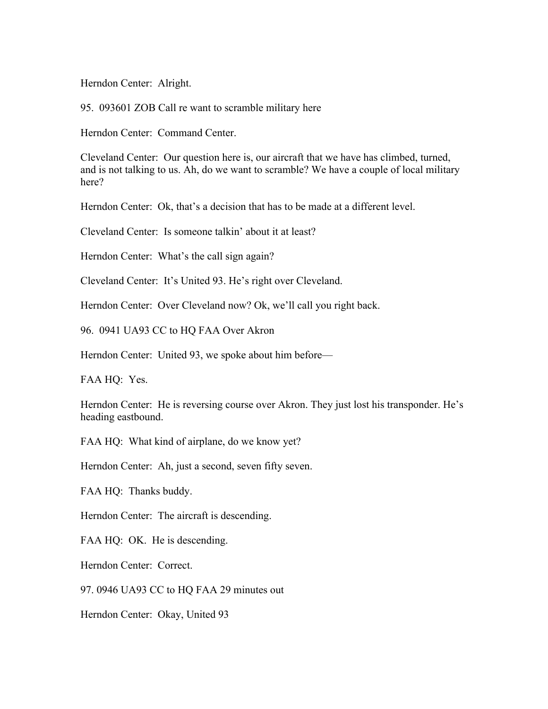Herndon Center: Alright.

95. 093601 ZOB Call re want to scramble military here

Herndon Center: Command Center.

Cleveland Center: Our question here is, our aircraft that we have has climbed, turned, and is not talking to us. Ah, do we want to scramble? We have a couple of local military here?

Herndon Center: Ok, that's a decision that has to be made at a different level.

Cleveland Center: Is someone talkin' about it at least?

Herndon Center: What's the call sign again?

Cleveland Center: It's United 93. He's right over Cleveland.

Herndon Center: Over Cleveland now? Ok, we'll call you right back.

96. 0941 UA93 CC to HQ FAA Over Akron

Herndon Center: United 93, we spoke about him before—

FAA HQ: Yes.

Herndon Center: He is reversing course over Akron. They just lost his transponder. He's heading eastbound.

FAA HQ: What kind of airplane, do we know yet?

Herndon Center: Ah, just a second, seven fifty seven.

FAA HQ: Thanks buddy.

Herndon Center: The aircraft is descending.

FAA HQ: OK. He is descending.

Herndon Center: Correct.

97. 0946 UA93 CC to HQ FAA 29 minutes out

Herndon Center: Okay, United 93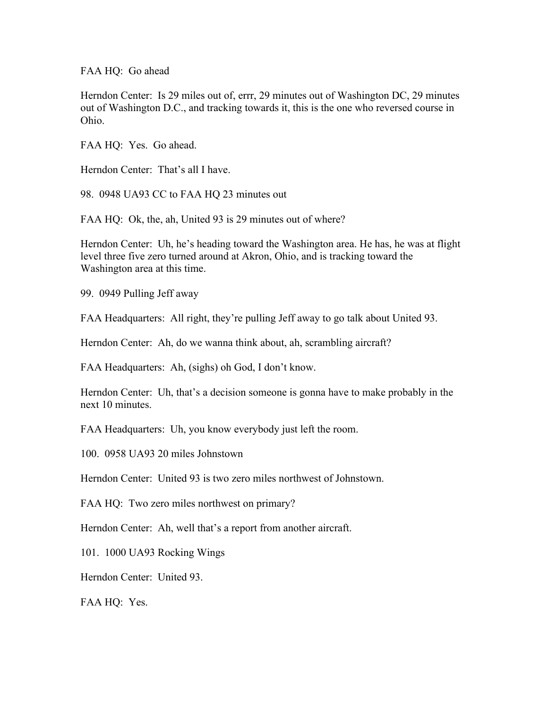FAA HQ: Go ahead

Herndon Center: Is 29 miles out of, errr, 29 minutes out of Washington DC, 29 minutes out of Washington D.C., and tracking towards it, this is the one who reversed course in Ohio.

FAA HQ: Yes. Go ahead.

Herndon Center: That's all I have.

98. 0948 UA93 CC to FAA HQ 23 minutes out

FAA HQ: Ok, the, ah, United 93 is 29 minutes out of where?

Herndon Center: Uh, he's heading toward the Washington area. He has, he was at flight level three five zero turned around at Akron, Ohio, and is tracking toward the Washington area at this time.

99. 0949 Pulling Jeff away

FAA Headquarters: All right, they're pulling Jeff away to go talk about United 93.

Herndon Center: Ah, do we wanna think about, ah, scrambling aircraft?

FAA Headquarters: Ah, (sighs) oh God, I don't know.

Herndon Center: Uh, that's a decision someone is gonna have to make probably in the next 10 minutes.

FAA Headquarters: Uh, you know everybody just left the room.

100. 0958 UA93 20 miles Johnstown

Herndon Center: United 93 is two zero miles northwest of Johnstown.

FAA HQ: Two zero miles northwest on primary?

Herndon Center: Ah, well that's a report from another aircraft.

101. 1000 UA93 Rocking Wings

Herndon Center: United 93.

FAA HQ: Yes.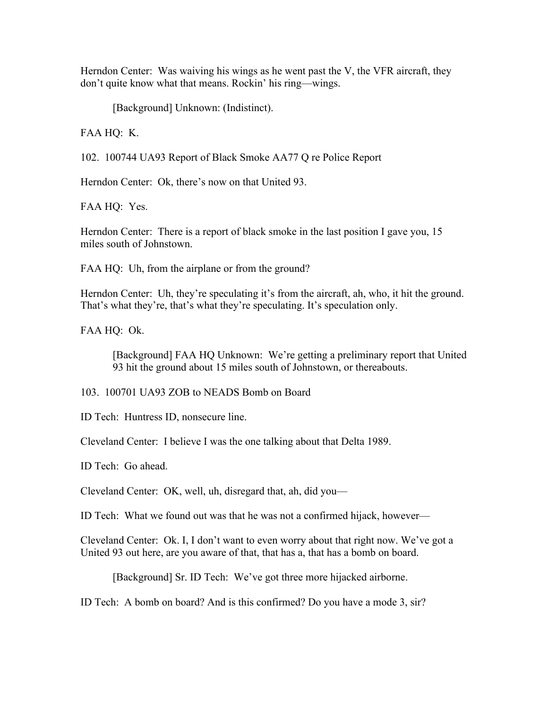Herndon Center: Was waiving his wings as he went past the V, the VFR aircraft, they don't quite know what that means. Rockin' his ring—wings.

[Background] Unknown: (Indistinct).

FAA HQ: K.

102. 100744 UA93 Report of Black Smoke AA77 Q re Police Report

Herndon Center: Ok, there's now on that United 93.

FAA HQ: Yes.

Herndon Center: There is a report of black smoke in the last position I gave you, 15 miles south of Johnstown.

FAA HQ: Uh, from the airplane or from the ground?

Herndon Center: Uh, they're speculating it's from the aircraft, ah, who, it hit the ground. That's what they're, that's what they're speculating. It's speculation only.

FAA HQ: Ok.

[Background] FAA HQ Unknown: We're getting a preliminary report that United 93 hit the ground about 15 miles south of Johnstown, or thereabouts.

103. 100701 UA93 ZOB to NEADS Bomb on Board

ID Tech: Huntress ID, nonsecure line.

Cleveland Center: I believe I was the one talking about that Delta 1989.

ID Tech: Go ahead.

Cleveland Center: OK, well, uh, disregard that, ah, did you—

ID Tech: What we found out was that he was not a confirmed hijack, however—

Cleveland Center: Ok. I, I don't want to even worry about that right now. We've got a United 93 out here, are you aware of that, that has a, that has a bomb on board.

[Background] Sr. ID Tech: We've got three more hijacked airborne.

ID Tech: A bomb on board? And is this confirmed? Do you have a mode 3, sir?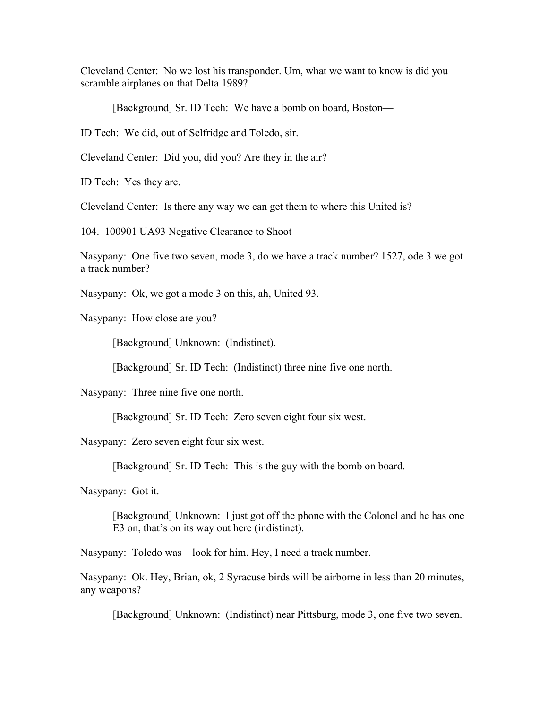Cleveland Center: No we lost his transponder. Um, what we want to know is did you scramble airplanes on that Delta 1989?

[Background] Sr. ID Tech: We have a bomb on board, Boston—

ID Tech: We did, out of Selfridge and Toledo, sir.

Cleveland Center: Did you, did you? Are they in the air?

ID Tech: Yes they are.

Cleveland Center: Is there any way we can get them to where this United is?

104. 100901 UA93 Negative Clearance to Shoot

Nasypany: One five two seven, mode 3, do we have a track number? 1527, ode 3 we got a track number?

Nasypany: Ok, we got a mode 3 on this, ah, United 93.

Nasypany: How close are you?

[Background] Unknown: (Indistinct).

[Background] Sr. ID Tech: (Indistinct) three nine five one north.

Nasypany: Three nine five one north.

[Background] Sr. ID Tech: Zero seven eight four six west.

Nasypany: Zero seven eight four six west.

[Background] Sr. ID Tech: This is the guy with the bomb on board.

Nasypany: Got it.

[Background] Unknown: I just got off the phone with the Colonel and he has one E3 on, that's on its way out here (indistinct).

Nasypany: Toledo was—look for him. Hey, I need a track number.

Nasypany: Ok. Hey, Brian, ok, 2 Syracuse birds will be airborne in less than 20 minutes, any weapons?

[Background] Unknown: (Indistinct) near Pittsburg, mode 3, one five two seven.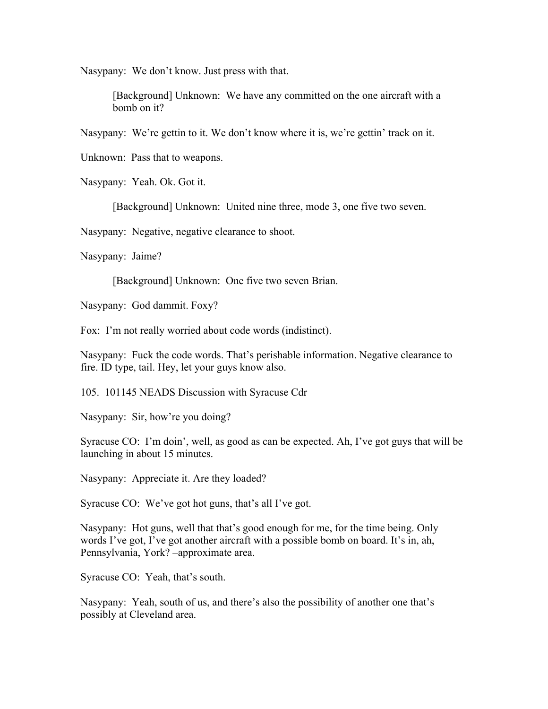Nasypany: We don't know. Just press with that.

[Background] Unknown: We have any committed on the one aircraft with a bomb on it?

Nasypany: We're gettin to it. We don't know where it is, we're gettin' track on it.

Unknown: Pass that to weapons.

Nasypany: Yeah. Ok. Got it.

[Background] Unknown: United nine three, mode 3, one five two seven.

Nasypany: Negative, negative clearance to shoot.

Nasypany: Jaime?

[Background] Unknown: One five two seven Brian.

Nasypany: God dammit. Foxy?

Fox: I'm not really worried about code words (indistinct).

Nasypany: Fuck the code words. That's perishable information. Negative clearance to fire. ID type, tail. Hey, let your guys know also.

105. 101145 NEADS Discussion with Syracuse Cdr

Nasypany: Sir, how're you doing?

Syracuse CO: I'm doin', well, as good as can be expected. Ah, I've got guys that will be launching in about 15 minutes.

Nasypany: Appreciate it. Are they loaded?

Syracuse CO: We've got hot guns, that's all I've got.

Nasypany: Hot guns, well that that's good enough for me, for the time being. Only words I've got, I've got another aircraft with a possible bomb on board. It's in, ah, Pennsylvania, York? –approximate area.

Syracuse CO: Yeah, that's south.

Nasypany: Yeah, south of us, and there's also the possibility of another one that's possibly at Cleveland area.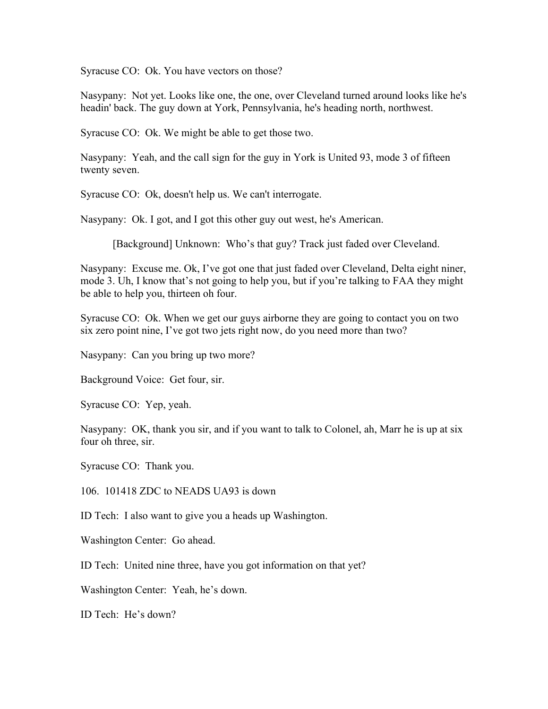Syracuse CO: Ok. You have vectors on those?

Nasypany: Not yet. Looks like one, the one, over Cleveland turned around looks like he's headin' back. The guy down at York, Pennsylvania, he's heading north, northwest.

Syracuse CO: Ok. We might be able to get those two.

Nasypany: Yeah, and the call sign for the guy in York is United 93, mode 3 of fifteen twenty seven.

Syracuse CO: Ok, doesn't help us. We can't interrogate.

Nasypany: Ok. I got, and I got this other guy out west, he's American.

[Background] Unknown: Who's that guy? Track just faded over Cleveland.

Nasypany: Excuse me. Ok, I've got one that just faded over Cleveland, Delta eight niner, mode 3. Uh, I know that's not going to help you, but if you're talking to FAA they might be able to help you, thirteen oh four.

Syracuse CO: Ok. When we get our guys airborne they are going to contact you on two six zero point nine, I've got two jets right now, do you need more than two?

Nasypany: Can you bring up two more?

Background Voice: Get four, sir.

Syracuse CO: Yep, yeah.

Nasypany: OK, thank you sir, and if you want to talk to Colonel, ah, Marr he is up at six four oh three, sir.

Syracuse CO: Thank you.

106. 101418 ZDC to NEADS UA93 is down

ID Tech: I also want to give you a heads up Washington.

Washington Center: Go ahead.

ID Tech: United nine three, have you got information on that yet?

Washington Center: Yeah, he's down.

ID Tech: He's down?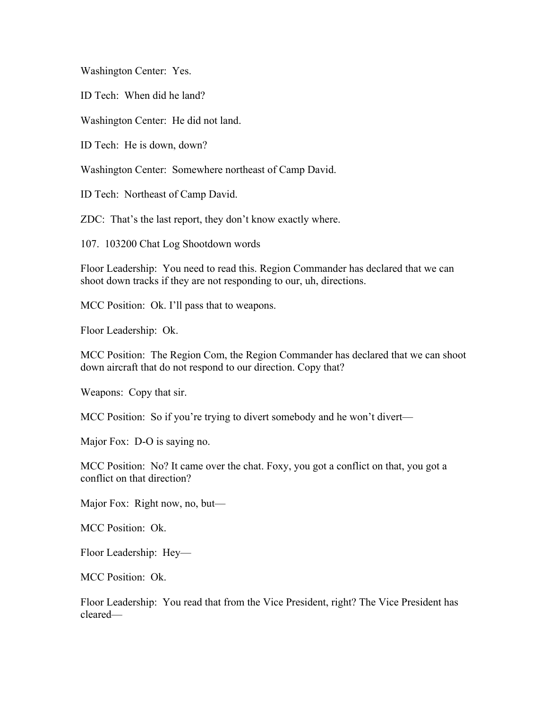Washington Center: Yes.

ID Tech: When did he land?

Washington Center: He did not land.

ID Tech: He is down, down?

Washington Center: Somewhere northeast of Camp David.

ID Tech: Northeast of Camp David.

ZDC: That's the last report, they don't know exactly where.

107. 103200 Chat Log Shootdown words

Floor Leadership: You need to read this. Region Commander has declared that we can shoot down tracks if they are not responding to our, uh, directions.

MCC Position: Ok. I'll pass that to weapons.

Floor Leadership: Ok.

MCC Position: The Region Com, the Region Commander has declared that we can shoot down aircraft that do not respond to our direction. Copy that?

Weapons: Copy that sir.

MCC Position: So if you're trying to divert somebody and he won't divert—

Major Fox: D-O is saying no.

MCC Position: No? It came over the chat. Foxy, you got a conflict on that, you got a conflict on that direction?

Major Fox: Right now, no, but—

MCC Position: Ok.

Floor Leadership: Hey—

MCC Position: Ok.

Floor Leadership: You read that from the Vice President, right? The Vice President has cleared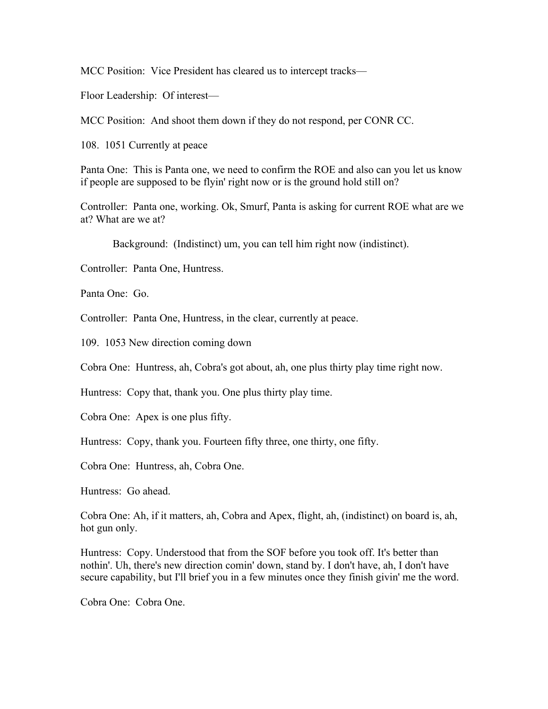MCC Position: Vice President has cleared us to intercept tracks—

Floor Leadership: Of interest—

MCC Position: And shoot them down if they do not respond, per CONR CC.

108. 1051 Currently at peace

Panta One: This is Panta one, we need to confirm the ROE and also can you let us know if people are supposed to be flyin' right now or is the ground hold still on?

Controller: Panta one, working. Ok, Smurf, Panta is asking for current ROE what are we at? What are we at?

Background: (Indistinct) um, you can tell him right now (indistinct).

Controller: Panta One, Huntress.

Panta One: Go.

Controller: Panta One, Huntress, in the clear, currently at peace.

109. 1053 New direction coming down

Cobra One: Huntress, ah, Cobra's got about, ah, one plus thirty play time right now.

Huntress: Copy that, thank you. One plus thirty play time.

Cobra One: Apex is one plus fifty.

Huntress: Copy, thank you. Fourteen fifty three, one thirty, one fifty.

Cobra One: Huntress, ah, Cobra One.

Huntress: Go ahead.

Cobra One: Ah, if it matters, ah, Cobra and Apex, flight, ah, (indistinct) on board is, ah, hot gun only.

Huntress: Copy. Understood that from the SOF before you took off. It's better than nothin'. Uh, there's new direction comin' down, stand by. I don't have, ah, I don't have secure capability, but I'll brief you in a few minutes once they finish givin' me the word.

Cobra One: Cobra One.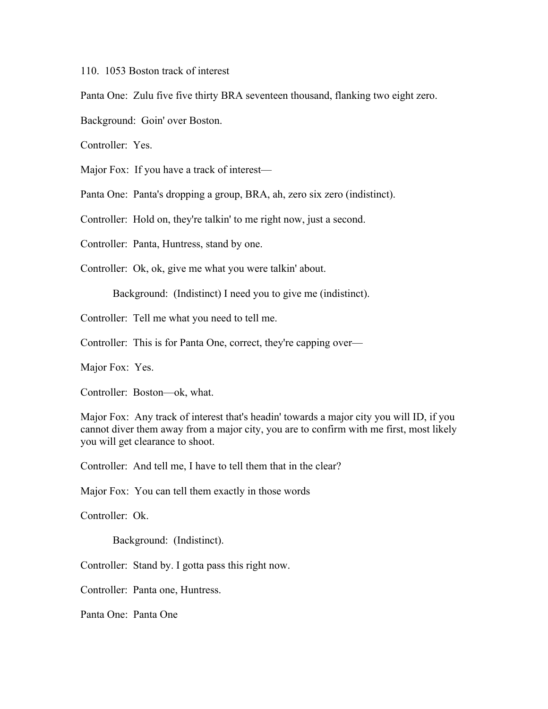110. 1053 Boston track of interest

Panta One: Zulu five five thirty BRA seventeen thousand, flanking two eight zero.

Background: Goin' over Boston.

Controller: Yes.

Major Fox: If you have a track of interest—

Panta One: Panta's dropping a group, BRA, ah, zero six zero (indistinct).

Controller: Hold on, they're talkin' to me right now, just a second.

Controller: Panta, Huntress, stand by one.

Controller: Ok, ok, give me what you were talkin' about.

Background: (Indistinct) I need you to give me (indistinct).

Controller: Tell me what you need to tell me.

Controller: This is for Panta One, correct, they're capping over—

Major Fox: Yes.

Controller: Boston—ok, what.

Major Fox: Any track of interest that's headin' towards a major city you will ID, if you cannot diver them away from a major city, you are to confirm with me first, most likely you will get clearance to shoot.

Controller: And tell me, I have to tell them that in the clear?

Major Fox: You can tell them exactly in those words

Controller: Ok.

Background: (Indistinct).

Controller: Stand by. I gotta pass this right now.

Controller: Panta one, Huntress.

Panta One: Panta One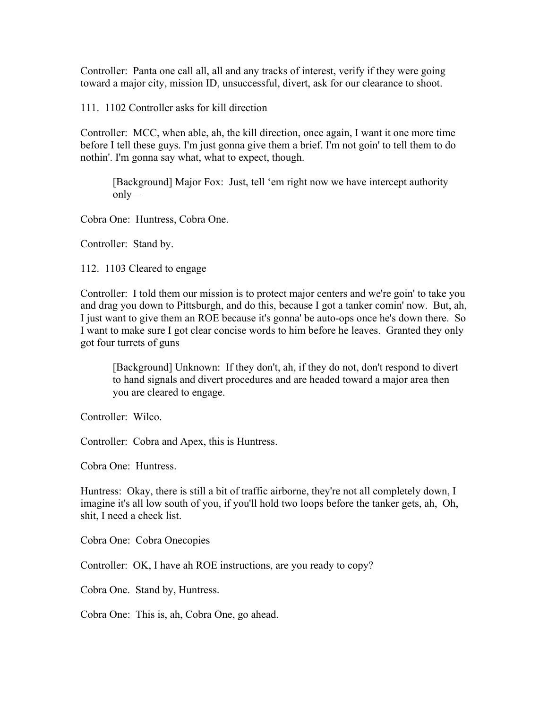Controller: Panta one call all, all and any tracks of interest, verify if they were going toward a major city, mission ID, unsuccessful, divert, ask for our clearance to shoot.

111. 1102 Controller asks for kill direction

Controller: MCC, when able, ah, the kill direction, once again, I want it one more time before I tell these guys. I'm just gonna give them a brief. I'm not goin' to tell them to do nothin'. I'm gonna say what, what to expect, though.

[Background] Major Fox: Just, tell 'em right now we have intercept authority only—

Cobra One: Huntress, Cobra One.

Controller: Stand by.

112. 1103 Cleared to engage

Controller: I told them our mission is to protect major centers and we're goin' to take you and drag you down to Pittsburgh, and do this, because I got a tanker comin' now. But, ah, I just want to give them an ROE because it's gonna' be auto-ops once he's down there. So I want to make sure I got clear concise words to him before he leaves. Granted they only got four turrets of guns

[Background] Unknown: If they don't, ah, if they do not, don't respond to divert to hand signals and divert procedures and are headed toward a major area then you are cleared to engage.

Controller: Wilco.

Controller: Cobra and Apex, this is Huntress.

Cobra One: Huntress.

Huntress: Okay, there is still a bit of traffic airborne, they're not all completely down, I imagine it's all low south of you, if you'll hold two loops before the tanker gets, ah, Oh, shit, I need a check list.

Cobra One: Cobra Onecopies

Controller: OK, I have ah ROE instructions, are you ready to copy?

Cobra One. Stand by, Huntress.

Cobra One: This is, ah, Cobra One, go ahead.